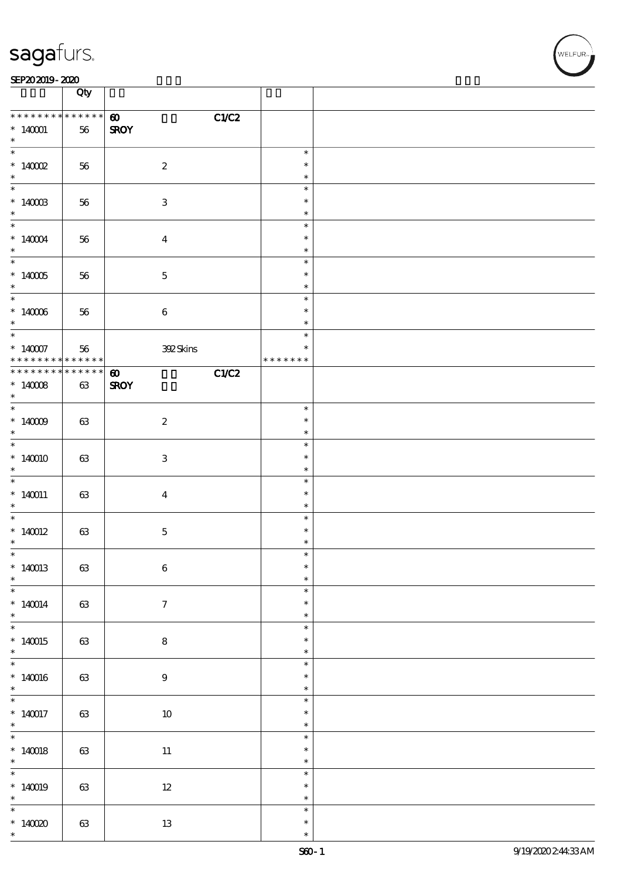|                               | Qty      |                                |                         |  |
|-------------------------------|----------|--------------------------------|-------------------------|--|
| * * * * * * * *               | $******$ | C1/C2<br>$\boldsymbol{\omega}$ |                         |  |
| $*140001$<br>$\ast$           | 56       | <b>SROY</b>                    |                         |  |
|                               |          |                                | $\ast$                  |  |
| $*$ 140002<br>$\ast$          | 56       | $\boldsymbol{2}$               | $\ast$<br>$\ast$        |  |
| $*$                           |          |                                | $\ast$                  |  |
| $*$ 140003<br>$*$             | 56       | $\ensuremath{\mathbf{3}}$      | $\ast$<br>$\ast$        |  |
| $\overline{\phantom{0}}$      |          |                                | $\ast$                  |  |
| $*140004$<br>$\ast$           | 56       | $\boldsymbol{4}$               | $\ast$<br>$\ast$        |  |
|                               |          |                                | $\ast$                  |  |
| $*$ 140005<br>$\ast$          | 56       | $\mathbf 5$                    | $\ast$<br>$\ast$        |  |
|                               |          |                                | $\ast$                  |  |
| $*140006$<br>$\ast$           | 56       | $\bf 6$                        | $\ast$<br>$\ast$        |  |
| $*$                           |          |                                | $\ast$                  |  |
| * 14007 56 $****************$ |          | <b>392Skins</b>                | $\ast$<br>* * * * * * * |  |
| * * * * * * * * * * * * * * * |          | C1/C2<br>$\boldsymbol{\omega}$ |                         |  |
| $*14008$                      | $63\,$   | <b>SROY</b>                    |                         |  |
| $\ast$                        |          |                                |                         |  |
| $*$                           |          |                                | $\ast$                  |  |
| $*$ 140009<br>$\ast$          | 63       | $\boldsymbol{2}$               | $\ast$<br>$\ast$        |  |
| $\overline{\ast}$             |          |                                | $\ast$                  |  |
| $*140010$<br>$\ast$           | 63       | 3                              | $\ast$<br>$\ast$        |  |
| $\overline{\phantom{0}}$      |          |                                | $\ast$                  |  |
| $*140011$<br>$\ast$           | 63       | $\boldsymbol{4}$               | $\ast$<br>$\ast$        |  |
| $\ast$                        |          |                                | $\ast$                  |  |
| $*140012$<br>$\ast$           | 63       | $\mathbf 5$                    | $\ast$<br>$\ast$        |  |
| $\ast$                        |          |                                | ж                       |  |
| $*140013$<br>$\ast$           | $63\,$   | $\bf 6$                        | $\ast$<br>$\ast$        |  |
|                               |          |                                | $\ast$                  |  |
| $*140014$<br>$*$              | $63\,$   | $\boldsymbol{7}$               | $\ast$<br>$\ast$        |  |
| $\ast$                        |          |                                | $\ast$                  |  |
| $*140015$<br>$\ast$           | 63       | ${\bf 8}$                      | $\ast$<br>$\ast$        |  |
| $\overline{\ast}$             |          |                                | $\ast$                  |  |
| $*140016$<br>$\ast$           | $63\,$   | $\boldsymbol{9}$               | $\ast$<br>$\ast$        |  |
|                               |          |                                | $\ast$                  |  |
| $*140017$<br>$\ast$           | 63       | $10\,$                         | $\ast$<br>$\ast$        |  |
| $\overline{\phantom{0}}$      |          |                                | $\ast$                  |  |
| $*140018$<br>$\ast$           | 63       | $11\,$                         | $\ast$<br>$\ast$        |  |
|                               |          |                                | $\ast$                  |  |
| $*140019$<br>$\ast$           | $63\,$   | $12\,$                         | $\ast$<br>$\ast$        |  |
| $\overline{\phantom{0}}$      |          |                                | $\ast$                  |  |
| * $14000$<br>$\ast$           | $63\,$   | $1\!3$                         | $\ast$<br>$\ast$        |  |
|                               |          |                                |                         |  |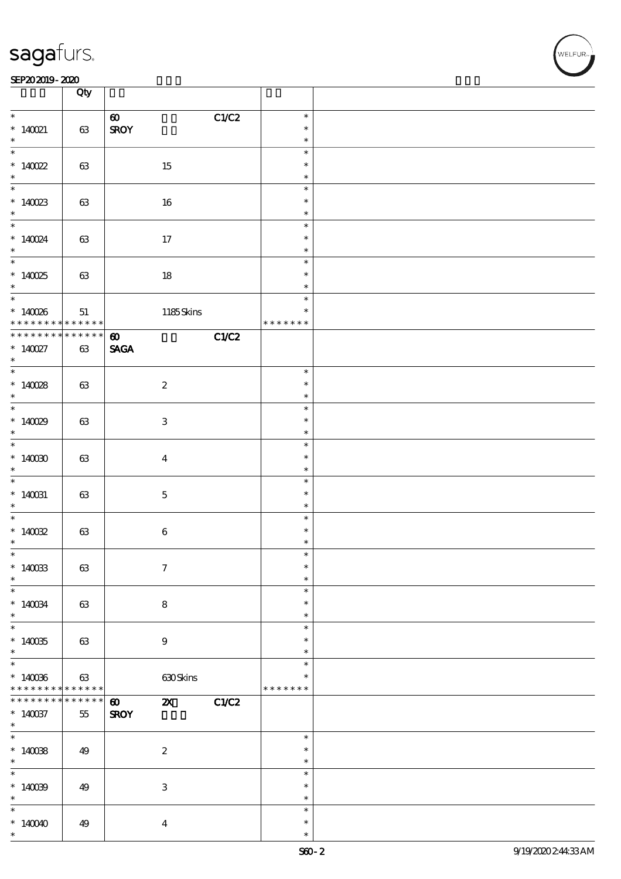|                             | Qty         |                                                             |               |  |
|-----------------------------|-------------|-------------------------------------------------------------|---------------|--|
|                             |             | C1/C2<br>$\boldsymbol{\omega}$                              | $\ast$        |  |
| $*$ 140021                  | 63          | <b>SROY</b>                                                 | $\ast$        |  |
| $*$                         |             |                                                             | $\ast$        |  |
|                             |             |                                                             | $\ast$        |  |
| * $140022$                  | 63          | 15                                                          | $\ast$        |  |
| $\ast$                      |             |                                                             | $\ast$        |  |
| $*$                         |             |                                                             | $\ast$        |  |
| $*140023$                   | 63          | $16\,$                                                      | $\ast$        |  |
| $\ast$                      |             |                                                             | $\ast$        |  |
| $\ddot{x}$                  |             |                                                             | $\ast$        |  |
| * $140024$                  | 63          | 17                                                          | $\ast$        |  |
| $\ast$                      |             |                                                             | $\ast$        |  |
|                             |             |                                                             | $\ast$        |  |
| $*140025$                   | 63          | $18\,$                                                      | $\ast$        |  |
| $\ast$                      |             |                                                             | $\ast$        |  |
| $\overline{\phantom{0}}$    |             |                                                             | $\ast$        |  |
|                             | 51          | 1185Skins                                                   | $\ast$        |  |
| * 140085                    | $******$    |                                                             | * * * * * * * |  |
| * * * * * * * *             | $******$    | C1/C2<br>$\boldsymbol{\omega}$                              |               |  |
| $* 140027$                  | $63\,$      | <b>SAGA</b>                                                 |               |  |
| $\ast$                      |             |                                                             |               |  |
| $\overline{\ast}$           |             |                                                             | $\ast$        |  |
| $*140028$                   | 63          | $\boldsymbol{2}$                                            | $\ast$        |  |
| $\ast$                      |             |                                                             | $\ast$        |  |
|                             |             |                                                             | $\ast$        |  |
| $*14029$                    | 63          | $\ensuremath{\mathbf{3}}$                                   | $\ast$        |  |
| $*$                         |             |                                                             | $\ast$        |  |
| $\overline{\ast}$           |             |                                                             | $\ast$        |  |
| $*14000$                    | 63          | $\bf{4}$                                                    | $\ast$        |  |
| $\ast$                      |             |                                                             | $\ast$        |  |
| $\overline{\ast}$           |             |                                                             | $\ast$        |  |
| $*140031$                   | 63          | $\bf 5$                                                     | $\ast$        |  |
| $\ast$                      |             |                                                             | $\ast$        |  |
| $*$                         |             |                                                             | $\ast$        |  |
| * $14002$                   | 63          | $\boldsymbol{6}$                                            | $\ast$        |  |
| $\ast$                      |             |                                                             | $\ast$        |  |
| $\ast$                      |             |                                                             | ж             |  |
| $*140033$                   | 63          | $\boldsymbol{\tau}$                                         | $\ast$        |  |
| $\ast$                      |             |                                                             | $\ast$        |  |
| $\ast$                      |             |                                                             | $\ast$        |  |
| $*140034$                   | 63          | ${\bf 8}$                                                   | $\ast$        |  |
| $\ast$                      |             |                                                             | $\ast$        |  |
| $\ast$                      |             |                                                             | $\ast$        |  |
| $*140035$                   | 63          | $9\,$                                                       | $\ast$        |  |
| $\ast$                      |             |                                                             | $\ast$        |  |
| $\overline{\ast}$           |             |                                                             | $\ast$        |  |
| $*140036$                   | $63\,$      | 630Skins                                                    | $\ast$        |  |
| * * * * * * * *             | * * * * * * |                                                             | * * * * * * * |  |
| * * * * * * * *             | ******      | $\boldsymbol{\mathsf{X}}$<br>C1/C2<br>$\boldsymbol{\omega}$ |               |  |
| $*140037$                   | 55          | <b>SROY</b>                                                 |               |  |
| $\ast$                      |             |                                                             |               |  |
| $\overline{\ast}$           |             |                                                             | $\ast$        |  |
| $*140038$                   | 49          | $\boldsymbol{z}$                                            | $\ast$        |  |
| $\ast$<br>$\overline{\ast}$ |             |                                                             | $\ast$        |  |
|                             |             |                                                             | $\ast$        |  |
| $*140099$                   | 49          | 3                                                           | $\ast$        |  |
| $\ast$                      |             |                                                             | $\ast$        |  |
| $\ast$                      |             |                                                             | $\ast$        |  |
| $*140040$                   | 49          | $\boldsymbol{4}$                                            | $\ast$        |  |
| $\ast$                      |             |                                                             | $\ast$        |  |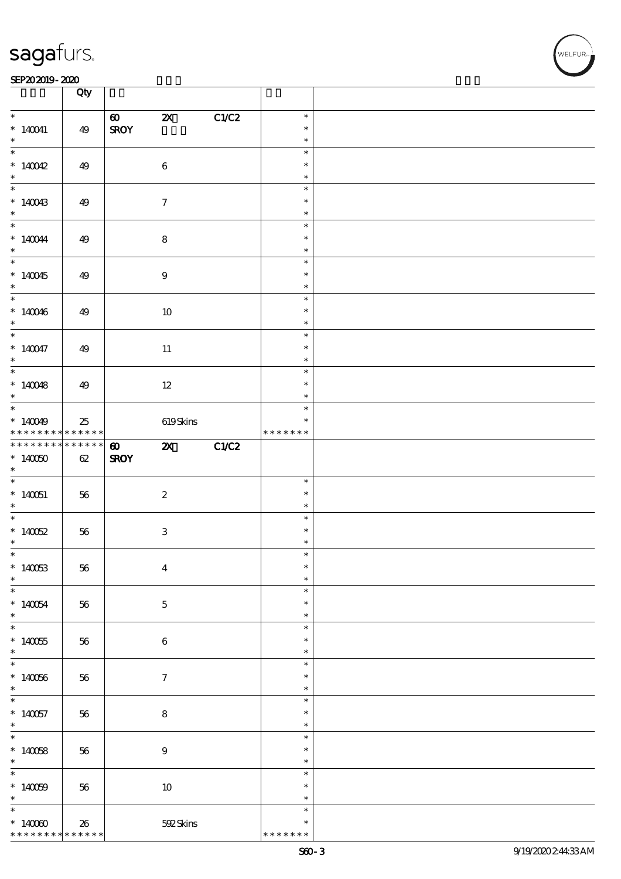#### SEP202019-2020 DEEP202019-2020 DEEP202019-2020 DEEP202019-2020 DEEP202019-2020 DEEP20

|                                                 | Qty                   |                                      |                           |       |                                      |  |
|-------------------------------------------------|-----------------------|--------------------------------------|---------------------------|-------|--------------------------------------|--|
| $\ast$<br>$*140041$<br>$\ast$                   | 49                    | $\boldsymbol{\omega}$<br><b>SROY</b> | $\boldsymbol{\mathsf{X}}$ | C1/C2 | $\ast$<br>$\ast$<br>$\ast$           |  |
| $*140042$<br>$\ast$                             | 49                    | $\bf 6$                              |                           |       | $\ast$<br>$\ast$<br>$\ast$           |  |
| $*140043$<br>$\ast$                             | 49                    | $\boldsymbol{\tau}$                  |                           |       | $\ast$<br>$\ast$<br>$\ast$           |  |
| $*$ 140044<br>$*$                               | 49                    | $\bf 8$                              |                           |       | $\ast$<br>$\ast$<br>$\ast$           |  |
| $*140045$<br>$*$                                | 49                    | $\boldsymbol{9}$                     |                           |       | $\ast$<br>$\ast$<br>$\ast$           |  |
| * $140046$<br>$\ast$                            | 49                    |                                      | $10\,$                    |       | $\ast$<br>$\ast$<br>$\ast$           |  |
| $*$<br>$*140047$<br>$\ast$                      | 49                    |                                      | $11\,$                    |       | $\ast$<br>$\ast$<br>$\ast$           |  |
| * $140048$<br>$*$                               | 49                    |                                      | 12                        |       | $\ast$<br>$\ast$<br>$\ast$           |  |
| $*140049$<br>* * * * * * * *                    | 25<br>$* * * * * * *$ |                                      | 619Skins                  |       | $\ast$<br>$\ast$<br>* * * * * * *    |  |
| * * * * * * * *<br>$*140000$<br>$*$             | * * * * * *<br>62     | $\boldsymbol{\omega}$<br><b>SROY</b> | ZX                        | C1/C2 |                                      |  |
| $*140051$<br>$*$                                | 56                    | $\boldsymbol{2}$                     |                           |       | $\ast$<br>$\ast$<br>$\ast$           |  |
| * $140052$<br>$\ast$                            | 56                    | $\,3$                                |                           |       | $\ast$<br>$\ast$<br>$\ast$           |  |
| $\ast$<br>$*140053$<br>$\ast$                   | 56                    | $\boldsymbol{4}$                     |                           |       | $\ast$<br>$\ast$<br>$\ast$           |  |
| $\overline{\phantom{0}}$<br>$*140054$<br>$\ast$ | 56                    | $\bf 5$                              |                           |       | $\ast$<br>$\ast$<br>$\ast$           |  |
| $*140055$<br>$\ast$                             | 56                    | 6                                    |                           |       | $\ast$<br>$\ast$<br>$\ast$           |  |
| $*140066$<br>$*$                                | $56\,$                | $\boldsymbol{\tau}$                  |                           |       | $\ast$<br>$\ast$                     |  |
|                                                 |                       |                                      |                           |       | $\ast$                               |  |
| $*140057$<br>$*$                                | 56                    | $\bf 8$                              |                           |       | $\ast$<br>$\ast$<br>$\ast$           |  |
| $*140058$<br>$*$                                | 56                    | $\boldsymbol{9}$                     |                           |       | $\ast$<br>$\ast$<br>$\ast$           |  |
| $*140059$<br>$\ast$<br>$\ast$                   | $56\,$                |                                      | $10\,$                    |       | $\ast$<br>$\ast$<br>$\ast$<br>$\ast$ |  |

**NELFUR**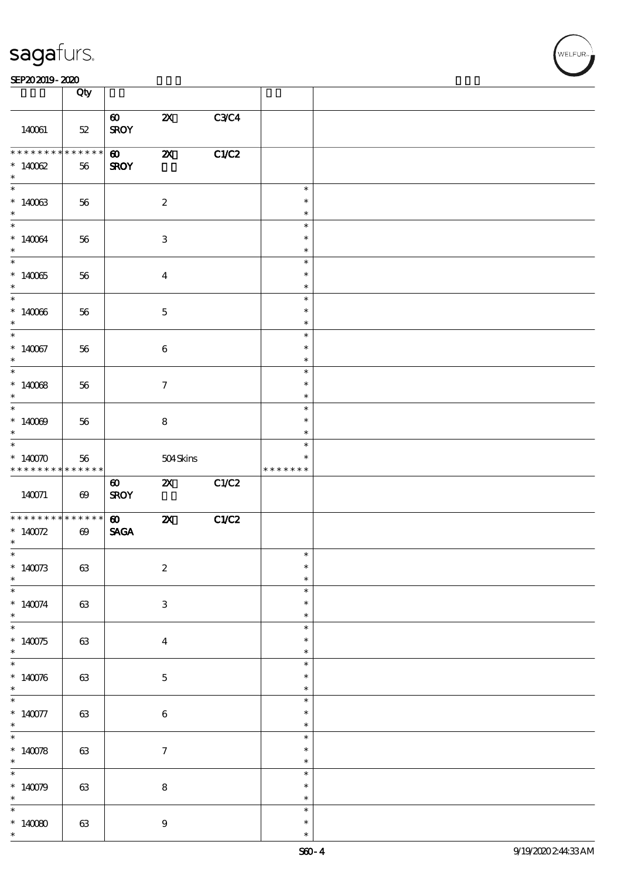| <b>saga</b> furs. |  |
|-------------------|--|
|                   |  |

### $SEP202019 - 2020$

|                                                                                                               | Qty                   |                                      |                           |       |                                   |  |
|---------------------------------------------------------------------------------------------------------------|-----------------------|--------------------------------------|---------------------------|-------|-----------------------------------|--|
| 140061                                                                                                        | $52\,$                | $\boldsymbol{\omega}$<br><b>SROY</b> | $\boldsymbol{\mathsf{Z}}$ | C3C4  |                                   |  |
| * * * * * * * *<br>$*14002$<br>$\ast$                                                                         | $******$<br>56        | $\boldsymbol{\omega}$<br><b>SROY</b> | $\boldsymbol{\mathsf{z}}$ | C1/C2 |                                   |  |
| $*140033$<br>$\ast$                                                                                           | 56                    |                                      | $\boldsymbol{2}$          |       | $\ast$<br>$\ast$<br>$\ast$        |  |
| $\ddot{x}$<br>$*140064$<br>$\ast$                                                                             | 56                    |                                      | $\ensuremath{\mathbf{3}}$ |       | $\ast$<br>$\ast$<br>$\ast$        |  |
| $\overline{\ast}$<br>$*140065$<br>$\ast$                                                                      | 56                    |                                      | $\boldsymbol{4}$          |       | $\ast$<br>$\ast$<br>$\ast$        |  |
| $*140066$<br>$\ast$                                                                                           | 56                    |                                      | $\mathbf 5$               |       | $\ast$<br>$\ast$<br>$\ast$        |  |
| $\ast$<br>$*140067$<br>$\ast$                                                                                 | 56                    |                                      | $\bf 6$                   |       | $\ast$<br>$\ast$<br>$\ast$        |  |
| $*14008$<br>$\ast$                                                                                            | 56                    |                                      | $\boldsymbol{7}$          |       | $\ast$<br>$\ast$<br>$\ast$        |  |
| $*$<br>$*140009$<br>$*$                                                                                       | 56                    |                                      | ${\bf 8}$                 |       | $\ast$<br>$\ast$<br>$\ast$        |  |
| $\overline{\ast}$<br>* $140070$<br>* * * * * * * *                                                            | 56<br>* * * * * * *   |                                      | 504Skins                  |       | $\ast$<br>$\ast$<br>* * * * * * * |  |
|                                                                                                               |                       |                                      |                           |       |                                   |  |
|                                                                                                               | $\boldsymbol{\omega}$ | $\boldsymbol{\omega}$<br><b>SROY</b> | $\boldsymbol{\mathsf{X}}$ | C1/C2 |                                   |  |
|                                                                                                               | $\boldsymbol{\omega}$ | $\boldsymbol{\omega}$<br><b>SAGA</b> | $\boldsymbol{\mathsf{z}}$ | C1/C2 |                                   |  |
| 140071<br>* * * * * * * * <mark>* * * * * * *</mark><br>* $140072$<br>$\ast$<br>$\ast$<br>$*140073$<br>$\ast$ | $63\,$                |                                      | $\boldsymbol{2}$          |       | ж<br>$\ast$<br>$\ast$             |  |
| $\overline{\ast}$<br>$*140074$<br>$*$                                                                         | $63\,$                |                                      | $\ensuremath{\mathbf{3}}$ |       | $\ast$<br>$\ast$<br>$\ast$        |  |
| $*$<br>$*140075$<br>$\ast$                                                                                    | 63                    |                                      | $\boldsymbol{4}$          |       | $\ast$<br>$\ast$<br>$\ast$        |  |
| $\overline{\ast}$<br>$*140076$<br>$\ast$                                                                      | $63\,$                |                                      | $\bf 5$                   |       | $\ast$<br>$\ast$<br>$\ast$        |  |
| $\overline{\ast}$<br>$*140077$<br>$\ast$                                                                      | 63                    |                                      | $\bf 6$                   |       | $\ast$<br>$\ast$<br>$\ast$        |  |
|                                                                                                               | 63                    |                                      | $\boldsymbol{\tau}$       |       | $\ast$<br>$\ast$<br>$\ast$        |  |
| $*$<br>$*140078$<br>$\ast$<br>* $140079$<br>$\ast$<br>$*$                                                     | $63\,$                |                                      | ${\bf 8}$                 |       | $\ast$<br>$\ast$<br>$\ast$        |  |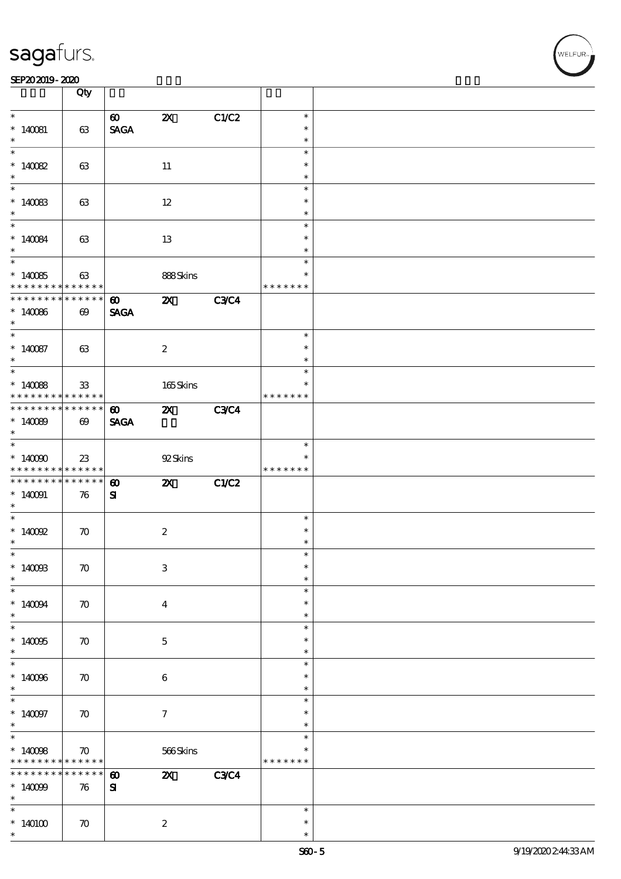|                                            | Qty                               |                                      |                           |             |                         |  |
|--------------------------------------------|-----------------------------------|--------------------------------------|---------------------------|-------------|-------------------------|--|
|                                            |                                   | $\boldsymbol{\omega}$                | $\boldsymbol{\mathsf{z}}$ | C1/C2       | $\ast$                  |  |
| $* 140081$                                 | 63                                | $\operatorname{\mathsf{SAGA}}$       |                           |             | $\ast$                  |  |
| $\ast$                                     |                                   |                                      |                           |             | $\ast$                  |  |
| $*140082$                                  | 63                                |                                      | $11\,$                    |             | $\ast$<br>$\ast$        |  |
| $*$                                        |                                   |                                      |                           |             | $\ast$                  |  |
| $*$<br>$*140083$                           | 63                                |                                      | $12 \,$                   |             | $\ast$<br>$\ast$        |  |
| $\ast$                                     |                                   |                                      |                           |             | $\ast$                  |  |
|                                            |                                   |                                      |                           |             | $\ast$                  |  |
| $*140084$<br>$\ast$                        | 63                                |                                      | 13                        |             | $\ast$<br>$\ast$        |  |
|                                            |                                   |                                      |                           |             | $\ast$                  |  |
| $*140085$<br>* * * * * * * *               | 63<br>* * * * * *                 |                                      | 888Skins                  |             | $\ast$<br>* * * * * * * |  |
| * * * * * * *                              | * * * * * *                       |                                      |                           |             |                         |  |
| $*140086$<br>$\ast$                        | $\boldsymbol{\omega}$             | $\boldsymbol{\omega}$<br><b>SAGA</b> | $\boldsymbol{\mathsf{X}}$ | <b>C3C4</b> |                         |  |
| $\ast$                                     |                                   |                                      |                           |             | $\ast$                  |  |
| $*140087$<br>$\ast$                        | 63                                |                                      | $\boldsymbol{2}$          |             | $\ast$<br>$\ast$        |  |
|                                            |                                   |                                      |                           |             | $\ast$                  |  |
|                                            |                                   |                                      |                           |             |                         |  |
| $*140088$<br>* * * * * * * *               | 33<br>$******$                    |                                      | $165$ Skins               |             | $\ast$<br>* * * * * * * |  |
| * * * * * * * * * * * * * * *              |                                   | $\boldsymbol{\omega}$                | $\boldsymbol{\mathsf{X}}$ | <b>C3C4</b> |                         |  |
| $*140089$<br>$\ast$                        | $\boldsymbol{\omega}$             | <b>SAGA</b>                          |                           |             |                         |  |
| $\overline{\phantom{0}}$                   |                                   |                                      |                           |             | $\ast$                  |  |
| $*140000$                                  | 23                                |                                      | 92Skins                   |             | $\ast$                  |  |
| * * * * * * * * <mark>* * * * * * *</mark> |                                   |                                      |                           |             | * * * * * * *           |  |
| **************                             |                                   | $\boldsymbol{\omega}$                | $\boldsymbol{\mathsf{z}}$ | C1/C2       |                         |  |
| $*140091$                                  | 76                                | ${\bf s}$                            |                           |             |                         |  |
| $\ast$                                     |                                   |                                      |                           |             |                         |  |
| $\overline{\phantom{0}}$                   |                                   |                                      |                           |             | $\ast$                  |  |
| $*$ 140092                                 | $\boldsymbol{\pi}$                |                                      | $\boldsymbol{2}$          |             | $\ast$                  |  |
| $\ast$                                     |                                   |                                      |                           |             | $\ast$                  |  |
| $\ast$                                     |                                   |                                      |                           |             | ж                       |  |
| $*1400B$                                   |                                   |                                      |                           |             | $\ast$                  |  |
| $\ast$                                     | $\boldsymbol{\pi}$                |                                      | 3                         |             | $\ast$                  |  |
| $\ast$                                     |                                   |                                      |                           |             | $\ast$                  |  |
| $*140094$                                  | $\boldsymbol{\pi}$                |                                      |                           |             | $\ast$                  |  |
| $*$                                        |                                   |                                      | $\overline{\mathbf{4}}$   |             | $\ast$                  |  |
| $\ast$                                     |                                   |                                      |                           |             | $\ast$                  |  |
| $*140005$                                  |                                   |                                      |                           |             | $\ast$                  |  |
| $\ast$                                     | $\boldsymbol{\pi}$                |                                      | $\mathbf{5}$              |             | $\ast$                  |  |
| $\overline{\ast}$                          |                                   |                                      |                           |             | $\ast$                  |  |
|                                            |                                   |                                      |                           |             | $\ast$                  |  |
| $*140066$<br>$\ast$                        | $\boldsymbol{\pi}$                |                                      | 6                         |             | $\ast$                  |  |
|                                            |                                   |                                      |                           |             | $\ast$                  |  |
|                                            |                                   |                                      |                           |             | $\ast$                  |  |
| $*140097$<br>$\ast$                        | $\boldsymbol{\pi}$                |                                      | $\tau$                    |             | $\ast$                  |  |
| $\ast$                                     |                                   |                                      |                           |             | $\ast$                  |  |
|                                            |                                   |                                      |                           |             | *                       |  |
| $*14008$<br>* * * * * * * *                | $\boldsymbol{\pi}$<br>* * * * * * |                                      | 566Skins                  |             | * * * * * * *           |  |
| * * * * * * * *                            | * * * * * *                       |                                      |                           |             |                         |  |
|                                            |                                   | $\boldsymbol{\omega}$                | $\boldsymbol{\mathsf{z}}$ | <b>C3C4</b> |                         |  |
| $*140099$                                  | 76                                | ${\bf s}$                            |                           |             |                         |  |
| $\ast$<br>$\ast$                           |                                   |                                      |                           |             |                         |  |
|                                            |                                   |                                      |                           |             |                         |  |
|                                            |                                   |                                      |                           |             | $\ast$                  |  |
| $*140100$<br>$\ast$                        | $\boldsymbol{\pi}$                |                                      | $\boldsymbol{z}$          |             | $\ast$<br>$\ast$        |  |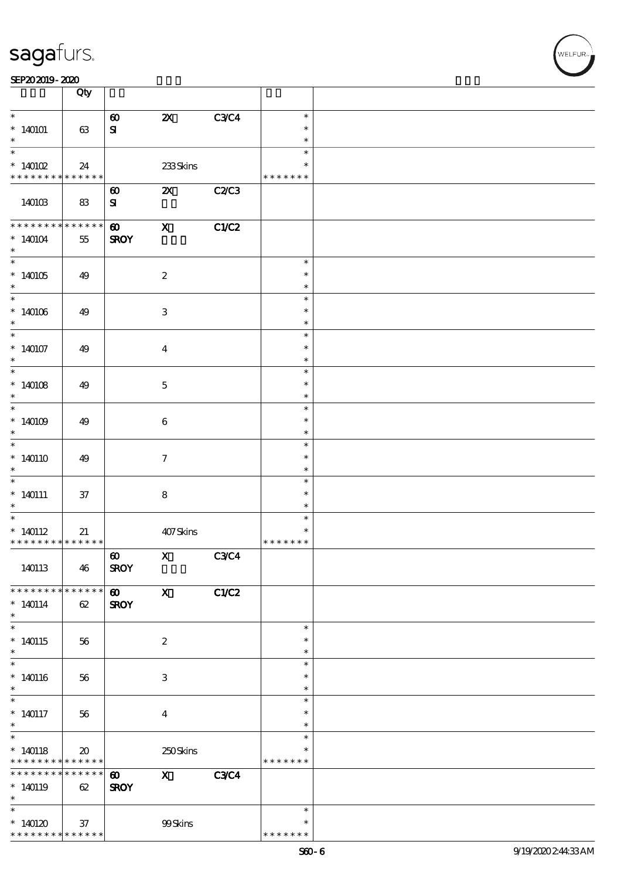|                                                                                     | Qty                         |                                      |                           |              |                                   |  |
|-------------------------------------------------------------------------------------|-----------------------------|--------------------------------------|---------------------------|--------------|-----------------------------------|--|
| $\ast$                                                                              |                             | $\boldsymbol{\omega}$                | $\boldsymbol{\mathsf{Z}}$ | <b>C3C4</b>  | $\ast$                            |  |
| $*140101$                                                                           | 63                          | ${\bf s}$                            |                           |              | $\ast$                            |  |
| $\ast$<br>$\overline{\ast}$                                                         |                             |                                      |                           |              | $\ast$                            |  |
| $*140102$                                                                           | 24                          |                                      | 233Skins                  |              | $\ast$<br>$\ast$                  |  |
| * * * * * * * * <mark>* * * * * *</mark>                                            |                             |                                      |                           |              | * * * * * * *                     |  |
| 140103                                                                              | 83                          | $\boldsymbol{\omega}$<br>${\bf s}$   | $\boldsymbol{\mathsf{X}}$ | <b>C2/C3</b> |                                   |  |
| * * * * * * * *<br>$*140104$<br>$\ast$                                              | $******$<br>55              | $\boldsymbol{\omega}$<br><b>SROY</b> | $\mathbf{x}$              | C1/C2        |                                   |  |
| $\overline{\phantom{0}}$<br>$*140105$<br>$\ast$                                     | 49                          |                                      | $\boldsymbol{2}$          |              | $\ast$<br>$\ast$<br>$\ast$        |  |
| $*140106$<br>$\ast$                                                                 | 49                          |                                      | $\,3\,$                   |              | $\ast$<br>$\ast$<br>$\ast$        |  |
| $\ast$<br>$*140107$<br>$\ast$                                                       | 49                          |                                      | $\boldsymbol{4}$          |              | $\ast$<br>$\ast$<br>$\ast$        |  |
| $\overline{\ast}$<br>$*140108$<br>$\ast$                                            | 49                          |                                      | $\mathbf 5$               |              | $\ast$<br>$\ast$<br>$\ast$        |  |
| $\overline{\ast}$<br>$*$ 140109 $\,$<br>$\ast$                                      | 49                          |                                      | 6                         |              | $\ast$<br>$\ast$<br>$\ast$        |  |
| $\overline{\ast}$<br>$*140110$<br>$\ast$                                            | 49                          |                                      | $\boldsymbol{\tau}$       |              | $\ast$<br>$\ast$<br>$\ast$        |  |
| $\overline{\phantom{0}}$<br>$*140111$<br>$\ast$                                     | $37\,$                      |                                      | $\bf 8$                   |              | $\ast$<br>$\ast$<br>$\ast$        |  |
| $\ast$<br>$*140112$<br>* * * * * * * * * * * * * * *                                | 21                          |                                      | 407Skins                  |              | $\ast$<br>$\ast$<br>* * * * * * * |  |
| 140113                                                                              | 46                          | $\boldsymbol{\omega}$<br><b>SROY</b> | $\mathbf X$               | C3C4         |                                   |  |
| * * * * * * * * * * * * * *<br>$*140114$<br>$\ast$                                  | 62                          | $\boldsymbol{\omega}$<br><b>SROY</b> | $\mathbf{x}$              | C1/C2        |                                   |  |
| $\overline{\ast}$<br>$*140115$<br>$\ast$                                            | 56                          |                                      | $\boldsymbol{2}$          |              | $\ast$<br>$\ast$<br>$\ast$        |  |
| $\overline{\ast}$<br>$*140116$<br>$\ast$                                            | 56                          |                                      | $\,3$                     |              | $\ast$<br>$\ast$<br>$\ast$        |  |
| $\overline{\ast}$<br>$*$ 140117<br>$*$                                              | 56                          |                                      | $\boldsymbol{4}$          |              | $\ast$<br>$\ast$<br>$\ast$        |  |
| $\overline{\phantom{0}}$<br>$*140118$<br>* * * * * * * * <mark>* * * * * * *</mark> | $\boldsymbol{\mathfrak{D}}$ |                                      | 250Skins                  |              | $\ast$<br>∗<br>* * * * * * *      |  |
| * * * * * * * *<br>$*140119$<br>$\ast$                                              | $* * * * * * *$<br>62       | $\boldsymbol{\omega}$<br><b>SROY</b> | $\mathbf x$               | <b>C3C4</b>  |                                   |  |
| $\ast$<br>$*140120$<br>* * * * * * * * <mark>* * * * * * *</mark>                   | 37                          |                                      | 99Skins                   |              | $\ast$<br>$\ast$<br>* * * * * * * |  |

WELFUR-<br>NELFUR-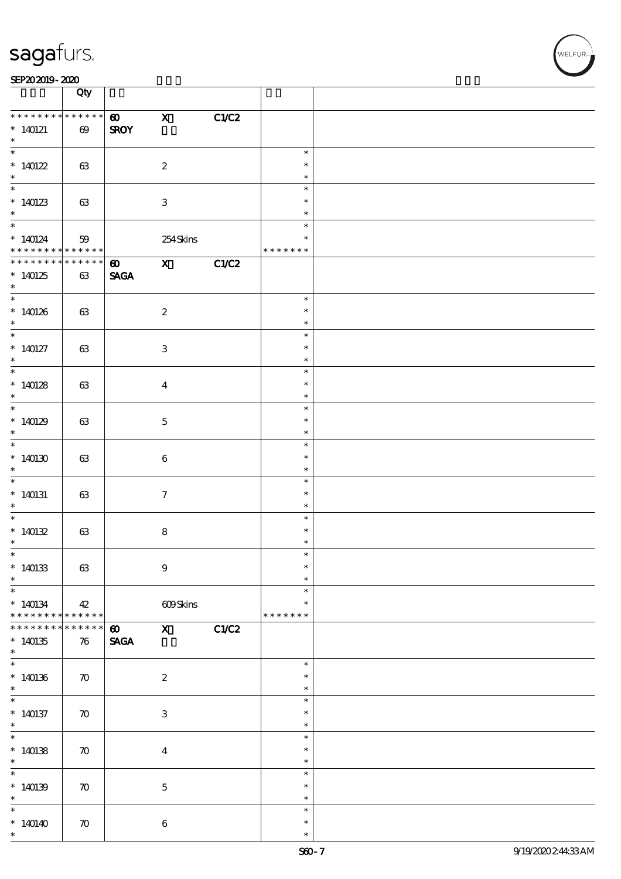#### SEP202019-2020

|                                                           | Qty                               |                                      |                           |      |                                   |  |
|-----------------------------------------------------------|-----------------------------------|--------------------------------------|---------------------------|------|-----------------------------------|--|
| * * * * * * * *<br>$*140121$<br>$\ast$                    | $******$<br>$\boldsymbol{\omega}$ | $\boldsymbol{\omega}$<br><b>SROY</b> | $\mathbf x$               | CLC2 |                                   |  |
| $*140122$<br>$\ast$                                       | 63                                |                                      | $\boldsymbol{2}$          |      | $\ast$<br>$\ast$<br>$\ast$        |  |
| $*140123$<br>$\ast$                                       | 63                                |                                      | $\ensuremath{\mathbf{3}}$ |      | $\ast$<br>$\ast$<br>$\ast$        |  |
| $\overline{\phantom{0}}$<br>* 140124                      | 59<br>$* * * * * * *$             |                                      | 254Skins                  |      | $\ast$<br>$\ast$<br>* * * * * * * |  |
| * * * * * * * *<br>$*140125$<br>$*$                       | $******$<br>$63\,$                | $\boldsymbol{\omega}$<br><b>SAGA</b> | $X$ C1/C2                 |      |                                   |  |
| $*140126$<br>$\ast$                                       | 63                                |                                      | $\boldsymbol{2}$          |      | $\ast$<br>$\ast$<br>$\ast$        |  |
| $*$<br>$*140127$<br>$\ast$                                | 63                                |                                      | $\ensuremath{\mathbf{3}}$ |      | $\ast$<br>$\ast$<br>$\ast$        |  |
| $*140128$<br>$\ast$                                       | 63                                |                                      | $\boldsymbol{4}$          |      | $\ast$<br>$\ast$<br>$\ast$        |  |
| $\overline{\phantom{0}}$<br>$*140129$<br>$\ast$           | 63                                |                                      | $\mathbf 5$               |      | $\ast$<br>$\ast$<br>$\ast$        |  |
| $\overline{\phantom{0}}$<br>$*140130$<br>$\ast$           | 63                                |                                      | $\bf 6$                   |      | $\ast$<br>$\ast$<br>$\ast$        |  |
| $*140131$<br>$*$                                          | 63                                |                                      | $\tau$                    |      | $\ast$<br>$\ast$<br>$\ast$        |  |
| * $140132$<br>$\ast$                                      | $63\,$                            |                                      | $\bf 8$                   |      | $\ast$<br>$\ast$<br>$\ast$        |  |
| $\overline{\phantom{0}}$<br>$*140133$<br>$\ast$<br>$\ast$ | 63                                |                                      | $\boldsymbol{9}$          |      | $\ast$<br>$\ast$<br>$\ast$        |  |
| $*140134$<br>* * * * * * * *                              | 42<br>* * * * * * *               |                                      | 609Skins                  |      | $\ast$<br>$\ast$<br>* * * * * * * |  |
| * * * * * * *<br>$*140135$<br>$\ast$                      | *****<br>76                       | $\boldsymbol{\omega}$<br><b>SAGA</b> | $X$ $C1/C2$               |      |                                   |  |
| $*140136$<br>$\ast$                                       | $\boldsymbol{\pi}$                |                                      | $\boldsymbol{2}$          |      | $\ast$<br>$\ast$<br>$\ast$        |  |
| $*$<br>$*140137$<br>$\ast$                                | $\boldsymbol{\pi}$                |                                      | $\ensuremath{\mathbf{3}}$ |      | $\ast$<br>$\ast$<br>$\ast$        |  |
| $\ddot{x}$<br>$*140138$<br>$\ast$                         | $\boldsymbol{\pi}$                |                                      | $\boldsymbol{4}$          |      | $\ast$<br>$\ast$<br>$\ast$        |  |
| $\overline{\ast}$<br>$*140139$<br>$\ast$                  | $\boldsymbol{\pi}$                |                                      | $\mathbf 5$               |      | $\ast$<br>$\ast$<br>$\ast$        |  |
| $\overline{\ast}$<br>$*140140$<br>$\ast$                  | $\boldsymbol{\pi}$                |                                      | 6                         |      | $\ast$<br>$\ast$<br>$\ast$        |  |

T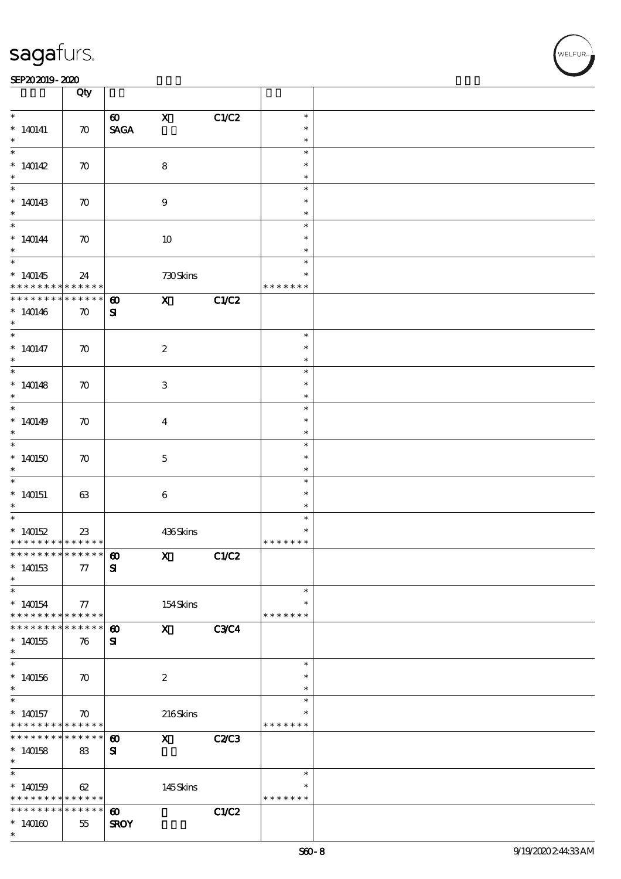#### SEP202019-2020 DEEP202019-2020 DEEP202019-2020 DEEP202019-2020 DEEP202019-2020 DEEP20

|                                            | Qty                        |                                |                                                                                                                                                                                                                                                                                                                                                                                                                                                               |              |               |  |
|--------------------------------------------|----------------------------|--------------------------------|---------------------------------------------------------------------------------------------------------------------------------------------------------------------------------------------------------------------------------------------------------------------------------------------------------------------------------------------------------------------------------------------------------------------------------------------------------------|--------------|---------------|--|
| $\ast$                                     |                            | $\boldsymbol{\omega}$          | $\mathbf X$                                                                                                                                                                                                                                                                                                                                                                                                                                                   | C1/C2        | $\ast$        |  |
| $*140141$                                  | $\boldsymbol{\pi}$         | $\operatorname{\mathsf{SAGA}}$ |                                                                                                                                                                                                                                                                                                                                                                                                                                                               |              | $\ast$        |  |
|                                            |                            |                                |                                                                                                                                                                                                                                                                                                                                                                                                                                                               |              | $\ast$        |  |
|                                            |                            |                                |                                                                                                                                                                                                                                                                                                                                                                                                                                                               |              | $\ast$        |  |
|                                            |                            |                                |                                                                                                                                                                                                                                                                                                                                                                                                                                                               |              |               |  |
| $*140142$                                  | $\boldsymbol{\pi}$         |                                | $\bf 8$                                                                                                                                                                                                                                                                                                                                                                                                                                                       |              | $\ast$        |  |
| $\ast$                                     |                            |                                |                                                                                                                                                                                                                                                                                                                                                                                                                                                               |              | $\ast$        |  |
|                                            |                            |                                |                                                                                                                                                                                                                                                                                                                                                                                                                                                               |              | $\ast$        |  |
| $*140143$                                  | $\boldsymbol{\pi}$         |                                | $9\,$                                                                                                                                                                                                                                                                                                                                                                                                                                                         |              | $\ast$        |  |
| $\ast$                                     |                            |                                |                                                                                                                                                                                                                                                                                                                                                                                                                                                               |              | $\ast$        |  |
|                                            |                            |                                |                                                                                                                                                                                                                                                                                                                                                                                                                                                               |              | $\ast$        |  |
| $*140144$                                  | $\boldsymbol{\pi}$         |                                | $10\,$                                                                                                                                                                                                                                                                                                                                                                                                                                                        |              | $\ast$        |  |
| $\ast$                                     |                            |                                |                                                                                                                                                                                                                                                                                                                                                                                                                                                               |              | $\ast$        |  |
|                                            |                            |                                |                                                                                                                                                                                                                                                                                                                                                                                                                                                               |              | $\ast$        |  |
|                                            |                            |                                |                                                                                                                                                                                                                                                                                                                                                                                                                                                               |              | $\ast$        |  |
| $*140145$<br>* * * * * * * *               | 24                         |                                | 730Skins                                                                                                                                                                                                                                                                                                                                                                                                                                                      |              | * * * * * * * |  |
| * * * * * * * *                            | $\ast\ast\ast\ast\ast\ast$ |                                |                                                                                                                                                                                                                                                                                                                                                                                                                                                               |              |               |  |
|                                            | * * * * * *                | $\boldsymbol{\omega}$          | $\boldsymbol{\mathrm{X}}$ and $\boldsymbol{\mathrm{X}}$ and $\boldsymbol{\mathrm{X}}$ and $\boldsymbol{\mathrm{X}}$ and $\boldsymbol{\mathrm{X}}$ and $\boldsymbol{\mathrm{X}}$ and $\boldsymbol{\mathrm{X}}$ and $\boldsymbol{\mathrm{X}}$ and $\boldsymbol{\mathrm{X}}$ and $\boldsymbol{\mathrm{X}}$ and $\boldsymbol{\mathrm{X}}$ and $\boldsymbol{\mathrm{X}}$ and $\boldsymbol{\mathrm{X}}$ and $\boldsymbol{\mathrm{X}}$ and $\boldsymbol{\mathrm{X}}$ | C1/C2        |               |  |
| $*140146$                                  | $\boldsymbol{\pi}$         | ${\bf s}$                      |                                                                                                                                                                                                                                                                                                                                                                                                                                                               |              |               |  |
| $*$                                        |                            |                                |                                                                                                                                                                                                                                                                                                                                                                                                                                                               |              |               |  |
| $*$                                        |                            |                                |                                                                                                                                                                                                                                                                                                                                                                                                                                                               |              | $\ast$        |  |
| $*140147$                                  | $\boldsymbol{\pi}$         |                                | $\boldsymbol{z}$                                                                                                                                                                                                                                                                                                                                                                                                                                              |              | $\ast$        |  |
| $\ast$                                     |                            |                                |                                                                                                                                                                                                                                                                                                                                                                                                                                                               |              | $\ast$        |  |
|                                            |                            |                                |                                                                                                                                                                                                                                                                                                                                                                                                                                                               |              | $\ast$        |  |
| $*140148$                                  | $\boldsymbol{\pi}$         |                                | $\ensuremath{\mathsf{3}}$                                                                                                                                                                                                                                                                                                                                                                                                                                     |              | $\ast$        |  |
| $*$                                        |                            |                                |                                                                                                                                                                                                                                                                                                                                                                                                                                                               |              | $\ast$        |  |
|                                            |                            |                                |                                                                                                                                                                                                                                                                                                                                                                                                                                                               |              | $\ast$        |  |
| $*140149$                                  | $\boldsymbol{\pi}$         |                                | $\overline{\mathbf{4}}$                                                                                                                                                                                                                                                                                                                                                                                                                                       |              | $\ast$        |  |
| $\ast$                                     |                            |                                |                                                                                                                                                                                                                                                                                                                                                                                                                                                               |              | $\ast$        |  |
|                                            |                            |                                |                                                                                                                                                                                                                                                                                                                                                                                                                                                               |              | $\ast$        |  |
|                                            |                            |                                |                                                                                                                                                                                                                                                                                                                                                                                                                                                               |              | $\ast$        |  |
| $*140150$                                  | $\boldsymbol{\pi}$         |                                | $\mathbf{5}$                                                                                                                                                                                                                                                                                                                                                                                                                                                  |              |               |  |
| $*$                                        |                            |                                |                                                                                                                                                                                                                                                                                                                                                                                                                                                               |              | $\ast$        |  |
|                                            |                            |                                |                                                                                                                                                                                                                                                                                                                                                                                                                                                               |              | $\ast$        |  |
| $*140151$                                  | 63                         |                                | $\bf 6$                                                                                                                                                                                                                                                                                                                                                                                                                                                       |              | $\ast$        |  |
| $*$                                        |                            |                                |                                                                                                                                                                                                                                                                                                                                                                                                                                                               |              | $\ast$        |  |
|                                            |                            |                                |                                                                                                                                                                                                                                                                                                                                                                                                                                                               |              | $\ast$        |  |
| * $140152$                                 | 23                         |                                | 436Skins                                                                                                                                                                                                                                                                                                                                                                                                                                                      |              | $\ast$        |  |
| * * * * * * * * * * * * * * *              |                            |                                |                                                                                                                                                                                                                                                                                                                                                                                                                                                               |              | * * * * * * * |  |
|                                            |                            |                                | $X$ $C1/C2$                                                                                                                                                                                                                                                                                                                                                                                                                                                   |              |               |  |
| $*140153$                                  | 77                         | ${\bf s}$                      |                                                                                                                                                                                                                                                                                                                                                                                                                                                               |              |               |  |
| $\ast$                                     |                            |                                |                                                                                                                                                                                                                                                                                                                                                                                                                                                               |              |               |  |
| $\ast$                                     |                            |                                |                                                                                                                                                                                                                                                                                                                                                                                                                                                               |              | $\ast$        |  |
| $*140154$                                  | $77\,$                     |                                | $154$ Skins                                                                                                                                                                                                                                                                                                                                                                                                                                                   |              | $\ast$        |  |
| * * * * * * * *                            | ******                     |                                |                                                                                                                                                                                                                                                                                                                                                                                                                                                               |              | * * * * * * * |  |
| * * * * * * *                              | * * * * * *                | $\boldsymbol{\omega}$          | $\mathbf X$ and $\mathbf X$ and $\mathbf X$ and $\mathbf X$ and $\mathbf X$ and $\mathbf X$ and $\mathbf X$ and $\mathbf X$ and $\mathbf X$ and $\mathbf X$ and $\mathbf X$ and $\mathbf X$ and $\mathbf X$ and $\mathbf X$ and $\mathbf X$ and $\mathbf X$ and $\mathbf X$ and $\mathbf X$ and $\mathbf X$ and $\mathbf X$ and                                                                                                                               | <b>C3C4</b>  |               |  |
|                                            |                            |                                |                                                                                                                                                                                                                                                                                                                                                                                                                                                               |              |               |  |
| $*140155$<br>$\ast$                        | 76                         | ${\bf s}$                      |                                                                                                                                                                                                                                                                                                                                                                                                                                                               |              |               |  |
|                                            |                            |                                |                                                                                                                                                                                                                                                                                                                                                                                                                                                               |              |               |  |
|                                            |                            |                                |                                                                                                                                                                                                                                                                                                                                                                                                                                                               |              | $\ast$        |  |
| $*140156$                                  | $\boldsymbol{\pi}$         |                                | $\boldsymbol{z}$                                                                                                                                                                                                                                                                                                                                                                                                                                              |              | $\ast$        |  |
| $*$                                        |                            |                                |                                                                                                                                                                                                                                                                                                                                                                                                                                                               |              | $\ast$        |  |
| $\ast$                                     |                            |                                |                                                                                                                                                                                                                                                                                                                                                                                                                                                               |              | $\ast$        |  |
| $*140157$                                  | $\boldsymbol{\pi}$         |                                | 216Skins                                                                                                                                                                                                                                                                                                                                                                                                                                                      |              | $\ast$        |  |
| * * * * * * * * <mark>* * * * * * *</mark> |                            |                                |                                                                                                                                                                                                                                                                                                                                                                                                                                                               |              | * * * * * * * |  |
| * * * * * * * *                            | $******$                   | $\boldsymbol{\omega}$          | $\mathbf x$ and $\mathbf x$ and $\mathbf x$ and $\mathbf x$ and $\mathbf x$ and $\mathbf x$ and $\mathbf x$ and $\mathbf x$ and $\mathbf x$ and $\mathbf x$ and $\mathbf x$ and $\mathbf x$ and $\mathbf x$ and $\mathbf x$ and $\mathbf x$ and $\mathbf x$ and $\mathbf x$ and $\mathbf x$ and $\mathbf x$ and $\mathbf x$ and                                                                                                                               | <b>C2/C3</b> |               |  |
| $*140158$                                  | 83                         | ${\bf s}$                      |                                                                                                                                                                                                                                                                                                                                                                                                                                                               |              |               |  |
| $\ast$                                     |                            |                                |                                                                                                                                                                                                                                                                                                                                                                                                                                                               |              |               |  |
|                                            |                            |                                |                                                                                                                                                                                                                                                                                                                                                                                                                                                               |              | $\ast$        |  |
| $*140159$                                  | 62                         |                                | 145Skins                                                                                                                                                                                                                                                                                                                                                                                                                                                      |              | $\ast$        |  |
| * * * * * * * *                            | $* * * * * * *$            |                                |                                                                                                                                                                                                                                                                                                                                                                                                                                                               |              | * * * * * * * |  |
| * * * * * * * *                            | $* * * * * * *$            | $\boldsymbol{\omega}$          |                                                                                                                                                                                                                                                                                                                                                                                                                                                               | C1/C2        |               |  |
| $*140160$                                  | 55                         | <b>SROY</b>                    |                                                                                                                                                                                                                                                                                                                                                                                                                                                               |              |               |  |
| $\ast$                                     |                            |                                |                                                                                                                                                                                                                                                                                                                                                                                                                                                               |              |               |  |
|                                            |                            |                                |                                                                                                                                                                                                                                                                                                                                                                                                                                                               |              |               |  |

 $\overline{\mathbf{r}}$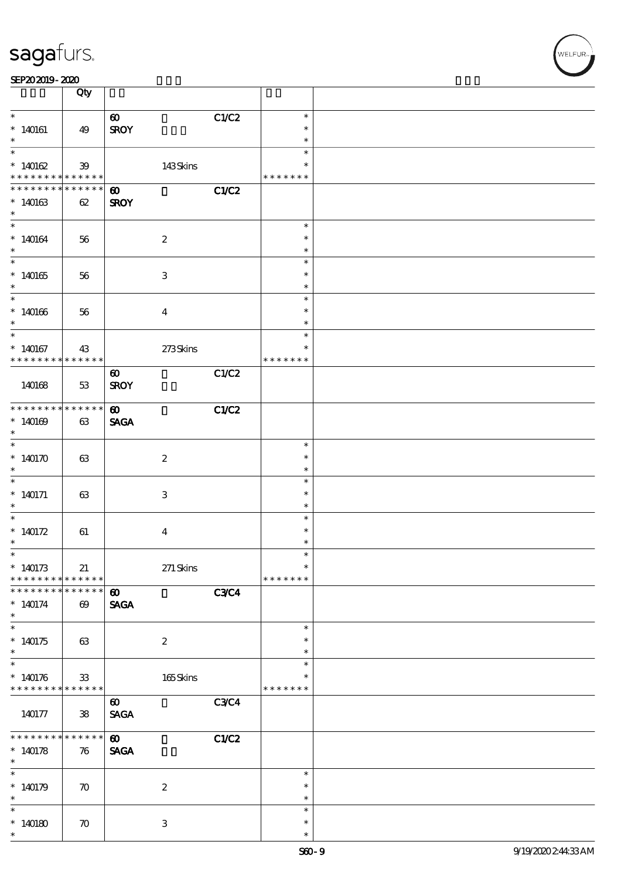| SEP202019-2020 |  |  |
|----------------|--|--|
|----------------|--|--|

|                                  | Qty                          |                       |             |                  |  |
|----------------------------------|------------------------------|-----------------------|-------------|------------------|--|
| $\ast$                           |                              | $\boldsymbol{\omega}$ | C1/C2       | $\ast$           |  |
| $*140161$                        | 49                           | <b>SROY</b>           |             | $\ast$           |  |
|                                  |                              |                       |             | $\ast$           |  |
| $\overline{\ast}$                |                              |                       |             | $\ast$           |  |
| * $140162$                       | 39                           | 143Skins              |             | $\ast$           |  |
| * * * * * * * *<br>* * * * * * * | * * * * * *  <br>* * * * * * | $\boldsymbol{\omega}$ | C1/C2       | * * * * * * *    |  |
| $*140163$                        | 62                           | <b>SROY</b>           |             |                  |  |
| $\ast$                           |                              |                       |             |                  |  |
| $*$                              |                              |                       |             | $\ast$           |  |
| $*140164$                        | 56                           | $\boldsymbol{2}$      |             | $\ast$           |  |
| $\ast$                           |                              |                       |             | $\ast$<br>$\ast$ |  |
| $*140165$                        | 56                           | 3                     |             | $\ast$           |  |
| $*$                              |                              |                       |             | $\ast$           |  |
|                                  |                              |                       |             | $\ast$           |  |
| $*140166$                        | 56                           | $\bf{4}$              |             | $\ast$           |  |
| $\ast$<br>$\overline{\ast}$      |                              |                       |             | $\ast$           |  |
| $*140167$                        | 43                           | $273$ Skins           |             | $\ast$<br>$\ast$ |  |
| * * * * * * * * <mark>*</mark>   | * * * * * *                  |                       |             | * * * * * * *    |  |
|                                  |                              | $\boldsymbol{\omega}$ | C1/C2       |                  |  |
| 140168                           | 53                           | <b>SROY</b>           |             |                  |  |
|                                  |                              |                       |             |                  |  |
| * * * * * * * *                  | * * * * * *                  | $\boldsymbol{\omega}$ | C1/C2       |                  |  |
| $*140169$<br>$\ast$              | 63                           | <b>SAGA</b>           |             |                  |  |
|                                  |                              |                       |             | $\ast$           |  |
| * $140170$                       | 63                           | $\boldsymbol{2}$      |             | $\ast$           |  |
| $\ast$                           |                              |                       |             | $\ast$           |  |
|                                  |                              |                       |             | $\ast$           |  |
| $*140171$<br>$*$                 | 63                           | 3                     |             | $\ast$<br>$\ast$ |  |
|                                  |                              |                       |             | $\ast$           |  |
| * $140172$                       | 61                           | $\bf{4}$              |             | $\ast$           |  |
| $\ast$                           |                              |                       |             | $\ast$           |  |
| $\ast$                           |                              |                       |             | $\ast$<br>$\ast$ |  |
| $*140173$<br>* * * * * * * *     | 21<br>$* * * * * * *$        | $271$ Skins           |             | * * * * * * *    |  |
| * * * * * * * *                  | * * * * * *                  | $\boldsymbol{\omega}$ | <b>C3C4</b> |                  |  |
| $*140174$                        | $\boldsymbol{\omega}$        | <b>SAGA</b>           |             |                  |  |
| $\ast$                           |                              |                       |             |                  |  |
|                                  |                              |                       |             | $\ast$<br>∗      |  |
| $*140175$<br>$\ast$              | 63                           | $\boldsymbol{2}$      |             | $\ast$           |  |
|                                  |                              |                       |             | $\ast$           |  |
| $*140176$                        | ${\bf 33}$                   | $165$ Skins           |             | $\ast$           |  |
| * * * * * * * * <mark>*</mark>   | * * * * * *                  |                       |             | * * * * * * *    |  |
|                                  |                              | $\boldsymbol{\omega}$ | <b>C3C4</b> |                  |  |
| 140177                           | 38                           | <b>SAGA</b>           |             |                  |  |
| * * * * * * *                    | * * * * * *                  | $\boldsymbol{\omega}$ | C1/C2       |                  |  |
| $*140178$                        | 76                           | <b>SAGA</b>           |             |                  |  |
| $\ast$                           |                              |                       |             |                  |  |
| $\ast$                           |                              |                       |             | $\ast$           |  |
| $*140179$<br>$\ast$              | $\boldsymbol{\pi}$           | $\boldsymbol{2}$      |             | $\ast$<br>$\ast$ |  |
| $\ast$                           |                              |                       |             | $\ast$           |  |
| $*140180$                        | $\boldsymbol{\pi}$           | 3                     |             | $\ast$           |  |
| $\ast$                           |                              |                       |             | $\ast$           |  |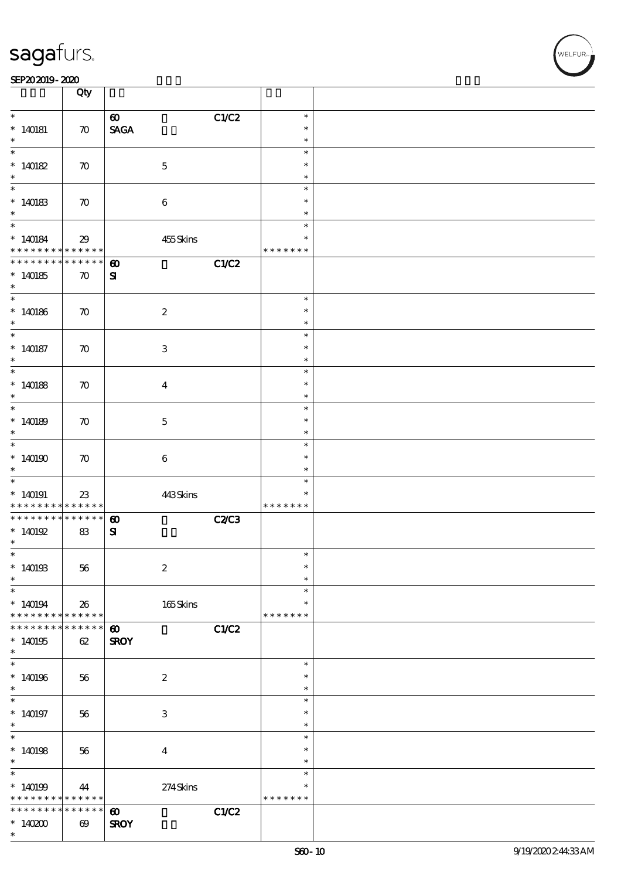#### SEP202019-2020 DEEP202019-2020 DEEP202019-2020 DEEP202019-2020 DEEP202019-2020 DEEP20

|                                                                            | Qty                             |                                                         |              |                                   |  |
|----------------------------------------------------------------------------|---------------------------------|---------------------------------------------------------|--------------|-----------------------------------|--|
| $\ast$<br>$*140181$                                                        | $\boldsymbol{\pi}$              | $\boldsymbol{\omega}$<br>$\operatorname{\mathsf{SAGA}}$ | C1/C2        | $\ast$<br>$\ast$<br>$\ast$        |  |
| $\ast$<br>$*140182$<br>$\ast$                                              | $\boldsymbol{\pi}$              | $\mathbf 5$                                             |              | $\ast$<br>$\ast$<br>$\ast$        |  |
| $*140183$<br>$\ast$                                                        | $\boldsymbol{\pi}$              | $\,6\,$                                                 |              | $\ast$<br>$\ast$<br>*             |  |
| $\ddot{x}$<br>* 140184<br>* * * * * * * *                                  | 29<br>******                    | 455Skins                                                |              | $\ast$<br>$\ast$<br>* * * * * * * |  |
| * * * * * * * * * * * * * * *<br>$*140185$                                 | $\boldsymbol{\pi}$              | $\boldsymbol{\omega}$<br>${\bf s}$                      | C1/C2        |                                   |  |
| $\ast$<br>$\overline{\phantom{0}}$<br>$*140186$<br>$\ast$                  | $\boldsymbol{\pi}$              | $\boldsymbol{2}$                                        |              | $\ast$<br>$\ast$<br>$\ast$        |  |
| $\overline{\ast}$<br>$*140187$<br>$\ast$                                   | $\boldsymbol{\pi}$              | $\ensuremath{\mathbf{3}}$                               |              | $\ast$<br>$\ast$<br>$\ast$        |  |
| $\overline{\phantom{0}}$<br>$*140188$<br>$\ast$                            | $\boldsymbol{\pi}$              | $\overline{\mathbf{4}}$                                 |              | $\ast$<br>$\ast$<br>$\ast$        |  |
| $\overline{\phantom{0}}$<br>$*140189$<br>$\ast$                            | $\boldsymbol{\pi}$              | $\mathbf 5$                                             |              | $\ast$<br>$\ast$<br>$\ast$        |  |
| $\overline{\ast}$<br>$*140190$<br>$\ast$                                   | $\boldsymbol{\pi}$              | $\,6\,$                                                 |              | $\ast$<br>$\ast$<br>$\ast$        |  |
| $\overline{\phantom{0}}$<br>$*140191$<br>* * * * * * * *                   | 23<br>* * * * * *               | 443Skins                                                |              | $\ast$<br>$\ast$<br>* * * * * * * |  |
| * * * * * * * *<br>$*140192$<br>$\ast$                                     | $******$<br>83                  | $\boldsymbol{\omega}$<br>${\bf s}$                      | <b>C2/C3</b> |                                   |  |
| $\ast$<br>$*140193$<br>$\ast$                                              | 56                              | $\boldsymbol{2}$                                        |              | $\ast$<br>$\ast$<br>$\ast$        |  |
| $\ast$<br>$*140194$<br>* * * * * * * *                                     | 26<br>* * * * * *               | 165Skins                                                |              | $\ast$<br>$\ast$<br>* * * * * * * |  |
| * * * * * * *<br>$*140195$<br>$\ast$                                       | * * * * * *<br>62               | $\boldsymbol{\omega}$<br><b>SROY</b>                    | C1/C2        |                                   |  |
| $\overline{\ast}$<br>$*140196$<br>$\ast$                                   | 56                              | $\boldsymbol{2}$                                        |              | $\ast$<br>$\ast$<br>$\ast$        |  |
| $\ast$<br>$*140197$<br>$\ast$                                              | 56                              | $\ensuremath{\mathbf{3}}$                               |              | $\ast$<br>$\ast$<br>$\ast$        |  |
| $\overline{\phantom{0}}$<br>$*140198$<br>$\ast$                            | 56                              | $\bf{4}$                                                |              | $\ast$<br>$\ast$<br>$\ast$        |  |
| $\overline{\ast}$<br>$*140199$<br>* * * * * * * * <mark>* * * * * *</mark> | 44                              | $274$ Skins                                             |              | $\ast$<br>$\ast$<br>* * * * * * * |  |
| * * * * * * * *<br>$*140200$<br>$\ast$                                     | ******<br>$\boldsymbol{\omega}$ | $\boldsymbol{\omega}$<br><b>SROY</b>                    | C1/C2        |                                   |  |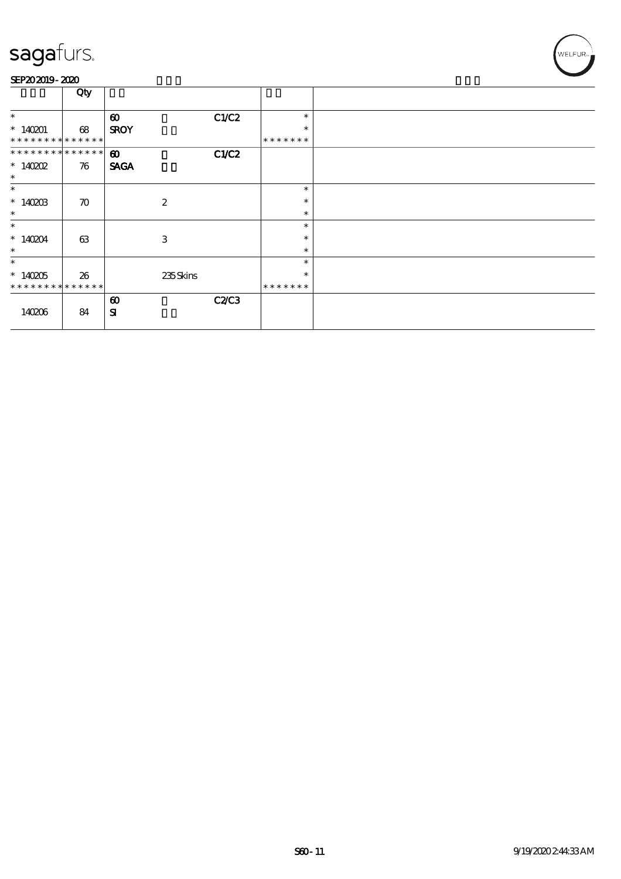#### SEP202019-2020

|                               | Qty                |                       |              |         |  |
|-------------------------------|--------------------|-----------------------|--------------|---------|--|
|                               |                    |                       |              |         |  |
| $\ast$                        |                    | $\boldsymbol{\omega}$ | C1/C2        | $\ast$  |  |
| $*140201$                     | 68                 | <b>SROY</b>           |              | $\ast$  |  |
| * * * * * * * * * * * * * *   |                    |                       |              | ******* |  |
| * * * * * * * * * * * * * * * |                    | $\boldsymbol{\omega}$ | C1/C2        |         |  |
| $*140002$                     | 76                 | <b>SAGA</b>           |              |         |  |
| $\ast$                        |                    |                       |              |         |  |
| $\ast$                        |                    |                       |              | $\ast$  |  |
| $*140203$                     | $\boldsymbol{\pi}$ | $\boldsymbol{2}$      |              | $\ast$  |  |
| $\ast$                        |                    |                       |              | $\ast$  |  |
| $\ast$                        |                    |                       |              | $\ast$  |  |
| $*140204$                     | 63                 | 3                     |              | $\ast$  |  |
| $\ast$                        |                    |                       |              | $\ast$  |  |
| $\ast$                        |                    |                       |              | $\ast$  |  |
| $*140205$                     | 26                 | 235Skins              |              | $\ast$  |  |
| * * * * * * * * * * * * * *   |                    |                       |              | ******* |  |
|                               |                    | $\boldsymbol{\omega}$ | <b>C2/C3</b> |         |  |
| 140206                        | 84                 | ${\bf s}$             |              |         |  |
|                               |                    |                       |              |         |  |

WELFUR<sub>™</sub>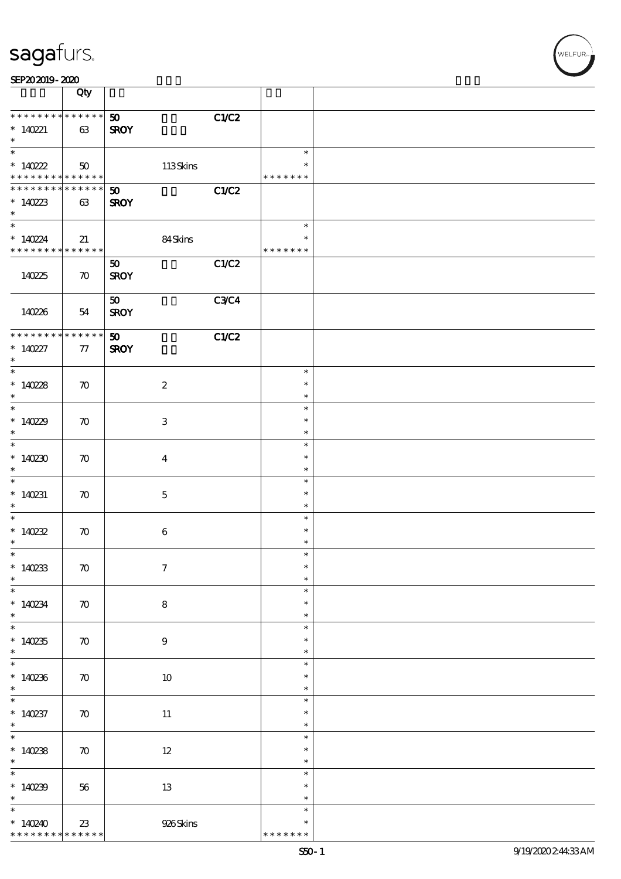| SEP202019-2020 |
|----------------|
|----------------|

|                                                 | Qty                   |                                               |                                   |  |
|-------------------------------------------------|-----------------------|-----------------------------------------------|-----------------------------------|--|
| * * * * * * * * * * * * * *<br>$*140221$        |                       | C1/C2<br>50 <sub>o</sub>                      |                                   |  |
| $\ast$<br>$\overline{\ast}$                     | 63                    | <b>SROY</b>                                   |                                   |  |
| $*140222$                                       | 50                    | $113$ Skins                                   | $\ast$<br>$\ast$                  |  |
| * * * * * * * *<br>******** <mark>******</mark> | * * * * * *           | C1/C2<br>$\boldsymbol{\mathfrak{D}}$          | * * * * * * *                     |  |
| $*140223$<br>$\ast$                             | 63                    | <b>SROY</b>                                   |                                   |  |
| $\overline{\ast}$<br>$*140224$                  | 21                    | 84Skins                                       | $\ast$<br>$\ast$                  |  |
| * * * * * * * * * * * * * * *                   |                       |                                               | * * * * * * *                     |  |
| 140225                                          | $\boldsymbol{\pi}$    | C1/C2<br>50<br><b>SROY</b>                    |                                   |  |
| 140226                                          | 54                    | <b>C3C4</b><br>50 <sub>o</sub><br><b>SROY</b> |                                   |  |
| * * * * * * * *                                 | $******$              | C1/C2<br>50 <sub>2</sub>                      |                                   |  |
| $* 140227$<br>$\ast$                            | 77                    | <b>SROY</b>                                   |                                   |  |
| $\overline{\phantom{0}}$<br>$*14028$            | $\boldsymbol{\pi}$    | $\boldsymbol{2}$                              | $\ast$<br>$\ast$                  |  |
| $\ast$                                          |                       |                                               | $\ast$                            |  |
| $*14029$<br>$\ast$                              | $\boldsymbol{\pi}$    | $\,3\,$                                       | $\ast$<br>$\ast$<br>$\ast$        |  |
| $\overline{\ast}$                               |                       |                                               | $\ast$<br>$\ast$                  |  |
| $*140230$<br>$\ast$                             | $\boldsymbol{\pi}$    | $\boldsymbol{4}$                              | $\ast$                            |  |
| $\overline{\ast}$<br>$*140231$<br>$\ast$        | $\boldsymbol{\pi}$    | $\mathbf 5$                                   | $\ast$<br>$\ast$<br>$\ast$        |  |
| $\ast$                                          |                       |                                               | $\ast$                            |  |
| $*140232$<br>$\ast$                             | $\boldsymbol{\pi}$    | $\,6\,$                                       | $\ast$<br>$\ast$                  |  |
| $*$<br>$*140233$                                | $\boldsymbol{\pi}$    | $\boldsymbol{7}$                              | $\ast$<br>$\ast$                  |  |
| $\ast$<br>$\ast$                                |                       |                                               | $\ast$<br>$\ast$                  |  |
| $*140234$<br>$\ast$                             | $\boldsymbol{\pi}$    | $\bf 8$                                       | $\ast$<br>$\ast$                  |  |
| $\overline{\phantom{0}}$<br>$*140235$<br>$\ast$ | $\boldsymbol{\pi}$    | $\boldsymbol{9}$                              | $\ast$<br>$\ast$<br>$\ast$        |  |
| $\overline{\ast}$                               |                       |                                               | $\ast$                            |  |
| $*140236$<br>$\ast$                             | $\boldsymbol{\pi}$    | $10\,$                                        | $\ast$<br>$\ast$                  |  |
| $\overline{\phantom{0}}$<br>$*140237$<br>$\ast$ | $\boldsymbol{\pi}$    | $11\,$                                        | $\ast$<br>$\ast$<br>$\ast$        |  |
| $\overline{\ast}$<br>$*140238$<br>$\ast$        | $\boldsymbol{\pi}$    | $12\,$                                        | $\ast$<br>$\ast$<br>$\ast$        |  |
| $\ast$<br>$*140239$                             | 56                    | 13                                            | $\ast$<br>$\ast$                  |  |
| $\ast$                                          |                       |                                               | $\ast$                            |  |
| $\ast$<br>$*140240$<br>* * *<br>* * *           | $23\,$<br>* * * * * * | 926Skins                                      | $\ast$<br>$\ast$<br>* * * * * * * |  |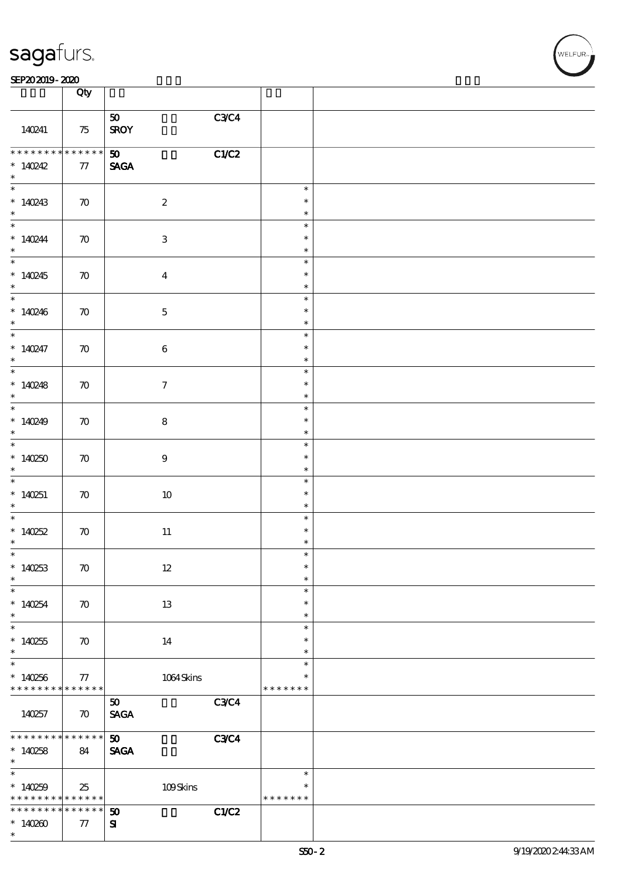| <b>saga</b> furs. |
|-------------------|
|                   |

### $SEP202019 - 2020$

|                                                          | Qty                |                              |             |                         |  |
|----------------------------------------------------------|--------------------|------------------------------|-------------|-------------------------|--|
|                                                          |                    |                              |             |                         |  |
| 140241                                                   | 75                 | 50<br><b>SROY</b>            | C3C4        |                         |  |
| * * * * * * * *                                          | $*******$          | $\boldsymbol{\mathfrak{w}}$  | C1/C2       |                         |  |
| * $140242$<br>$*$                                        | 77                 | $\ensuremath{\mathsf{SAGA}}$ |             |                         |  |
|                                                          |                    |                              |             | $\ast$                  |  |
| $*140243$<br>$*$                                         | $\boldsymbol{\pi}$ | $\boldsymbol{2}$             |             | $\ast$<br>$\ast$        |  |
| $\ddot{x}$                                               |                    |                              |             | $\ast$                  |  |
| $*140244$<br>$\ast$                                      | $\boldsymbol{\pi}$ | $\ensuremath{\mathbf{3}}$    |             | $\ast$<br>$\ast$        |  |
|                                                          |                    |                              |             | $\ast$                  |  |
| $*140245$<br>$\ast$                                      | $\boldsymbol{\pi}$ | $\bf{4}$                     |             | $\ast$<br>$\ast$        |  |
| $\overline{\phantom{0}}$                                 |                    |                              |             | $\ast$<br>$\ast$        |  |
| $*140246$<br>$\ast$                                      | $\boldsymbol{\pi}$ | $\mathbf 5$                  |             | $\ast$                  |  |
| $\overline{\ast}$                                        |                    |                              |             | $\ast$                  |  |
| $*140247$<br>$\ast$                                      | $\boldsymbol{\pi}$ | $\bf 6$                      |             | $\ast$<br>$\ast$        |  |
| $\overline{\ast}$                                        |                    |                              |             | $\ast$                  |  |
| $*140248$<br>$\ast$                                      | $\boldsymbol{\pi}$ | $\boldsymbol{7}$             |             | $\ast$<br>$\ast$        |  |
| $*$                                                      |                    |                              |             | $\ast$                  |  |
| * $140249$<br>$\ast$                                     | $\boldsymbol{\pi}$ | $\bf 8$                      |             | $\ast$<br>$\ast$        |  |
| $\overline{\ast}$                                        |                    |                              |             | $\ast$                  |  |
| $*140250$<br>$\ast$                                      | $\boldsymbol{\pi}$ | $\boldsymbol{9}$             |             | $\ast$<br>$\ast$        |  |
|                                                          |                    |                              |             | $\ast$                  |  |
| $*140251$<br>$\ast$                                      | $\boldsymbol{\pi}$ | 10                           |             | $\ast$<br>$\ast$        |  |
| $*$                                                      |                    |                              |             | $\ast$                  |  |
| $*140252$                                                | $\boldsymbol{\pi}$ | $11\,$                       |             | $\ast$                  |  |
| $\ast$<br>$\ast$                                         |                    |                              |             | $\ast$                  |  |
| $*140253$                                                | $\boldsymbol{\pi}$ | $12 \,$                      |             | ж<br>$\ast$             |  |
| $\ast$                                                   |                    |                              |             | $\ast$                  |  |
| $\ast$                                                   |                    |                              |             | $\ast$<br>$\ast$        |  |
| $*140254$<br>$\ast$                                      | $\boldsymbol{\pi}$ | 13                           |             | $\ast$                  |  |
| $\ast$                                                   |                    |                              |             | $\ast$                  |  |
| $*140255$                                                | $\boldsymbol{\pi}$ | 14                           |             | $\ast$                  |  |
| $\ast$<br>$\ast$                                         |                    |                              |             | $\ast$<br>$\ast$        |  |
| $*140256$                                                | 77                 | $1064\,$ Skins               |             | $\ast$                  |  |
| * * * * * * * *                                          | $* * * * * * *$    |                              |             | * * * * * * *           |  |
| 140257                                                   | $\boldsymbol{\pi}$ | 50<br><b>SAGA</b>            | <b>C3C4</b> |                         |  |
| * * * * * * * *                                          | $* * * * * * *$    | 50 <sub>o</sub>              | <b>C3C4</b> |                         |  |
| $*140258$                                                | 84                 | <b>SAGA</b>                  |             |                         |  |
| $\ast$                                                   |                    |                              |             |                         |  |
| $\overline{\ast}$                                        |                    |                              |             | $\ast$                  |  |
| * $140259$<br>* * * * * * * * <mark>* * * * * * *</mark> | 25                 | 109Skins                     |             | $\ast$<br>* * * * * * * |  |
| * * * * * * * *                                          | $* * * * * * *$    | $\boldsymbol{\mathfrak{D}}$  | C1/C2       |                         |  |
| $*140200$                                                | 77                 | ${\bf s}$                    |             |                         |  |
| $\ast$                                                   |                    |                              |             |                         |  |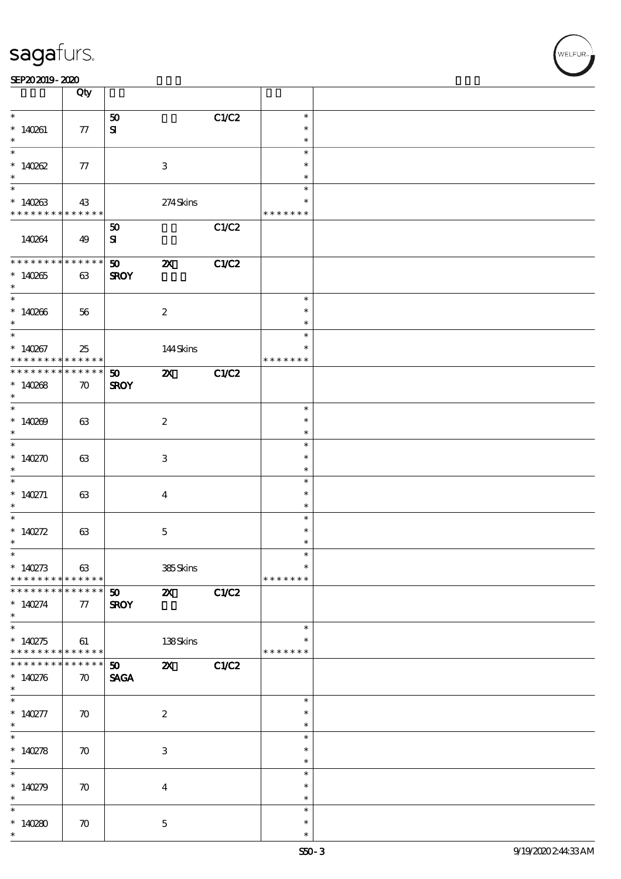|                                            | Qty                |                       |                           |       |               |  |
|--------------------------------------------|--------------------|-----------------------|---------------------------|-------|---------------|--|
| $\ast$                                     |                    | 50                    |                           | C1/C2 | $\ast$        |  |
| $*140261$                                  |                    | ${\bf s}$             |                           |       | $\ast$        |  |
| $\ast$                                     | 77                 |                       |                           |       | $\ast$        |  |
|                                            |                    |                       |                           |       | $\ast$        |  |
|                                            |                    |                       |                           |       |               |  |
| $*140262$                                  | 77                 |                       | $\,3$                     |       | $\ast$        |  |
| $\ast$                                     |                    |                       |                           |       | $\ast$        |  |
|                                            |                    |                       |                           |       | $\ast$        |  |
| $*140263$                                  | 43                 |                       | 274Skins                  |       | $\ast$        |  |
| * * * * * * * *                            | ******             |                       |                           |       | * * * * * * * |  |
|                                            |                    | 50                    |                           | C1/C2 |               |  |
| 140264                                     | 49                 | ${\bf s}$             |                           |       |               |  |
|                                            |                    |                       |                           |       |               |  |
| * * * * * * * * * * * * * * *              |                    | $\boldsymbol{\omega}$ | $\boldsymbol{\mathsf{X}}$ | C1/C2 |               |  |
| $*140265$                                  | 63                 | <b>SROY</b>           |                           |       |               |  |
| $*$                                        |                    |                       |                           |       |               |  |
| $\overline{\phantom{0}}$                   |                    |                       |                           |       | $\ast$        |  |
|                                            |                    |                       |                           |       |               |  |
| $*140266$                                  | 56                 |                       | $\boldsymbol{2}$          |       | $\ast$        |  |
| $\ast$                                     |                    |                       |                           |       | $\ast$        |  |
| $\overline{\ast}$                          |                    |                       |                           |       | $\ast$        |  |
| $*14087$                                   | 25                 |                       | 144Skins                  |       | $\ast$        |  |
| * * * * * * * *                            | * * * * * * *      |                       |                           |       | * * * * * * * |  |
| * * * * * * * * <mark>* * * * * * *</mark> |                    | 50                    | $\boldsymbol{\mathsf{X}}$ | C1/C2 |               |  |
| $*140268$                                  | $\boldsymbol{\pi}$ | <b>SROY</b>           |                           |       |               |  |
| $\ast$                                     |                    |                       |                           |       |               |  |
|                                            |                    |                       |                           |       | $\ast$        |  |
| $*140209$                                  | 63                 |                       | $\boldsymbol{2}$          |       | $\ast$        |  |
| $\ast$                                     |                    |                       |                           |       | $\ast$        |  |
| $\overline{\phantom{0}}$                   |                    |                       |                           |       | $\ast$        |  |
| $*140270$                                  |                    |                       |                           |       | $\ast$        |  |
|                                            | 63                 |                       | 3                         |       | $\ast$        |  |
| $\ast$<br>$\overline{\phantom{0}}$         |                    |                       |                           |       |               |  |
|                                            |                    |                       |                           |       | $\ast$        |  |
| * $140271$                                 | 63                 |                       | $\overline{\mathbf{4}}$   |       | $\ast$        |  |
| $\ast$                                     |                    |                       |                           |       | $\ast$        |  |
| $*$                                        |                    |                       |                           |       | $\ast$        |  |
| * $140272$                                 | 63                 |                       | $\mathbf 5$               |       | $\ast$        |  |
| $\ast$                                     |                    |                       |                           |       | $\ast$        |  |
| $\ast$                                     |                    |                       |                           |       | $\ast$        |  |
| * $140273$                                 | 63                 |                       | 385Skins                  |       | $\ast$        |  |
| * * * * * * * *                            | ******             |                       |                           |       | * * * * * * * |  |
| * * * * * * * *                            | $* * * * * * *$    | 50                    | $\boldsymbol{\alpha}$     | C1/C2 |               |  |
| $* 140274$                                 | $77\,$             | <b>SROY</b>           |                           |       |               |  |
| $\ast$                                     |                    |                       |                           |       |               |  |
|                                            |                    |                       |                           |       | $\ast$        |  |
| $*140275$                                  | 61                 |                       |                           |       |               |  |
| * * * * * * * * <mark>* * * * * *</mark>   |                    |                       | 138Skins                  |       | * * * * * * * |  |
| * * * * * * * *                            |                    |                       |                           |       |               |  |
|                                            | * * * * * * *      | 50                    | $\mathbf{X}$              | C1/C2 |               |  |
| * $140276$                                 | $\boldsymbol{\pi}$ | <b>SAGA</b>           |                           |       |               |  |
| $\ast$                                     |                    |                       |                           |       |               |  |
| $*$                                        |                    |                       |                           |       | $\ast$        |  |
| * $140277$                                 | $\boldsymbol{\pi}$ |                       | $\boldsymbol{2}$          |       | $\ast$        |  |
| $*$                                        |                    |                       |                           |       | $\ast$        |  |
| $\ast$                                     |                    |                       |                           |       | $\ast$        |  |
| * $140278$                                 | $\boldsymbol{\pi}$ |                       | $\ensuremath{\mathbf{3}}$ |       | $\ast$        |  |
| $\ast$                                     |                    |                       |                           |       | $\ast$        |  |
| $\overline{\ast}$                          |                    |                       |                           |       | $\ast$        |  |
| * $140279$                                 | $\boldsymbol{\pi}$ |                       | $\overline{\mathbf{4}}$   |       | $\ast$        |  |
| $\ast$                                     |                    |                       |                           |       | $\ast$        |  |
|                                            |                    |                       |                           |       | $\ast$        |  |
| * $140280$                                 |                    |                       | $\mathbf{5}$              |       | $\ast$        |  |
| $\ast$                                     | $\boldsymbol{\pi}$ |                       |                           |       | $\ast$        |  |
|                                            |                    |                       |                           |       |               |  |

 $\overline{\mathsf{T}}$ 

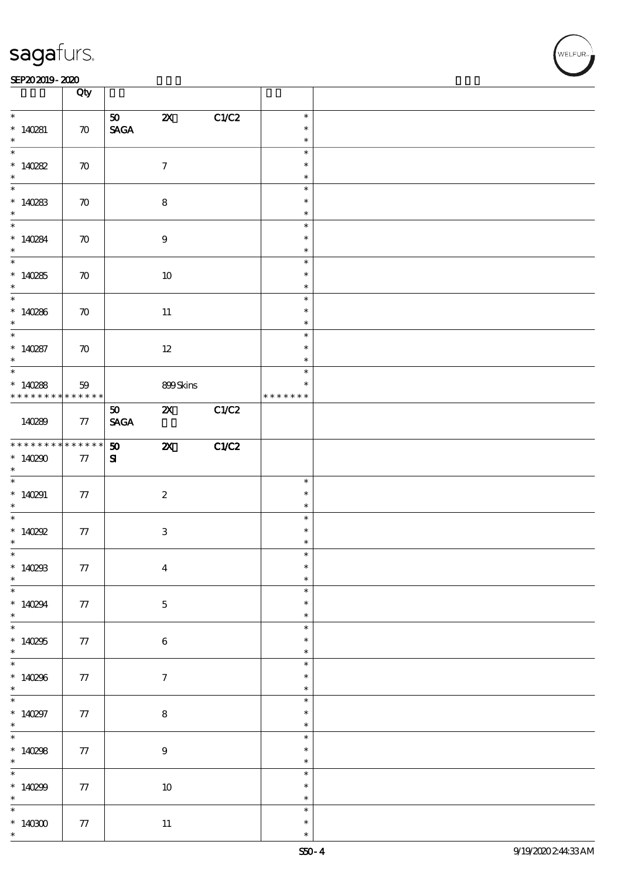#### SEP202019-2020 DEEP202019-2020 DEEP202019-2020 DEEP202019-2020 DEEP202019-2020 DEEP20

|                                                                        | Qty                |                                      |                           |       |                                      |  |
|------------------------------------------------------------------------|--------------------|--------------------------------------|---------------------------|-------|--------------------------------------|--|
| $\ast$<br>$* 140281$<br>$\ast$                                         | $\boldsymbol{\pi}$ | 50<br>$\operatorname{\mathsf{SAGA}}$ | $\boldsymbol{\mathsf{Z}}$ | C1/C2 | $\ast$<br>$\ast$<br>$\ast$           |  |
| $\overline{\ast}$<br>$*140282$<br>$\ast$                               | $\boldsymbol{\pi}$ |                                      | $\boldsymbol{\tau}$       |       | $\ast$<br>$\ast$<br>$\ast$           |  |
| $*140283$<br>$\ast$                                                    | $\boldsymbol{\pi}$ |                                      | $\bf 8$                   |       | $\ast$<br>$\ast$<br>$\ast$           |  |
| $* 140284$<br>$\ast$                                                   | $\boldsymbol{\pi}$ |                                      | $9\,$                     |       | $\ast$<br>$\ast$<br>$\ast$           |  |
| $*140285$<br>$*$                                                       | $\boldsymbol{\pi}$ |                                      | $10\,$                    |       | $\ast$<br>$\ast$<br>$\ast$           |  |
| $*140286$<br>$\ast$                                                    | $\boldsymbol{\pi}$ |                                      | $11\,$                    |       | $\ast$<br>$\ast$<br>$\ast$           |  |
| $\overline{\ast}$<br>$* 140287$<br>$\ast$                              | $\boldsymbol{\pi}$ |                                      | $12\,$                    |       | $\ast$<br>$\ast$<br>$\ast$           |  |
| $\overline{\phantom{0}}$<br>$*140288$<br>* * * * * * * * * * * * * * * | 59                 |                                      | 899Skins                  |       | $\ast$<br>$\ast$<br>* * * * * * *    |  |
| 140289                                                                 | 77                 | 50 <sub>o</sub><br><b>SAGA</b>       | $\mathbf{X}$              | C1/C2 |                                      |  |
| * * * * * * * *<br>$*140290$<br>$\ast$                                 | $******$<br>77     | 50<br>${\bf s}$                      | $\boldsymbol{\mathsf{z}}$ | C1/C2 |                                      |  |
| * $140291$<br>$*$                                                      | 77                 |                                      | $\boldsymbol{2}$          |       | $\ast$<br>$\ast$<br>$\ast$           |  |
| $*140292$<br>$\ast$                                                    | 77                 |                                      | $\,3$                     |       | $\ast$<br>$\ast$<br>$\ast$           |  |
| $*$<br>$*140293$<br>$\ast$                                             | ${\bf 77}$         |                                      | $\boldsymbol{4}$          |       | $\ast$<br>$\ast$<br>$\ast$           |  |
| $\ast$<br>$*140294$<br>$\ast$                                          | 77                 |                                      | $\bf 5$                   |       | $\ast$<br>$\ast$<br>$\ast$           |  |
| $*140255$<br>$\ast$                                                    | 77                 |                                      | $\bf 6$                   |       | $\ast$<br>$\ast$<br>$\ast$           |  |
| $\overline{\ast}$<br>$*140296$                                         |                    |                                      |                           |       |                                      |  |
| $\ast$                                                                 | $77\,$             |                                      | $\boldsymbol{\tau}$       |       | $\ast$<br>$\ast$<br>$\ast$           |  |
| $\overline{\phantom{0}}$<br>$*140297$<br>$\ast$                        | 77                 |                                      | $\bf 8$                   |       | $\ast$<br>$\ast$<br>$\ast$           |  |
| $\overline{\phantom{0}}$<br>$*140298$<br>$\ast$                        | 77                 |                                      | $\boldsymbol{9}$          |       | $\ast$<br>$\ast$<br>$\ast$           |  |
| $\ast$<br>$*140299$<br>$\ast$<br>$\ast$                                | $77\,$             |                                      | $10\,$                    |       | $\ast$<br>$\ast$<br>$\ast$<br>$\ast$ |  |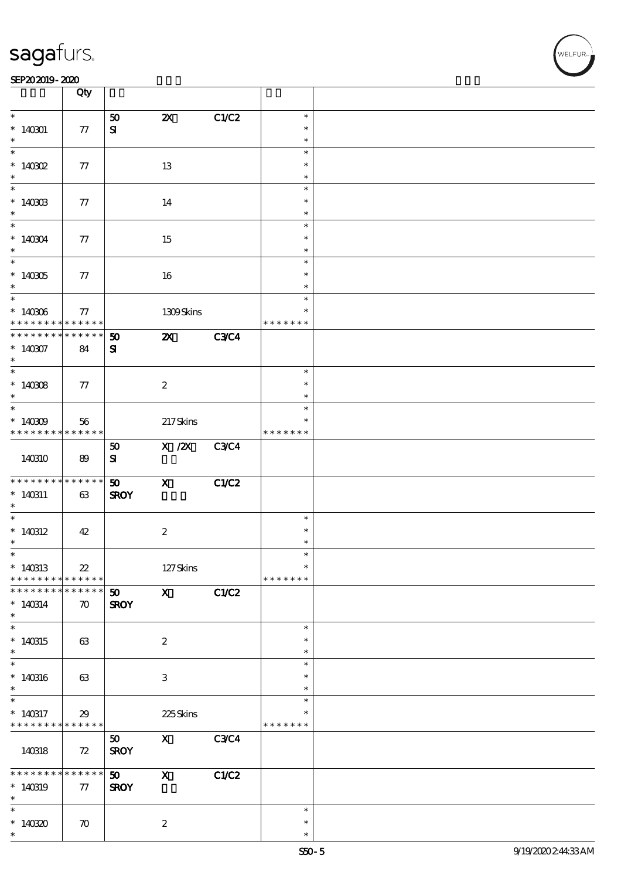#### SEP202019-2020 DEEP202019-2020 DEEP202019-2020 DEEP202019-2020 DEEP202019-2020 DEEP20

|                                    | Qty                |                 |                              |             |               |  |
|------------------------------------|--------------------|-----------------|------------------------------|-------------|---------------|--|
| $\ast$                             |                    |                 |                              |             | $\ast$        |  |
| $*140301$                          | 77                 | 50<br>${\bf s}$ | $\boldsymbol{\mathsf{X}}$    | C1/C2       | $\ast$        |  |
| $\ast$                             |                    |                 |                              |             | $\ast$        |  |
| $\ast$                             |                    |                 |                              |             | $\ast$        |  |
| $*$ 140302                         | 77                 |                 | 13                           |             | $\ast$        |  |
| $\ast$                             |                    |                 |                              |             | $\ast$        |  |
| $\ast$                             |                    |                 |                              |             | $\ast$        |  |
| $*140303$                          | 77                 |                 | 14                           |             | $\ast$        |  |
| $\ast$                             |                    |                 |                              |             | $\ast$        |  |
| $*$                                |                    |                 |                              |             | $\ast$        |  |
| $*140304$                          |                    |                 |                              |             | $\ast$        |  |
| $\ast$                             | $77\,$             |                 | 15                           |             | $\ast$        |  |
|                                    |                    |                 |                              |             |               |  |
|                                    |                    |                 |                              |             | $\ast$        |  |
| $*140305$                          | 77                 |                 | 16                           |             | $\ast$        |  |
| $\ast$<br>$\overline{\phantom{0}}$ |                    |                 |                              |             | $\ast$        |  |
|                                    |                    |                 |                              |             | $\ast$        |  |
| $*140306$                          | 77                 |                 | 1309Skins                    |             | $\ast$        |  |
| * * * * * * * *                    | $* * * * * * *$    |                 |                              |             | * * * * * * * |  |
| * * * * * * * *                    | $* * * * * * *$    | 50              | $\boldsymbol{\mathsf{z}}$    | <b>C3C4</b> |               |  |
| $*140307$                          | 84                 | ${\bf s}$       |                              |             |               |  |
| $\ast$                             |                    |                 |                              |             |               |  |
|                                    |                    |                 |                              |             | $\ast$        |  |
| $*140308$                          | 77                 |                 | $\boldsymbol{2}$             |             | $\ast$        |  |
| $\ast$                             |                    |                 |                              |             | $\ast$        |  |
| $*$                                |                    |                 |                              |             | $\ast$        |  |
| $*140309$                          | 56                 |                 | 217Skins                     |             | $\ast$        |  |
| * * * * * * * *                    | * * * * * * *      |                 |                              |             | * * * * * * * |  |
|                                    |                    | 50              | $\overline{X}/\overline{Z}X$ | <b>C3C4</b> |               |  |
| 140310                             | 89                 | ${\bf s}$       |                              |             |               |  |
|                                    |                    |                 |                              |             |               |  |
| * * * * * * * * * * * * * * *      |                    | 50              | $\boldsymbol{\mathsf{X}}$    | CLC2        |               |  |
| $*140311$                          | 63                 | <b>SROY</b>     |                              |             |               |  |
| $\ast$                             |                    |                 |                              |             |               |  |
| $\ast$                             |                    |                 |                              |             | $\ast$        |  |
| $*140312$                          | 42                 |                 | $\boldsymbol{2}$             |             | $\ast$        |  |
| $\ast$                             |                    |                 |                              |             |               |  |
| $\ast$                             |                    |                 |                              |             |               |  |
| $*140313$                          | $22\,$             |                 | $127$ Skins                  |             | $\ast$        |  |
| * * * * * * * *                    | * * * * * *        |                 |                              |             | * * * * * * * |  |
| * * * * * * * *                    | ******             | 50 <sub>o</sub> | $\mathbf{x}$                 | C1/C2       |               |  |
|                                    |                    |                 |                              |             |               |  |
| $* 140314$<br>$\ast$               | $\boldsymbol{\pi}$ | <b>SROY</b>     |                              |             |               |  |
| $\ast$                             |                    |                 |                              |             |               |  |
|                                    |                    |                 |                              |             | $\ast$        |  |
| $*140315$                          | 63                 |                 | $\boldsymbol{2}$             |             | $\ast$        |  |
| $\ast$<br>$\overline{\ast}$        |                    |                 |                              |             | $\ast$        |  |
|                                    |                    |                 |                              |             | $\ast$        |  |
| $*140316$                          | 63                 |                 | $\ensuremath{\mathbf{3}}$    |             | $\ast$        |  |
| $\ast$                             |                    |                 |                              |             | $\ast$        |  |
| $\ast$                             |                    |                 |                              |             | $\ast$        |  |
| $*140317$                          | 29                 |                 | 225Skins                     |             | *             |  |
| * * * * * * * *                    | ******             |                 |                              |             | * * * * * * * |  |
|                                    |                    | 50              | $\mathbf x$                  | C3C4        |               |  |
| 140318                             | 72                 | <b>SROY</b>     |                              |             |               |  |
|                                    |                    |                 |                              |             |               |  |
| * * * * * * * *                    | $* * * * * * *$    | 50 <sub>o</sub> | $\mathbf{x}$                 | C1/C2       |               |  |
| $*140319$                          | 77                 | <b>SROY</b>     |                              |             |               |  |
| $\ast$                             |                    |                 |                              |             |               |  |
| $\ast$                             |                    |                 |                              |             | $\ast$        |  |
| $*14030$                           | $\boldsymbol{\pi}$ |                 | $\boldsymbol{z}$             |             | $\ast$        |  |
| $\ast$                             |                    |                 |                              |             | $\ast$        |  |

-<br>ELFUR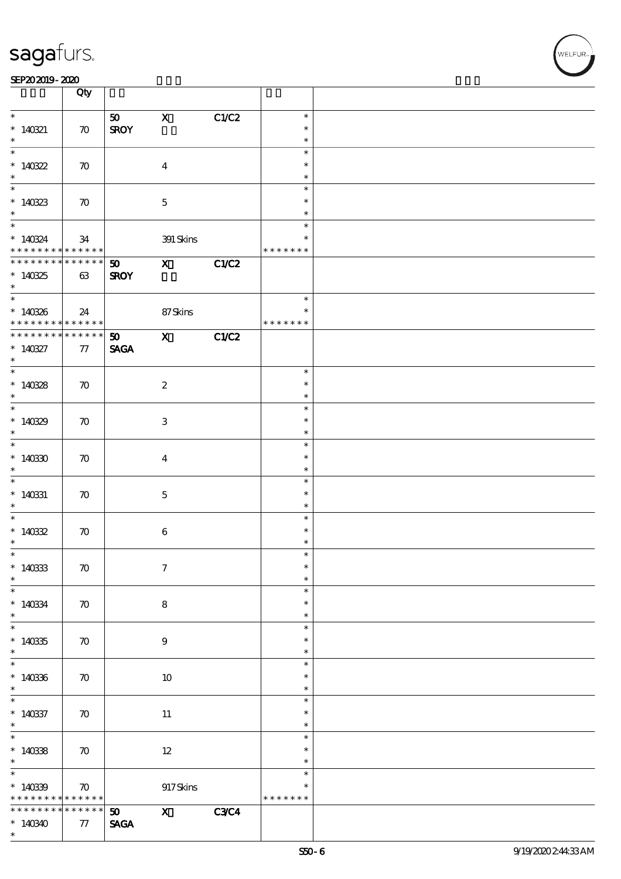#### SEP202019-2020

|                                          | Qty                |                                |                           |             |               |  |
|------------------------------------------|--------------------|--------------------------------|---------------------------|-------------|---------------|--|
|                                          |                    |                                |                           |             |               |  |
|                                          |                    |                                | $\mathbf{X}$              |             | $\ast$        |  |
|                                          |                    | 50                             |                           | C1/C2       | $\ast$        |  |
| $*140321$                                | $\boldsymbol{\pi}$ | <b>SROY</b>                    |                           |             |               |  |
| $\ast$                                   |                    |                                |                           |             | $\ast$        |  |
|                                          |                    |                                |                           |             | $\ast$        |  |
| $*140322$                                | $\boldsymbol{\pi}$ |                                | $\boldsymbol{4}$          |             | $\ast$        |  |
| $\ast$                                   |                    |                                |                           |             | $\ast$        |  |
|                                          |                    |                                |                           |             | $\ast$        |  |
| $*140323$                                | $\boldsymbol{\pi}$ |                                | $\mathbf 5$               |             | $\ast$        |  |
| $*$                                      |                    |                                |                           |             | $\ast$        |  |
| $\ddot{x}$                               |                    |                                |                           |             | $\ast$        |  |
| $*140324$                                | 34                 |                                | 391 Skins                 |             |               |  |
| * * * * * * * * * * * * * * *            |                    |                                |                           |             | * * * * * * * |  |
| * * * * * * * * * * * * * * *            |                    |                                |                           |             |               |  |
|                                          |                    | 50 X                           |                           | C1/C2       |               |  |
| $*140325$                                | 63                 | <b>SROY</b>                    |                           |             |               |  |
| $\overline{\phantom{a}}$                 |                    |                                |                           |             |               |  |
|                                          |                    |                                |                           |             | $\ast$        |  |
| $*140336$                                | 24                 |                                | 87Skins                   |             | $\ast$        |  |
| * * * * * * * * <mark>* * * * * *</mark> |                    |                                |                           |             | * * * * * * * |  |
| * * * * * * * * * * * * * * *            |                    | 50                             | $X$ C1/C2                 |             |               |  |
| $*140327$                                | 77                 | <b>SAGA</b>                    |                           |             |               |  |
| $\ast$                                   |                    |                                |                           |             |               |  |
| $\overline{\ast}$                        |                    |                                |                           |             | $\ast$        |  |
| $*140328$                                |                    |                                |                           |             | $\ast$        |  |
|                                          | $\boldsymbol{\pi}$ |                                | $\boldsymbol{2}$          |             | $\ast$        |  |
| $\ast$<br>$\overline{\phantom{0}}$       |                    |                                |                           |             |               |  |
|                                          |                    |                                |                           |             | $\ast$        |  |
| $*140329$                                | $\boldsymbol{\pi}$ |                                | $\ensuremath{\mathbf{3}}$ |             | $\ast$        |  |
| $\ast$                                   |                    |                                |                           |             | $\ast$        |  |
| $\overline{\ast}$                        |                    |                                |                           |             | $\ast$        |  |
| $*14030$                                 | $\boldsymbol{\pi}$ |                                | $\overline{\mathbf{4}}$   |             | $\ast$        |  |
| $\ast$                                   |                    |                                |                           |             | $\ast$        |  |
| $\overline{\phantom{0}}$                 |                    |                                |                           |             | $\ast$        |  |
| $*140331$                                | $\boldsymbol{\pi}$ |                                | $\mathbf{5}$              |             | $\ast$        |  |
| $\ast$                                   |                    |                                |                           |             | $\ast$        |  |
| $*$                                      |                    |                                |                           |             | $\ast$        |  |
|                                          |                    |                                |                           |             |               |  |
| $*14032$                                 | $\boldsymbol{\pi}$ |                                | $\boldsymbol{6}$          |             | $\ast$        |  |
| $\ast$                                   |                    |                                |                           |             |               |  |
| $\ast$                                   |                    |                                |                           |             |               |  |
| $*140333$                                | $\boldsymbol{\pi}$ |                                | $\boldsymbol{7}$          |             | $\ast$        |  |
| $\ast$                                   |                    |                                |                           |             | $\ast$        |  |
| $\ast$                                   |                    |                                |                           |             | $\ast$        |  |
| $*140334$                                | $\boldsymbol{\pi}$ |                                | ${\bf 8}$                 |             | $\ast$        |  |
| $*$                                      |                    |                                |                           |             | $\ast$        |  |
| $\ast$                                   |                    |                                |                           |             | $\ast$        |  |
| $*14035$                                 | $\boldsymbol{\pi}$ |                                | 9                         |             | $\ast$        |  |
| $\ast$                                   |                    |                                |                           |             | $\ast$        |  |
| $\overline{\ast}$                        |                    |                                |                           |             | $\ast$        |  |
|                                          |                    |                                |                           |             |               |  |
| $*140336$                                | $\boldsymbol{\pi}$ |                                | 10                        |             | $\ast$        |  |
| $\ast$                                   |                    |                                |                           |             | $\ast$        |  |
|                                          |                    |                                |                           |             | $\ast$        |  |
| $*140337$                                | $\boldsymbol{\pi}$ |                                | 11                        |             | $\ast$        |  |
| $\ast$                                   |                    |                                |                           |             | $\ast$        |  |
| $*$                                      |                    |                                |                           |             | $\ast$        |  |
| $*140338$                                | $\boldsymbol{\pi}$ |                                | $12 \,$                   |             | $\ast$        |  |
| $\ast$                                   |                    |                                |                           |             | $\ast$        |  |
| $\ast$                                   |                    |                                |                           |             | $\ast$        |  |
|                                          |                    |                                |                           |             |               |  |
| $*14039$                                 | $\boldsymbol{\pi}$ |                                | $917$ Skins               |             |               |  |
| * * * * * * * * * * * * * *              |                    |                                |                           |             | * * * * * * * |  |
| * * * * * * * *                          | $* * * * * * *$    | $\boldsymbol{\mathfrak{D}}$    | $\mathbf{X}$              | <b>C3C4</b> |               |  |
| $*140340$                                | $77\,$             | $\operatorname{\mathsf{SAGA}}$ |                           |             |               |  |
| $\ast$                                   |                    |                                |                           |             |               |  |

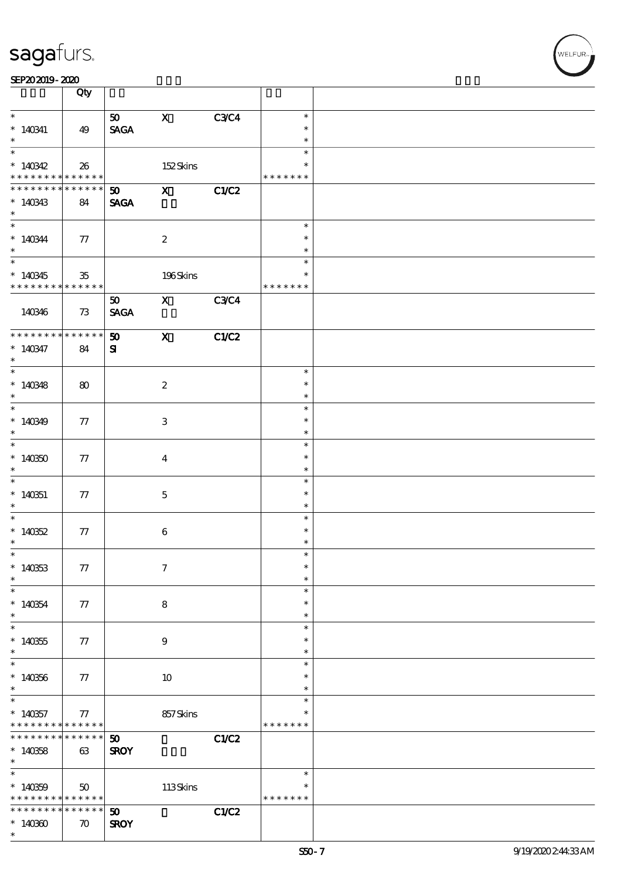| SEP202019-2020 |  |
|----------------|--|
|----------------|--|

|                                                                              | Qty                               |                                            |                                                                                             |             |                                   |  |
|------------------------------------------------------------------------------|-----------------------------------|--------------------------------------------|---------------------------------------------------------------------------------------------|-------------|-----------------------------------|--|
| $\ast$<br>$*140341$<br>$\ast$                                                | 49                                | 50<br><b>SAGA</b>                          | $\mathbf{X}$                                                                                | <b>C3C4</b> | $\ast$<br>$\ast$<br>$\ast$        |  |
| $\overline{\ast}$<br>$*140342$<br>* * * * * * * * <mark>* * * * * * *</mark> | 26                                |                                            | 152Skins                                                                                    |             | $\ast$<br>$\ast$<br>* * * * * * * |  |
| * * * * * * * *<br>$*140343$<br>$\ast$                                       | * * * * * *<br>84                 | $\mathbf{50}$ X<br><b>SAGA</b>             |                                                                                             | C1/C2       |                                   |  |
| $*140344$<br>$\ast$                                                          | $\tau$                            |                                            | $\boldsymbol{2}$                                                                            |             | $\ast$<br>$\ast$<br>$\ast$        |  |
| $\overline{\phantom{0}}$<br>$*140345$<br>* * * * * * * * * * * * * *         | 35                                |                                            | 196Skins                                                                                    |             | $\ast$<br>$\ast$<br>* * * * * * * |  |
| 140346                                                                       | 73                                | 50 <sub>o</sub><br><b>SAGA</b>             | $\mathbf X$ and $\mathbf X$ and $\mathbf X$ and $\mathbf X$ and $\mathbf X$ and $\mathbf X$ | <b>C3C4</b> |                                   |  |
| * * * * * * * * * * * * * *<br>$* 140347$<br>$\ast$                          | 84                                | 50<br>${\bf s}$                            | $\mathbf{x}$                                                                                | C1/C2       |                                   |  |
| $\overline{\phantom{0}}$<br>$*140348$<br>$\ast$                              | 80                                |                                            | $\boldsymbol{2}$                                                                            |             | $\ast$<br>$\ast$<br>$\ast$        |  |
| $*140349$<br>$\ast$                                                          | 77                                |                                            | $\ensuremath{\mathbf{3}}$                                                                   |             | $\ast$<br>$\ast$<br>$\ast$        |  |
| $\overline{\ast}$<br>$*140350$<br>$\ast$                                     | 77                                |                                            | $\boldsymbol{4}$                                                                            |             | $\ast$<br>$\ast$<br>$\ast$        |  |
| $\overline{\phantom{0}}$<br>$*140351$<br>$\ast$                              | 77                                |                                            | $\mathbf{5}$                                                                                |             | $\ast$<br>$\ast$<br>$\ast$        |  |
| $*140352$<br>$\ast$                                                          | 77                                |                                            | $\bf 6$                                                                                     |             | $\ast$<br>$\ast$<br>$\ast$        |  |
| $*$<br>$*140333$<br>$\ast$                                                   | 77                                |                                            | $\tau$                                                                                      |             | $\ast$<br>$\ast$<br>$\ast$        |  |
| $\ast$<br>$*140354$<br>$\ast$                                                | 77                                |                                            | 8                                                                                           |             | $\ast$<br>$\ast$<br>$\ast$        |  |
| $\ast$<br>$*140355$<br>$\ast$                                                | 77                                |                                            | $\boldsymbol{9}$                                                                            |             | $\ast$<br>∗<br>$\ast$             |  |
| $\ast$<br>$*140356$<br>$\ast$                                                | 77                                |                                            | 10                                                                                          |             | $\ast$<br>$\ast$<br>$\ast$        |  |
| $\ast$<br>$*140357$<br>* * * * * * * * <mark>* * * * * *</mark>              | 77                                |                                            | 857Skins                                                                                    |             | $\ast$<br>∗<br>* * * * * * *      |  |
| * * * * * * * *<br>$*140358$<br>$\ast$                                       | * * * * * *<br>63                 | 50<br><b>SROY</b>                          |                                                                                             | C1/C2       |                                   |  |
| $\ast$<br>$*140359$<br>* * * * * * * * * * * * * *                           | 50                                |                                            | $113$ Skins                                                                                 |             | $\ast$<br>$\ast$<br>* * * * * * * |  |
| * * * * * * * *<br>$*14030$<br>$\ast$                                        | * * * * * *<br>$\boldsymbol{\pi}$ | $\boldsymbol{\mathfrak{D}}$<br><b>SROY</b> |                                                                                             | C1/C2       |                                   |  |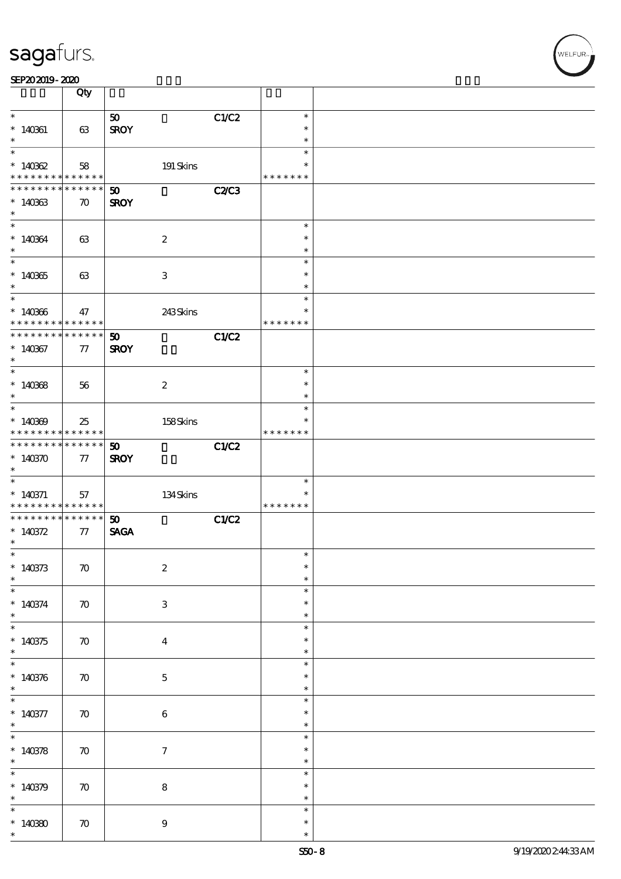| SEP202019-2020 |  |  |
|----------------|--|--|
|----------------|--|--|

|                                            | Qty                            |                             |              |                  |  |
|--------------------------------------------|--------------------------------|-----------------------------|--------------|------------------|--|
| $\ast$                                     |                                |                             |              | $\ast$           |  |
| $*140361$                                  |                                | 50<br><b>SROY</b>           | C1/C2        | $\ast$           |  |
| $\ast$                                     | 63                             |                             |              | $\ast$           |  |
| $\ast$                                     |                                |                             |              | $\ast$           |  |
| $*140362$                                  | 58                             | 191 Skins                   |              | $\ast$           |  |
| * * * * * * * * <mark>* * * * * *</mark>   |                                |                             |              | * * * * * * *    |  |
| * * * * * * * *                            | * * * * * *                    | $\boldsymbol{\mathfrak{D}}$ | <b>C2/C3</b> |                  |  |
| $*140333$                                  | $\boldsymbol{\pi}$             | <b>SROY</b>                 |              |                  |  |
| $\ast$                                     |                                |                             |              |                  |  |
| $\overline{\ast}$                          |                                |                             |              | $\ast$           |  |
| $*140364$                                  | 63                             | $\boldsymbol{2}$            |              | $\ast$           |  |
| $\ast$                                     |                                |                             |              | $\ast$           |  |
| $\overline{\phantom{0}}$                   |                                |                             |              | $\ast$           |  |
| $*140365$                                  | 63                             | $\ensuremath{\mathsf{3}}$   |              | $\ast$           |  |
| $\ast$                                     |                                |                             |              | $\ast$           |  |
| $\ast$                                     |                                |                             |              | $\ast$           |  |
| $*140366$                                  | 47                             | 243Skins                    |              | $\ast$           |  |
| * * * * * * * *                            | * * * * * *                    |                             |              | * * * * * * *    |  |
| ********                                   | $\ast\ast\ast\ast\ast\ast$     | 50                          | C1/C2        |                  |  |
| $*140367$                                  | 77                             | <b>SROY</b>                 |              |                  |  |
| $\ast$                                     |                                |                             |              |                  |  |
| $\ast$                                     |                                |                             |              | $\ast$           |  |
| $*140368$                                  | 56                             | $\boldsymbol{z}$            |              | $\ast$           |  |
| $\ast$                                     |                                |                             |              | $\ast$           |  |
| $\ast$                                     |                                |                             |              | $\ast$           |  |
| $*140309$                                  | 25                             | 158Skins                    |              | ∗                |  |
| * * * * * * * *<br>* * * * * * * *         | * * * * * *<br>$* * * * * * *$ |                             |              | * * * * * * *    |  |
|                                            |                                | 50                          | C1/C2        |                  |  |
| $*140370$<br>$\ast$                        | 77                             | <b>SROY</b>                 |              |                  |  |
| $\ast$                                     |                                |                             |              | $\ast$           |  |
| $*140371$                                  | 57                             | 134Skins                    |              | ∗                |  |
| * * * * * * * * <mark>* * * * * * *</mark> |                                |                             |              | * * * * * * *    |  |
| * * * * * * * *                            | $******$                       | 50                          | C1/C2        |                  |  |
| $* 140372$                                 | 77                             | <b>SAGA</b>                 |              |                  |  |
| $\ast$                                     |                                |                             |              |                  |  |
| $\ast$                                     |                                |                             |              | $\ast$           |  |
| $*140373$                                  | $\boldsymbol{\pi}$             | $\boldsymbol{2}$            |              | $\ast$           |  |
| $\ast$                                     |                                |                             |              | $\ast$           |  |
| $\ast$                                     |                                |                             |              | $\ast$           |  |
| $* 140374$                                 | $\boldsymbol{\pi}$             | $\ensuremath{\mathsf{3}}$   |              | $\ast$           |  |
| $\ast$<br>$\overline{\ast}$                |                                |                             |              | $\ast$           |  |
| $*140375$                                  |                                |                             |              | $\ast$<br>∗      |  |
| $\ast$                                     | $\boldsymbol{\pi}$             | $\boldsymbol{4}$            |              | $\ast$           |  |
| $\overline{\phantom{0}}$                   |                                |                             |              | $\ast$           |  |
| $* 140376$                                 | $\boldsymbol{\pi}$             | $\bf 5$                     |              | ∗                |  |
| $\ast$                                     |                                |                             |              | $\ast$           |  |
| $\overline{\phantom{0}}$                   |                                |                             |              | $\ast$           |  |
| $* 140377$                                 | $\boldsymbol{\pi}$             | $\bf 6$                     |              | ∗                |  |
| $\ast$                                     |                                |                             |              | $\ast$           |  |
| $\overline{\ast}$                          |                                |                             |              | $\ast$           |  |
| * $140378$                                 | $\boldsymbol{\pi}$             | $\boldsymbol{\tau}$         |              | $\ast$           |  |
| $\ast$                                     |                                |                             |              | $\ast$           |  |
| $\overline{\ast}$                          |                                |                             |              | $\ast$           |  |
| $*140379$                                  | $\boldsymbol{\pi}$             | $\bf 8$                     |              | $\ast$           |  |
| $\ast$                                     |                                |                             |              | $\ast$           |  |
| $\ast$                                     |                                |                             |              |                  |  |
|                                            |                                |                             |              | $\ast$           |  |
| $*14080$<br>$\ast$                         | $\boldsymbol{\pi}$             | $\boldsymbol{9}$            |              | $\ast$<br>$\ast$ |  |

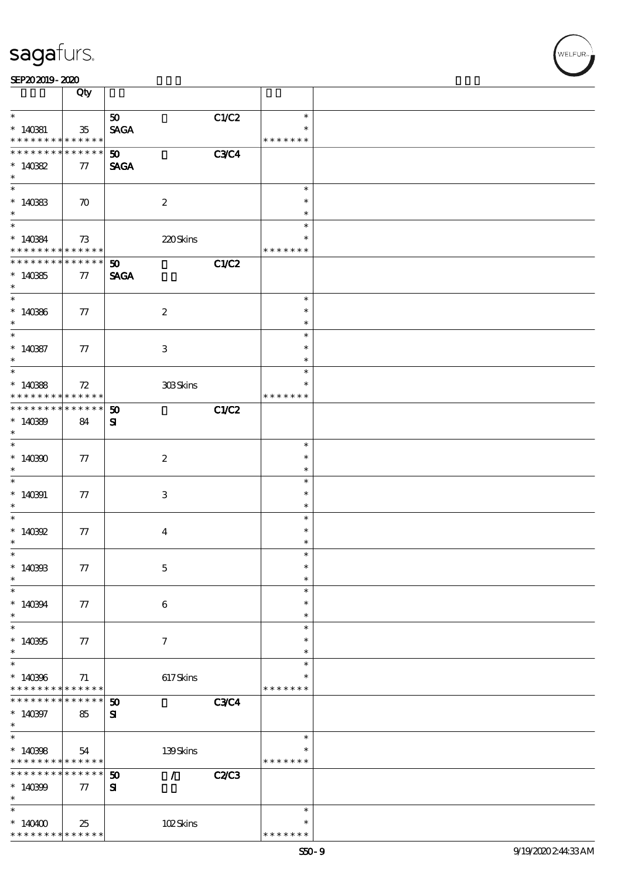|                                                             | Qty                |                                              |             |                    |  |
|-------------------------------------------------------------|--------------------|----------------------------------------------|-------------|--------------------|--|
| $\ast$                                                      |                    | 50 <sub>1</sub>                              | C1/C2       | $\ast$             |  |
| $*140381$                                                   | $35\,$             | <b>SAGA</b>                                  |             |                    |  |
| * * * * * * * * <mark>* * * * * *</mark>                    |                    |                                              |             | * * * * * * *      |  |
| * * * * * * * * * * * * * * *                               |                    | 50                                           | <b>C3C4</b> |                    |  |
| $*14082$                                                    | 77                 | <b>SAGA</b>                                  |             |                    |  |
| $\ast$                                                      |                    |                                              |             | $\ast$             |  |
| $*140333$                                                   | $\boldsymbol{\pi}$ | $\boldsymbol{2}$                             |             | $\ast$             |  |
| $\ast$                                                      |                    |                                              |             | $\ast$             |  |
| $\ast$                                                      |                    |                                              |             | $\ast$             |  |
| * 140384<br>* * * * * * * * * * * * * * *                   |                    | 220Skins                                     |             | $\ast$             |  |
|                                                             |                    |                                              |             | * * * * * * *      |  |
| * * * * * * * * * * * * * * *                               |                    | 50 <sub>1</sub>                              | C1/C2       |                    |  |
| $*14035$                                                    | 77                 | <b>SAGA</b>                                  |             |                    |  |
| $\ast$<br>$*$                                               |                    |                                              |             | $\ast$             |  |
| $*140366$                                                   | 77                 | $\boldsymbol{2}$                             |             | $\ast$             |  |
| $\ast$                                                      |                    |                                              |             | $\ast$             |  |
| $\overline{\ast}$                                           |                    |                                              |             | $\ast$             |  |
| $*140387$                                                   | 77                 | $\,3$                                        |             | $\ast$             |  |
| $\ast$                                                      |                    |                                              |             | $\ast$             |  |
| $\overline{\phantom{0}}$                                    |                    |                                              |             | $\ast$             |  |
| $*140388$<br>* * * * * * * *                                | 72<br>* * * * * *  | 308Skins                                     |             | *<br>* * * * * * * |  |
| * * * * * * * *                                             | $******$           | $\boldsymbol{\mathfrak{D}}$                  | C1/C2       |                    |  |
| $*140899$                                                   | 84                 | ${\bf s}$                                    |             |                    |  |
| $\ast$                                                      |                    |                                              |             |                    |  |
| $\overline{\ast}$                                           |                    |                                              |             | $\ast$             |  |
| $*140300$                                                   | 77                 | $\boldsymbol{2}$                             |             | $\ast$             |  |
| $\ast$                                                      |                    |                                              |             | $\ast$             |  |
| $\ast$                                                      |                    |                                              |             | $\ast$             |  |
| $*140391$<br>$\ast$                                         | 77                 | 3                                            |             | $\ast$<br>$\ast$   |  |
| $*$                                                         |                    |                                              |             | $\ast$             |  |
| * $140392$                                                  | 77                 | $\boldsymbol{4}$                             |             | $\ast$             |  |
| $\ast$                                                      |                    |                                              |             | $\ast$             |  |
| $\ast$                                                      |                    |                                              |             | $\ast$             |  |
| $*140303$                                                   | 77                 | $\mathbf 5$                                  |             | $\ast$             |  |
| $\ast$<br>$\ast$                                            |                    |                                              |             | $\ast$             |  |
|                                                             |                    |                                              |             | $\ast$<br>$\ast$   |  |
| $*140394$<br>$\ast$                                         | 77                 | 6                                            |             | $\ast$             |  |
| $\overline{\ast}$                                           |                    |                                              |             | $\ast$             |  |
| $*140305$                                                   | 77                 | $\tau$                                       |             | $\ast$             |  |
| $\ast$                                                      |                    |                                              |             | $\ast$             |  |
| $\overline{\ast}$                                           |                    |                                              |             | $\ast$             |  |
| $*140306$                                                   | 71                 | 617Skins                                     |             | $\ast$             |  |
| * * * * * * * * <mark>* * * * * *</mark><br>* * * * * * * * | ******             | $\boldsymbol{\mathfrak{D}}$                  | <b>C3C4</b> | * * * * * * *      |  |
| $*140397$                                                   | 85                 | ${\bf s}$                                    |             |                    |  |
| $\ast$                                                      |                    |                                              |             |                    |  |
| $\ast$                                                      |                    |                                              |             | $\ast$             |  |
| $*140388$                                                   | 54                 | 139Skins                                     |             |                    |  |
| * * * * * * * * <mark>* * * * * *</mark>                    |                    |                                              |             | * * * * * * *      |  |
| * * * * * * * *                                             | * * * * * * *      | $\mathcal{T}$<br>$\boldsymbol{\mathfrak{D}}$ | C2/C3       |                    |  |
| $*140309$<br>$\ast$                                         | 77                 | ${\bf s}$                                    |             |                    |  |
| $\ast$                                                      |                    |                                              |             | $\ast$             |  |
| $*140400$                                                   | 25                 | 102Skins                                     |             | $\ast$             |  |
| * * * * * * * * <mark>* * * * * * *</mark>                  |                    |                                              |             | * * * * * * *      |  |
|                                                             |                    |                                              |             |                    |  |

,<br>WELFUR: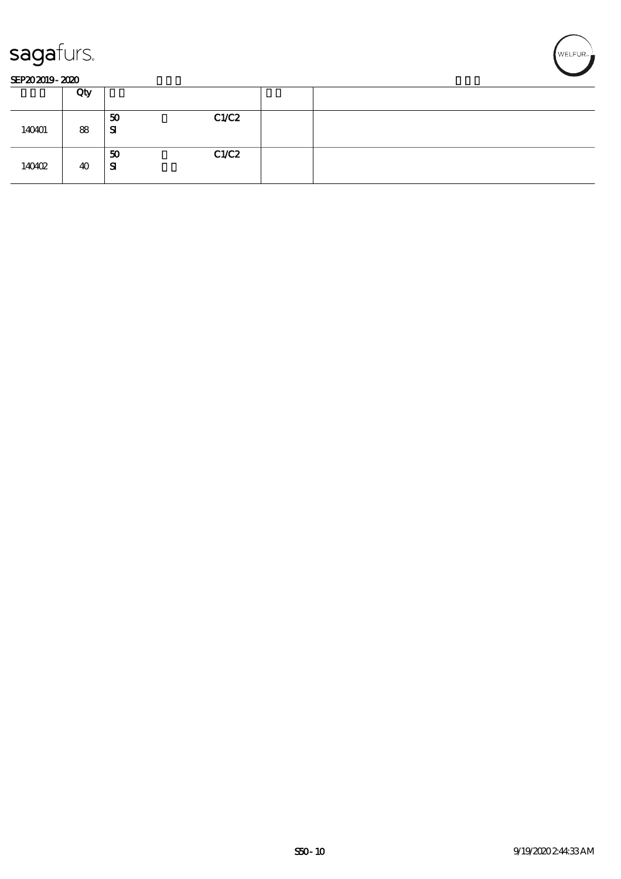



#### SEP202019-2020

|        | Qty |                          |  |
|--------|-----|--------------------------|--|
| 140401 | 88  | C1/C2<br>50<br>${\bf s}$ |  |
| 140402 | 40  | C1/C2<br>50<br>SI        |  |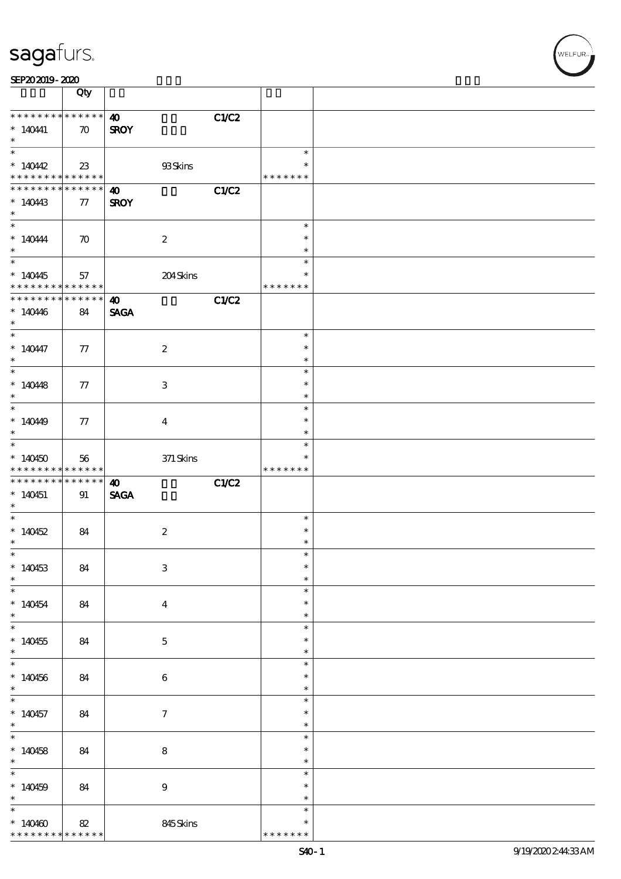| SEP202019-2020 |  |  |  |
|----------------|--|--|--|

|                                                                                                                                                                                                                                                                       | Qty                                 |                                               |                                   |  |
|-----------------------------------------------------------------------------------------------------------------------------------------------------------------------------------------------------------------------------------------------------------------------|-------------------------------------|-----------------------------------------------|-----------------------------------|--|
| * * * * * * * *<br>$*140441$<br>$\ast$                                                                                                                                                                                                                                | * * * * * * *<br>$\boldsymbol{\pi}$ | C1/C2<br>$\boldsymbol{\omega}$<br><b>SROY</b> |                                   |  |
| * $140442$<br>* * * * * * * * <mark>*</mark>                                                                                                                                                                                                                          | 23<br>$* * * * * * *$               | 93Skins                                       | $\ast$<br>$\ast$<br>* * * * * * * |  |
| * * * * * * * *<br>$*140443$<br>$\ast$                                                                                                                                                                                                                                | * * * * * *  <br>77                 | C1/C2<br>$\boldsymbol{\omega}$<br><b>SROY</b> |                                   |  |
| $*$<br>$*140444$<br>$\ast$                                                                                                                                                                                                                                            | $\boldsymbol{\pi}$                  | $\boldsymbol{2}$                              | $\ast$<br>$\ast$<br>$\ast$        |  |
| $*140445$<br>* * * * * * * * <mark>*</mark>                                                                                                                                                                                                                           | 57<br>$* * * * * * *$               | 204Skins                                      | $\ast$<br>$\ast$<br>* * * * * * * |  |
| * * * * * * * *<br>$*140446$<br>$\ast$                                                                                                                                                                                                                                | * * * * * *<br>84                   | C1/C2<br>$\boldsymbol{\omega}$<br><b>SAGA</b> |                                   |  |
| $*140447$<br>$\ast$                                                                                                                                                                                                                                                   | 77                                  | $\boldsymbol{2}$                              | $\ast$<br>$\ast$<br>$\ast$        |  |
| $*140448$<br>$*$                                                                                                                                                                                                                                                      | 77                                  | 3                                             | $\ast$<br>$\ast$<br>$\ast$        |  |
| $*14049$<br>$\ast$                                                                                                                                                                                                                                                    | 77                                  | $\overline{4}$                                | $\ast$<br>$\ast$<br>$\ast$        |  |
| $*$<br>$*140450$                                                                                                                                                                                                                                                      | 56                                  | $371$ Skins                                   | $\ast$                            |  |
|                                                                                                                                                                                                                                                                       | ******                              |                                               | * * * * * * *                     |  |
|                                                                                                                                                                                                                                                                       | $******$<br>91                      | C1/C2<br>$\boldsymbol{\omega}$<br><b>SAGA</b> |                                   |  |
|                                                                                                                                                                                                                                                                       | 84                                  | $\boldsymbol{2}$                              | $\ast$<br>$\ast$<br>$\ast$        |  |
|                                                                                                                                                                                                                                                                       | 84                                  | $\ensuremath{\mathbf{3}}$                     | $\ast$<br>$\ast$<br>$\ast$        |  |
|                                                                                                                                                                                                                                                                       | 84                                  | $\overline{\mathbf{4}}$                       | $\ast$<br>$\ast$<br>$\ast$        |  |
|                                                                                                                                                                                                                                                                       | 84                                  | $\mathbf{5}$                                  | $\ast$<br>$\ast$<br>$\ast$        |  |
|                                                                                                                                                                                                                                                                       | 84                                  | $\bf 6$                                       | $\ast$<br>$\ast$<br>$\ast$        |  |
|                                                                                                                                                                                                                                                                       | 84                                  | $\tau$                                        | $\ast$<br>$\ast$<br>$\ast$        |  |
|                                                                                                                                                                                                                                                                       | 84                                  | $\bf 8$                                       | $\ast$<br>$\ast$<br>$\ast$        |  |
| * * * * * * * *<br>* * * * * * * *<br>$*140451$<br>$\ast$<br>* $140452$<br>$\ast$<br>$\ast$<br>$*140453$<br>$\ast$<br>$*140454$<br>$*$<br>$*140455$<br>$\ast$<br>$*140456$<br>$*$<br>$*140457$<br>$\ast$<br>$*$<br>* $140458$<br>$*$<br>$*140459$<br>$\ast$<br>$\ast$ | 84                                  | $\boldsymbol{9}$                              | $\ast$<br>$\ast$<br>$\ast$        |  |

,<br>WELFUR:<br>.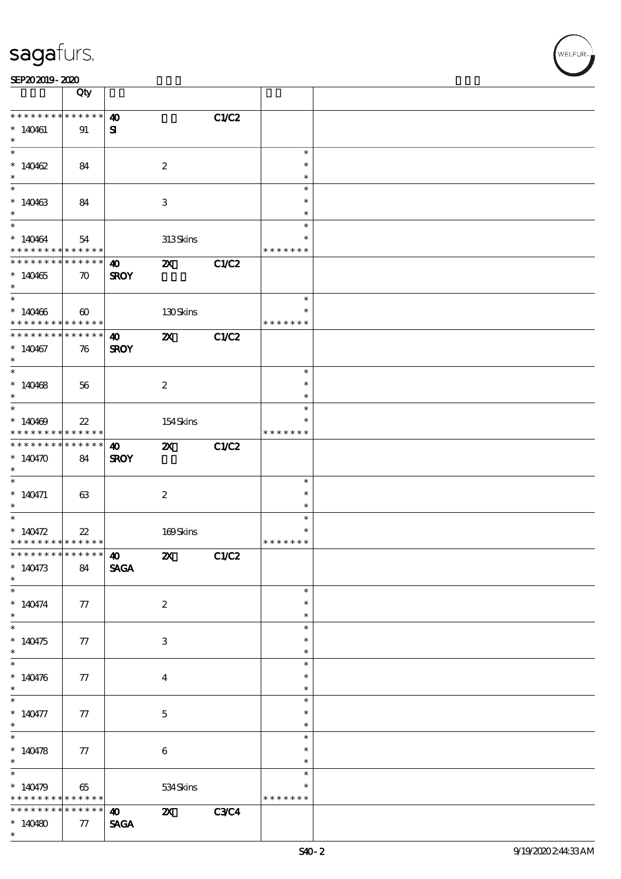|                                            | Qty                   |                       |                           |              |               |  |
|--------------------------------------------|-----------------------|-----------------------|---------------------------|--------------|---------------|--|
| * * * * * * * * <mark>* * * * * * *</mark> |                       | $\boldsymbol{\omega}$ |                           | C1/C2        |               |  |
| $*140461$                                  | 91                    | ${\bf s}$             |                           |              |               |  |
| $\ast$                                     |                       |                       |                           |              |               |  |
|                                            |                       |                       |                           |              | $\ast$        |  |
|                                            |                       |                       |                           |              | $\ast$        |  |
| $*140462$                                  | 84                    |                       | $\boldsymbol{2}$          |              |               |  |
| $\ast$                                     |                       |                       |                           |              | $\ast$        |  |
|                                            |                       |                       |                           |              | $\ast$        |  |
| $*140463$                                  | 84                    |                       | 3                         |              | $\ast$        |  |
| $\ast$                                     |                       |                       |                           |              | $\ast$        |  |
| $\overline{\phantom{0}}$                   |                       |                       |                           |              | $\ast$        |  |
| $*140464$                                  | 54                    |                       | 313Skins                  |              | $\ast$        |  |
| * * * * * * * * <mark>* * * * * *</mark>   |                       |                       |                           |              | * * * * * * * |  |
| * * * * * * * * * * * * * * *              |                       | <b>40</b>             | $\boldsymbol{\mathsf{z}}$ | <b>C1/C2</b> |               |  |
| $*140465$                                  | $\boldsymbol{\pi}$    | <b>SROY</b>           |                           |              |               |  |
| $*$                                        |                       |                       |                           |              |               |  |
| $\overline{\phantom{0}}$                   |                       |                       |                           |              | $\ast$        |  |
| $*140466$                                  | $\boldsymbol{\omega}$ |                       | 130Skins                  |              | $\ast$        |  |
| * * * * * * * * <mark>* * * * * * *</mark> |                       |                       |                           |              | * * * * * * * |  |
| * * * * * * * * <mark>* * * * * *</mark>   |                       | $\boldsymbol{\omega}$ | $\boldsymbol{\mathsf{z}}$ | C1/C2        |               |  |
|                                            |                       |                       |                           |              |               |  |
| $*140467$                                  | 76                    | <b>SROY</b>           |                           |              |               |  |
| $\ast$<br>$\overline{\phantom{0}}$         |                       |                       |                           |              |               |  |
|                                            |                       |                       |                           |              | $\ast$        |  |
| $*140468$                                  | 56                    |                       | $\boldsymbol{2}$          |              | $\ast$        |  |
| $\ast$                                     |                       |                       |                           |              | $\ast$        |  |
| $\overline{\phantom{0}}$                   |                       |                       |                           |              | $\ast$        |  |
| $*140469$                                  | $22\,$                |                       | 154Skins                  |              |               |  |
| * * * * * * * * <mark>* * * * * *</mark>   |                       |                       |                           |              | * * * * * * * |  |
| * * * * * * * *                            | $* * * * * * *$       | $\boldsymbol{\omega}$ | $\boldsymbol{\mathsf{Z}}$ | <b>C1/C2</b> |               |  |
| $*140470$                                  | 84                    | <b>SROY</b>           |                           |              |               |  |
| $\ast$                                     |                       |                       |                           |              |               |  |
| $*$                                        |                       |                       |                           |              | $\ast$        |  |
| $* 140471$                                 | 63                    |                       | $\boldsymbol{2}$          |              | $\ast$        |  |
| $\ast$                                     |                       |                       |                           |              | $\ast$        |  |
|                                            |                       |                       |                           |              | $\ast$        |  |
| * $140472$                                 |                       |                       |                           |              | $\ast$        |  |
| * * * * * * * * <mark>* * * * * * *</mark> | $22\,$                |                       | 169Skins                  |              | * * * * * * * |  |
| *************** 10                         |                       |                       |                           |              |               |  |
|                                            |                       |                       | $\mathbf{X}$              | C1/C2        |               |  |
| $*140473$                                  | 84                    | <b>SAGA</b>           |                           |              |               |  |
| $\ast$                                     |                       |                       |                           |              |               |  |
|                                            |                       |                       |                           |              | $\ast$        |  |
| $* 140474$                                 | 77                    |                       | $\boldsymbol{2}$          |              | $\ast$        |  |
| $\ast$                                     |                       |                       |                           |              | $\ast$        |  |
| $\overline{\phantom{0}}$                   |                       |                       |                           |              | $\ast$        |  |
| $*140475$                                  | 77                    |                       | 3                         |              | ∗             |  |
| $\ast$                                     |                       |                       |                           |              | $\ast$        |  |
|                                            |                       |                       |                           |              | $\ast$        |  |
| $* 140476$                                 | 77                    |                       | $\bf{4}$                  |              | $\ast$        |  |
| $\ast$                                     |                       |                       |                           |              | $\ast$        |  |
| $\ast$                                     |                       |                       |                           |              | $\ast$        |  |
| $* 140477$                                 | 77                    |                       | $\mathbf{5}$              |              | $\ast$        |  |
| $*$                                        |                       |                       |                           |              | $\ast$        |  |
| $\overline{\phantom{0}}$                   |                       |                       |                           |              | $\ast$        |  |
|                                            |                       |                       |                           |              |               |  |
| $*140478$                                  | 77                    |                       | $\bf 6$                   |              | $\ast$        |  |
| $\ast$                                     |                       |                       |                           |              | $\ast$        |  |
|                                            |                       |                       |                           |              | $\ast$        |  |
| $*140479$                                  | 65                    |                       | 534Skins                  |              |               |  |
| * * * * * * * *                            | $* * * * * * *$       |                       |                           |              | * * * * * * * |  |
| * * * * * * *                              | * * * * * *           | $\bullet$ $\bullet$   | $\boldsymbol{\alpha}$     | <b>C3C4</b>  |               |  |
| $*140480$                                  | 77                    | <b>SAGA</b>           |                           |              |               |  |
| $\ast$                                     |                       |                       |                           |              |               |  |

 $\overline{\mathsf{T}}$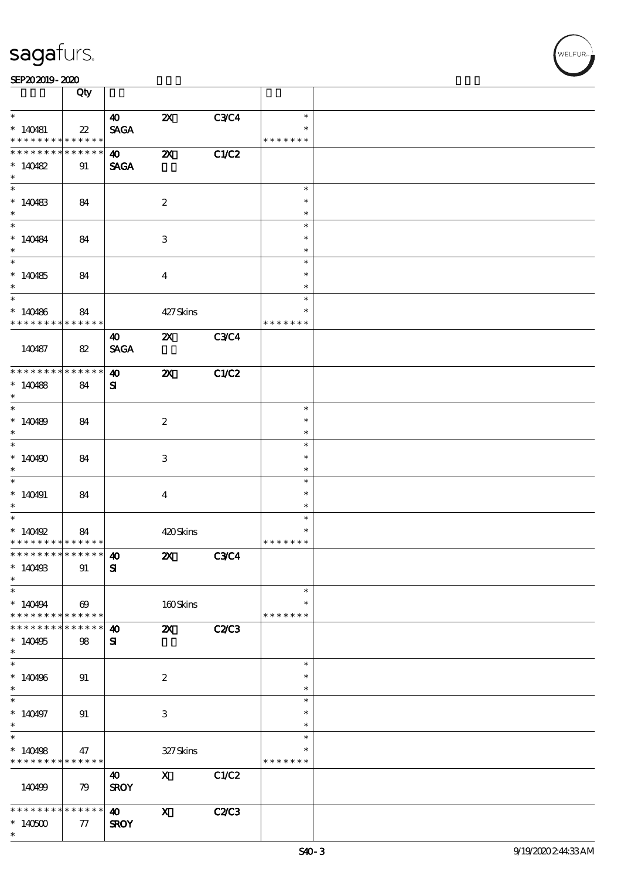|                                            | Qty                        |                       |                           |              |               |  |
|--------------------------------------------|----------------------------|-----------------------|---------------------------|--------------|---------------|--|
| $\ast$                                     |                            |                       |                           |              |               |  |
|                                            |                            | $\boldsymbol{\omega}$ | $\boldsymbol{\mathsf{Z}}$ | <b>C3C4</b>  | $\ast$        |  |
| $*140481$                                  | $\boldsymbol{\mathit{22}}$ | <b>SAGA</b>           |                           |              | $\ast$        |  |
| * * * * * * * *                            | ******                     |                       |                           |              | * * * * * * * |  |
| * * * * * * *                              | $* * * * * *$<br>*         | $\boldsymbol{\omega}$ | $\boldsymbol{\mathsf{z}}$ | C1/C2        |               |  |
| $*140482$                                  | 91                         | <b>SAGA</b>           |                           |              |               |  |
| $\ast$                                     |                            |                       |                           |              |               |  |
| $\ast$                                     |                            |                       |                           |              | $\ast$        |  |
| $*140483$                                  |                            |                       |                           |              | $\ast$        |  |
|                                            | 84                         |                       | $\boldsymbol{2}$          |              | $\ast$        |  |
| $*$                                        |                            |                       |                           |              |               |  |
|                                            |                            |                       |                           |              | $\ast$        |  |
| $*140484$                                  | 84                         |                       | $\,3$                     |              | $\ast$        |  |
| $\ast$                                     |                            |                       |                           |              | $\ast$        |  |
|                                            |                            |                       |                           |              | $\ast$        |  |
| $*140485$                                  | 84                         |                       | $\overline{4}$            |              | $\ast$        |  |
| $\ast$                                     |                            |                       |                           |              | $\ast$        |  |
| $\overline{\phantom{0}}$                   |                            |                       |                           |              | $\ast$        |  |
| $*140486$                                  | 84                         |                       | 427Skins                  |              | $\ast$        |  |
| * * * * * * * * <mark>*</mark>             | ******                     |                       |                           |              | * * * * * * * |  |
|                                            |                            | 40                    | $\boldsymbol{\mathsf{Z}}$ | <b>C3C4</b>  |               |  |
| 140487                                     | 82                         | <b>SAGA</b>           |                           |              |               |  |
|                                            |                            |                       |                           |              |               |  |
| * * * * * * * *                            | ******                     | $\boldsymbol{\omega}$ | $\boldsymbol{\mathsf{X}}$ | C1/C2        |               |  |
| $*140488$                                  | 84                         | ${\bf s}$             |                           |              |               |  |
| $\ast$                                     |                            |                       |                           |              |               |  |
| $*$                                        |                            |                       |                           |              | $\ast$        |  |
| $*140489$                                  | 84                         |                       | $\boldsymbol{2}$          |              | $\ast$        |  |
| $\ast$                                     |                            |                       |                           |              | $\ast$        |  |
| $\overline{\phantom{0}}$                   |                            |                       |                           |              | $\ast$        |  |
|                                            |                            |                       |                           |              | $\ast$        |  |
| $*140490$                                  | 84                         |                       | 3                         |              |               |  |
| $\ast$                                     |                            |                       |                           |              | $\ast$        |  |
|                                            |                            |                       |                           |              | $\ast$        |  |
| $*140491$                                  | 84                         |                       | $\overline{\mathbf{4}}$   |              | $\ast$        |  |
| $\ast$<br>$\ast$                           |                            |                       |                           |              | $\ast$        |  |
|                                            |                            |                       |                           |              | $\ast$        |  |
| $*$ 140492                                 | 84                         |                       | 420Skins                  |              | $\ast$        |  |
| * * * * * * * * <mark>* * * * * *</mark>   |                            |                       |                           |              | * * * * * * * |  |
| *************** 40                         |                            |                       | $\mathbf{z}$              | <b>C3C4</b>  |               |  |
| $*140493$                                  | 91                         | ${\bf s}$             |                           |              |               |  |
| $\ast$                                     |                            |                       |                           |              |               |  |
| $\ast$                                     |                            |                       |                           |              | $\ast$        |  |
| $*140494$                                  | $\boldsymbol{\omega}$      |                       | 160Skins                  |              | $\ast$        |  |
| * * * * * * * * <mark>* * * * * * *</mark> |                            |                       |                           |              | * * * * * * * |  |
| * * * * * * * *                            | ******                     | $\boldsymbol{\omega}$ | $\mathbf{z}$              | <b>C2/C3</b> |               |  |
| $*140495$                                  | 98                         | ${\bf s}$             |                           |              |               |  |
| $\ast$                                     |                            |                       |                           |              |               |  |
| $\overline{\ast}$                          |                            |                       |                           |              | $\ast$        |  |
| $*140496$                                  | 91                         |                       | $\boldsymbol{2}$          |              | $\ast$        |  |
| $\ast$                                     |                            |                       |                           |              | $\ast$        |  |
| $\overline{\phantom{0}}$                   |                            |                       |                           |              | $\ast$        |  |
| $*140497$                                  | 91                         |                       | 3                         |              | $\ast$        |  |
| $\ast$                                     |                            |                       |                           |              | $\ast$        |  |
| $\overline{\phantom{0}}$                   |                            |                       |                           |              | $\ast$        |  |
| $*140498$                                  | 47                         |                       | 327Skins                  |              | $\ast$        |  |
| * * * * * * * * <mark>* * * * * * *</mark> |                            |                       |                           |              | * * * * * * * |  |
|                                            |                            |                       |                           |              |               |  |
|                                            |                            | 40                    | $\mathbf{X}$              | C1/C2        |               |  |
| 140499                                     | 79                         | <b>SROY</b>           |                           |              |               |  |
|                                            |                            |                       |                           |              |               |  |
| * * * * * * * *                            | $* * * * * * *$            | $\boldsymbol{\omega}$ | $\mathbf{x}$              | C2C3         |               |  |
| $*140500$                                  | 77                         | <b>SROY</b>           |                           |              |               |  |
| $\ast$                                     |                            |                       |                           |              |               |  |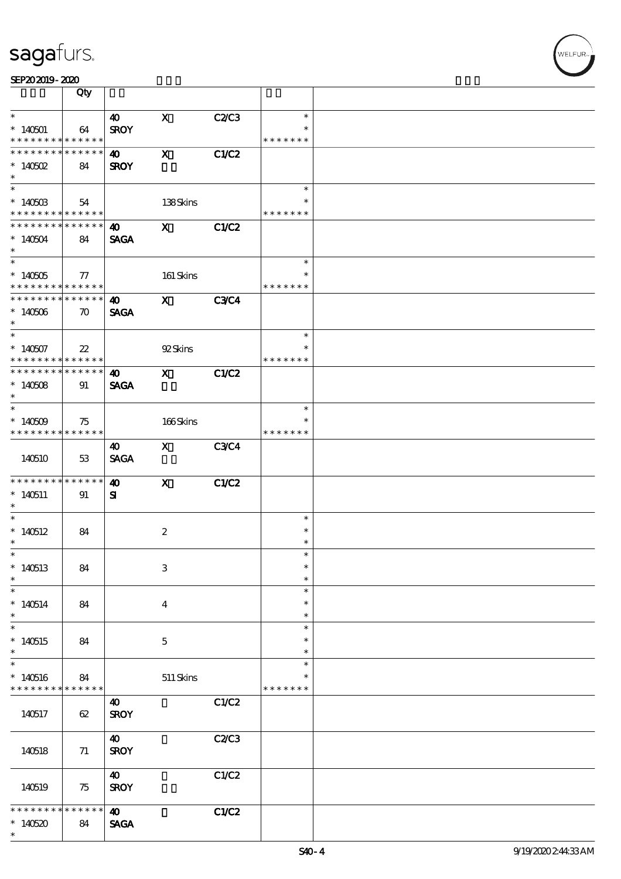|                                                         | Qty                |                       |                                                                                                                                                                                                                                                                                                                                                                                                                                                               |             |                  |  |
|---------------------------------------------------------|--------------------|-----------------------|---------------------------------------------------------------------------------------------------------------------------------------------------------------------------------------------------------------------------------------------------------------------------------------------------------------------------------------------------------------------------------------------------------------------------------------------------------------|-------------|------------------|--|
| $\ast$                                                  |                    | $\boldsymbol{40}$     | $\mathbf{X}$                                                                                                                                                                                                                                                                                                                                                                                                                                                  | C2C3        | $\ast$           |  |
| $*140501$                                               | 64                 | <b>SROY</b>           |                                                                                                                                                                                                                                                                                                                                                                                                                                                               |             |                  |  |
| * * * * * * * * <mark>* * * * * *</mark>                |                    |                       |                                                                                                                                                                                                                                                                                                                                                                                                                                                               |             | * * * * * * *    |  |
| * * * * * * * * * * * * * *                             |                    | $\boldsymbol{40}$     | $\mathbf{x}$                                                                                                                                                                                                                                                                                                                                                                                                                                                  | C1/C2       |                  |  |
| $*$ 140502                                              | 84                 | <b>SROY</b>           |                                                                                                                                                                                                                                                                                                                                                                                                                                                               |             |                  |  |
| $\ast$                                                  |                    |                       |                                                                                                                                                                                                                                                                                                                                                                                                                                                               |             |                  |  |
|                                                         |                    |                       |                                                                                                                                                                                                                                                                                                                                                                                                                                                               |             | $\ast$           |  |
| $*140503$                                               | 54                 |                       | 138Skins                                                                                                                                                                                                                                                                                                                                                                                                                                                      |             | $\ast$           |  |
| * * * * * * * * <mark>* * * * * * *</mark>              |                    |                       |                                                                                                                                                                                                                                                                                                                                                                                                                                                               |             | * * * * * * *    |  |
| * * * * * * * * * * * * * * <mark>*</mark>              |                    | $\boldsymbol{\omega}$ | $\mathbf X$                                                                                                                                                                                                                                                                                                                                                                                                                                                   | C1/C2       |                  |  |
| $*140504$                                               | 84                 | <b>SAGA</b>           |                                                                                                                                                                                                                                                                                                                                                                                                                                                               |             |                  |  |
| $*$                                                     |                    |                       |                                                                                                                                                                                                                                                                                                                                                                                                                                                               |             | $\ast$           |  |
|                                                         |                    |                       |                                                                                                                                                                                                                                                                                                                                                                                                                                                               |             | $\ast$           |  |
| $*140505$<br>* * * * * * * * <mark>* * * * * * *</mark> | $\tau$             |                       | 161 Skins                                                                                                                                                                                                                                                                                                                                                                                                                                                     |             | * * * * * * *    |  |
| * * * * * * * * * * * * * * *                           |                    | $\boldsymbol{\omega}$ | $\boldsymbol{\mathrm{X}}$ and $\boldsymbol{\mathrm{X}}$ and $\boldsymbol{\mathrm{X}}$ and $\boldsymbol{\mathrm{X}}$ and $\boldsymbol{\mathrm{X}}$ and $\boldsymbol{\mathrm{X}}$ and $\boldsymbol{\mathrm{X}}$ and $\boldsymbol{\mathrm{X}}$ and $\boldsymbol{\mathrm{X}}$ and $\boldsymbol{\mathrm{X}}$ and $\boldsymbol{\mathrm{X}}$ and $\boldsymbol{\mathrm{X}}$ and $\boldsymbol{\mathrm{X}}$ and $\boldsymbol{\mathrm{X}}$ and $\boldsymbol{\mathrm{X}}$ | <b>C3C4</b> |                  |  |
| $*140506$                                               |                    | <b>SAGA</b>           |                                                                                                                                                                                                                                                                                                                                                                                                                                                               |             |                  |  |
| $*$                                                     | $\boldsymbol{\pi}$ |                       |                                                                                                                                                                                                                                                                                                                                                                                                                                                               |             |                  |  |
|                                                         |                    |                       |                                                                                                                                                                                                                                                                                                                                                                                                                                                               |             | $\ast$           |  |
| $*140507$                                               | $22\,$             |                       | 92Skins                                                                                                                                                                                                                                                                                                                                                                                                                                                       |             | $\ast$           |  |
| * * * * * * * * <mark>* * * * * * *</mark>              |                    |                       |                                                                                                                                                                                                                                                                                                                                                                                                                                                               |             | * * * * * * *    |  |
| ******** <mark>******</mark>                            |                    | 40                    | $\mathbf X$ and $\mathbf X$ and $\mathbf X$ and $\mathbf X$ and $\mathbf X$ and $\mathbf X$                                                                                                                                                                                                                                                                                                                                                                   | C1/C2       |                  |  |
| $*140508$                                               | 91                 | <b>SAGA</b>           |                                                                                                                                                                                                                                                                                                                                                                                                                                                               |             |                  |  |
| $*$                                                     |                    |                       |                                                                                                                                                                                                                                                                                                                                                                                                                                                               |             |                  |  |
|                                                         |                    |                       |                                                                                                                                                                                                                                                                                                                                                                                                                                                               |             | $\ast$           |  |
| $*140509$                                               | 75                 |                       | 166Skins                                                                                                                                                                                                                                                                                                                                                                                                                                                      |             |                  |  |
| * * * * * * * * * * * * * * *                           |                    |                       |                                                                                                                                                                                                                                                                                                                                                                                                                                                               |             | * * * * * * *    |  |
|                                                         |                    | 40                    | X C3C4                                                                                                                                                                                                                                                                                                                                                                                                                                                        |             |                  |  |
| 140510                                                  | 53                 | <b>SAGA</b>           |                                                                                                                                                                                                                                                                                                                                                                                                                                                               |             |                  |  |
|                                                         |                    |                       |                                                                                                                                                                                                                                                                                                                                                                                                                                                               |             |                  |  |
|                                                         |                    |                       |                                                                                                                                                                                                                                                                                                                                                                                                                                                               |             |                  |  |
|                                                         | $* * * * * * *$    | $\boldsymbol{\omega}$ | $\mathbf{x}$                                                                                                                                                                                                                                                                                                                                                                                                                                                  | C1/C2       |                  |  |
| * * * * * * * *<br>$*140511$                            | 91                 | ${\bf s}$             |                                                                                                                                                                                                                                                                                                                                                                                                                                                               |             |                  |  |
| $*$                                                     |                    |                       |                                                                                                                                                                                                                                                                                                                                                                                                                                                               |             |                  |  |
| $\ast$                                                  |                    |                       |                                                                                                                                                                                                                                                                                                                                                                                                                                                               |             | $\ast$           |  |
| $*140512$                                               | 84                 |                       | $\boldsymbol{2}$                                                                                                                                                                                                                                                                                                                                                                                                                                              |             | $\ast$           |  |
| $\ast$<br>$\ast$                                        |                    |                       |                                                                                                                                                                                                                                                                                                                                                                                                                                                               |             | $\ast$<br>$\ast$ |  |
|                                                         |                    |                       |                                                                                                                                                                                                                                                                                                                                                                                                                                                               |             | $\ast$           |  |
| $*140513$<br>$\ast$                                     | 84                 |                       | $\,3$                                                                                                                                                                                                                                                                                                                                                                                                                                                         |             | $\ast$           |  |
| $\ast$                                                  |                    |                       |                                                                                                                                                                                                                                                                                                                                                                                                                                                               |             | $\ast$           |  |
|                                                         |                    |                       |                                                                                                                                                                                                                                                                                                                                                                                                                                                               |             | $\ast$           |  |
| $*140514$<br>$\ast$                                     | 84                 |                       | $\bf{4}$                                                                                                                                                                                                                                                                                                                                                                                                                                                      |             | $\ast$           |  |
| $\overline{\phantom{0}}$                                |                    |                       |                                                                                                                                                                                                                                                                                                                                                                                                                                                               |             | $\ast$           |  |
| $*140515$                                               | 84                 |                       | $\mathbf 5$                                                                                                                                                                                                                                                                                                                                                                                                                                                   |             | *                |  |
| $\ast$                                                  |                    |                       |                                                                                                                                                                                                                                                                                                                                                                                                                                                               |             | $\ast$           |  |
|                                                         |                    |                       |                                                                                                                                                                                                                                                                                                                                                                                                                                                               |             | $\ast$           |  |
| $\ast$<br>$*140516$                                     | 84                 |                       | $511$ Skins                                                                                                                                                                                                                                                                                                                                                                                                                                                   |             |                  |  |
|                                                         | * * * * * *        |                       |                                                                                                                                                                                                                                                                                                                                                                                                                                                               |             | * * * * * * *    |  |
|                                                         |                    | 40                    |                                                                                                                                                                                                                                                                                                                                                                                                                                                               | C1/C2       |                  |  |
| 140517                                                  | 62                 | <b>SROY</b>           |                                                                                                                                                                                                                                                                                                                                                                                                                                                               |             |                  |  |
|                                                         |                    |                       |                                                                                                                                                                                                                                                                                                                                                                                                                                                               |             |                  |  |
|                                                         |                    | $\boldsymbol{\omega}$ |                                                                                                                                                                                                                                                                                                                                                                                                                                                               | C2C3        |                  |  |
| 140518                                                  | 71                 | <b>SROY</b>           |                                                                                                                                                                                                                                                                                                                                                                                                                                                               |             |                  |  |
| * * * * * * * *                                         |                    |                       |                                                                                                                                                                                                                                                                                                                                                                                                                                                               |             |                  |  |
|                                                         |                    | $\boldsymbol{\omega}$ |                                                                                                                                                                                                                                                                                                                                                                                                                                                               | C1/C2       |                  |  |
| 140519                                                  | 75                 | <b>SROY</b>           |                                                                                                                                                                                                                                                                                                                                                                                                                                                               |             |                  |  |
| * * * * *                                               | * * * * * *        | $\boldsymbol{\omega}$ |                                                                                                                                                                                                                                                                                                                                                                                                                                                               |             |                  |  |
| $*140520$                                               | 84                 | <b>SAGA</b>           |                                                                                                                                                                                                                                                                                                                                                                                                                                                               | C1/C2       |                  |  |

 $\overline{\mathbf{r}}$ 

**NELFUR**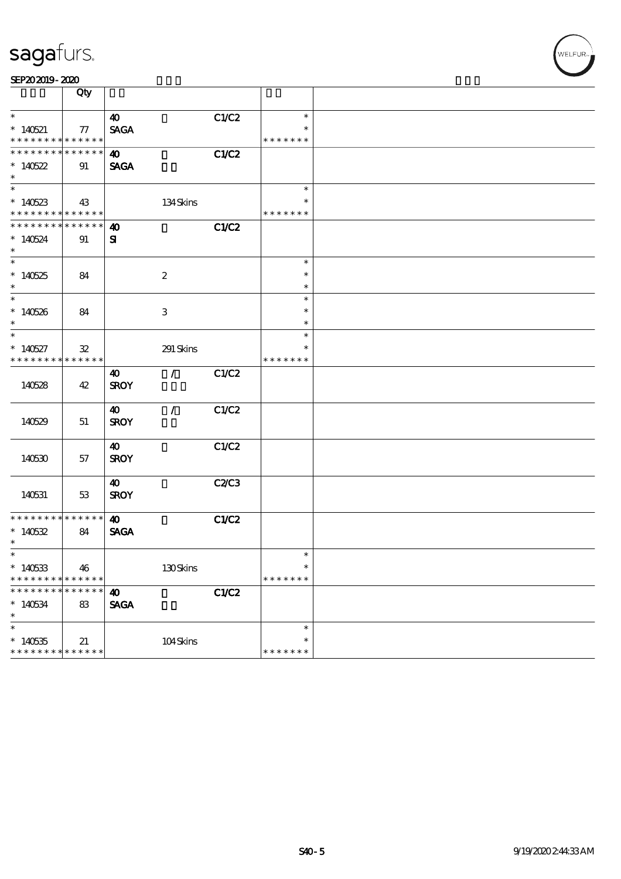|                                          | Qty                           |                       |                           |       |                  |  |
|------------------------------------------|-------------------------------|-----------------------|---------------------------|-------|------------------|--|
| $\ast$                                   |                               | $\boldsymbol{\omega}$ |                           | C1/C2 | $\ast$           |  |
| $*140521$                                | 77                            | <b>SAGA</b>           |                           |       |                  |  |
| * * * * * * * * <mark>* * * * * *</mark> |                               |                       |                           |       | * * * * * * *    |  |
| * * * * * * * * * * * * * *              |                               | $\boldsymbol{\omega}$ |                           | C1/C2 |                  |  |
| $*140522$                                | 91                            | <b>SAGA</b>           |                           |       |                  |  |
| $\ast$                                   |                               |                       |                           |       |                  |  |
| $\overline{\phantom{0}}$                 |                               |                       |                           |       | $\ast$           |  |
| $*140523$                                | 43                            |                       | 134Skins                  |       | *                |  |
| * * * * * * * * * * * * * *              |                               |                       |                           |       | * * * * * * *    |  |
| * * * * * * * *                          | * * * * * *                   | $\boldsymbol{\omega}$ |                           | C1/C2 |                  |  |
| $*140524$                                | 91                            | ${\bf s}$             |                           |       |                  |  |
| $\ast$                                   |                               |                       |                           |       |                  |  |
| $\overline{\phantom{0}}$                 |                               |                       |                           |       | $\ast$           |  |
| $*140525$                                | 84                            |                       | $\boldsymbol{z}$          |       | $\ast$           |  |
| $\ast$<br>$\overline{\ast}$              |                               |                       |                           |       | $\ast$           |  |
|                                          |                               |                       |                           |       | $\ast$           |  |
| $*140526$<br>$\ast$                      | 84                            |                       | $\ensuremath{\mathsf{3}}$ |       | $\ast$<br>$\ast$ |  |
| $\ast$                                   |                               |                       |                           |       | $\ast$           |  |
|                                          |                               |                       |                           |       | $\ast$           |  |
| $*140527$<br>* * * * * * * *             | $\mathfrak{B}$<br>* * * * * * |                       | 291 Skins                 |       | * * * * * * *    |  |
|                                          |                               | 40                    | $\mathcal{F}$             | C1/C2 |                  |  |
| 140528                                   | 42                            | <b>SROY</b>           |                           |       |                  |  |
|                                          |                               |                       |                           |       |                  |  |
|                                          |                               | 40                    | $\mathcal{L}$             | C1/C2 |                  |  |
| 140529                                   | 51                            | <b>SROY</b>           |                           |       |                  |  |
|                                          |                               |                       |                           |       |                  |  |
|                                          |                               | 40                    |                           | C1/C2 |                  |  |
| 140530                                   | 57                            | <b>SROY</b>           |                           |       |                  |  |
|                                          |                               |                       |                           |       |                  |  |
|                                          |                               | 40                    |                           | C2/C3 |                  |  |
| 140531                                   | 53                            | <b>SROY</b>           |                           |       |                  |  |
|                                          |                               |                       |                           |       |                  |  |
| * * * * * * * * * * * * * *              |                               | $\boldsymbol{\omega}$ |                           | C1/C2 |                  |  |
| $*140532$                                | 84                            | <b>SAGA</b>           |                           |       |                  |  |
| $\ast$                                   |                               |                       |                           |       |                  |  |
| $*$                                      |                               |                       |                           |       | $\ast$           |  |
| $*140533$                                | 46                            |                       | 130Skins                  |       | $\ast$           |  |
| * * * * * * *                            | * * * * * *                   |                       |                           |       | * * * * * * *    |  |
| * * * * * * *                            | * * * * *<br>*                | $\boldsymbol{\omega}$ |                           | C1/C2 |                  |  |
| $*140534$                                | $83\,$                        | <b>SAGA</b>           |                           |       |                  |  |
| $\ast$                                   |                               |                       |                           |       |                  |  |
| $\ast$                                   |                               |                       |                           |       | $\ast$<br>$\ast$ |  |
| $*140535$<br>* * * * * * * *             | 21<br>* * * * * *             |                       | 104Skins                  |       | * * * * * * *    |  |
|                                          |                               |                       |                           |       |                  |  |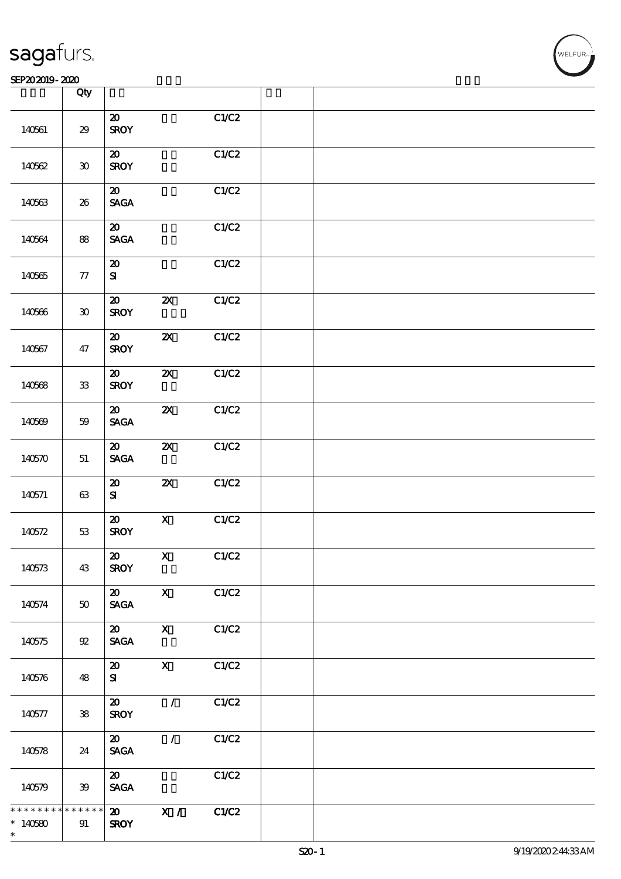#### SEP202019-2020

|             | Qty           |                                                               |                           |       |  |
|-------------|---------------|---------------------------------------------------------------|---------------------------|-------|--|
| 140561      | $29\,$        | $\pmb{\mathcal{Z}}$<br><b>SROY</b>                            |                           | C1/C2 |  |
| 140562      | $\pmb{30}$    | ${\bf Z}$<br><b>SROY</b>                                      |                           | C1/C2 |  |
| 140563      | 26            | $\boldsymbol{\mathsf{20}}$<br>$\operatorname{\mathsf{SAGA}}$  |                           | C1/C2 |  |
| 140564      | 88            | $\boldsymbol{\mathbf{z}}$<br>$\ensuremath{\mathsf{SAGA}}$     |                           | C1/C2 |  |
| 140565      | ${\bf 77}$    | $\pmb{\mathcal{X}}$<br>${\bf S}$                              |                           | C1/C2 |  |
| 140566      | $\bf 30$      | $\boldsymbol{\mathbf{z}}$<br><b>SROY</b>                      | $\boldsymbol{\mathsf{z}}$ | C1/C2 |  |
| 140567      | 47            | $\pmb{\mathcal{X}}$<br><b>SROY</b>                            | $\boldsymbol{\mathsf{z}}$ | C1/C2 |  |
| 140568      | ${\bf 33}$    | ${\bf Z}$<br><b>SROY</b>                                      | $\boldsymbol{\mathsf{X}}$ | C1/C2 |  |
| 140569      | $59\,$        | $\boldsymbol{\mathfrak{D}}$<br>$\operatorname{\mathsf{SAGA}}$ | $\boldsymbol{\mathsf{z}}$ | C1/C2 |  |
| 140570      | $51\,$        | $\boldsymbol{\mathfrak{D}}$<br>$\ensuremath{\mathsf{SAGA}}$   | $\boldsymbol{\mathsf{z}}$ | C1/C2 |  |
| 140571      | $63\,$        | $\pmb{\mathcal{X}}$<br>${\bf s}$                              | $\boldsymbol{\mathsf{X}}$ | C1/C2 |  |
| 140572      | $5\!3$        | $\pmb{\mathcal{Z}}$<br><b>SROY</b>                            | $\mathbf X$               | C1/C2 |  |
| 140573      | 43            | $\pmb{\mathcal{X}}$<br><b>SROY</b>                            | $\mathbf{X}$              | C1/C2 |  |
| 140574      | ${\bf 50}$    | $\boldsymbol{\mathfrak{D}}$<br>$\operatorname{\mathsf{SAGA}}$ | $\boldsymbol{\mathrm{X}}$ | C1/C2 |  |
| 140575      | 92            | $\boldsymbol{\mathfrak{D}}$<br><b>SAGA</b>                    | $\mathbf X$               | C1/C2 |  |
| 140576      | 48            | $\boldsymbol{\mathsf{20}}$<br>${\bf S}$                       | $\boldsymbol{\mathrm{X}}$ | C1/C2 |  |
| 140577      | ${\bf 38}$    | $\boldsymbol{\mathfrak{D}}$<br><b>SROY</b>                    | $\mathcal{L}$             | C1/C2 |  |
| 140578      | 24            | $\boldsymbol{\mathfrak{D}}$<br>$\ensuremath{\mathsf{SAGA}}$   | $\mathcal{L}$             | C1/C2 |  |
| 140579      | 39            | $\boldsymbol{\mathfrak{D}}$<br>$\ensuremath{\mathsf{SAGA}}$   |                           | C1/C2 |  |
| * * * * * * | * * * * * * * | $\boldsymbol{\mathfrak{D}}$                                   | $\overline{X}$ /          | C1/C2 |  |
| $*140580$   | 91            | <b>SROY</b>                                                   |                           |       |  |
| $\ast$      |               |                                                               |                           |       |  |

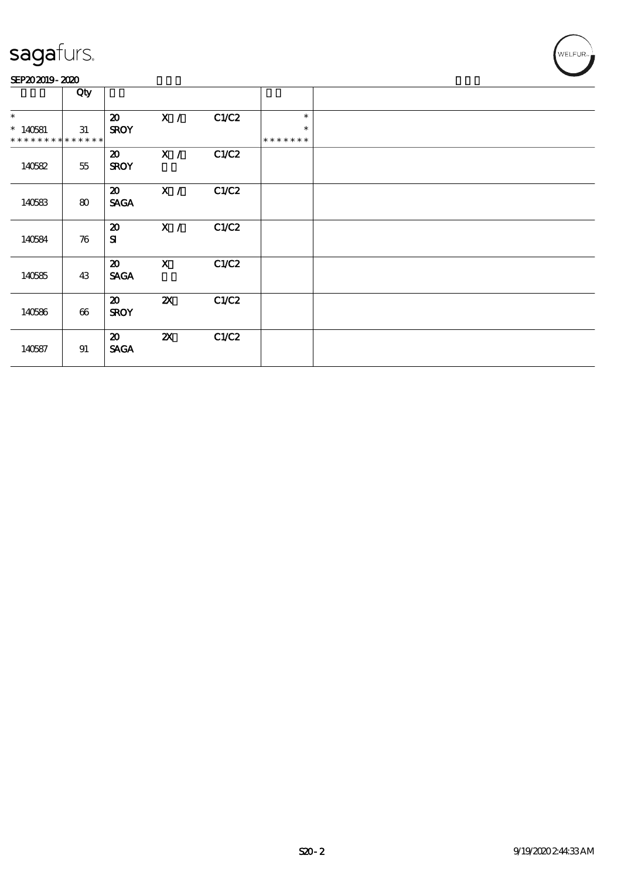#### SEP202019-2020

|                                                    | Qty    |                                            |                           |       |                                   |  |
|----------------------------------------------------|--------|--------------------------------------------|---------------------------|-------|-----------------------------------|--|
| $\ast$<br>$*140581$<br>* * * * * * * * * * * * * * | 31     | $\boldsymbol{\mathfrak{D}}$<br><b>SROY</b> | X /                       | C1/C2 | $\ast$<br>$\ast$<br>* * * * * * * |  |
| 140582                                             | $55\,$ | $\boldsymbol{\mathfrak{D}}$<br><b>SROY</b> | X /                       | C1/C2 |                                   |  |
| 140583                                             | 80     | $\boldsymbol{\mathfrak{D}}$<br><b>SAGA</b> | X /                       | C1/C2 |                                   |  |
| 140584                                             | 76     | $\boldsymbol{\mathfrak{D}}$<br>${\bf s}$   | X /                       | C1/C2 |                                   |  |
| 140585                                             | 43     | $\boldsymbol{\mathfrak{D}}$<br><b>SAGA</b> | $\boldsymbol{\mathsf{X}}$ | C1/C2 |                                   |  |
| 140586                                             | 66     | $\boldsymbol{\mathfrak{D}}$<br><b>SROY</b> | $\boldsymbol{\mathsf{X}}$ | C1/C2 |                                   |  |
| 140587                                             | 91     | $\boldsymbol{\mathfrak{D}}$<br><b>SAGA</b> | $\boldsymbol{\mathsf{Z}}$ | C1/C2 |                                   |  |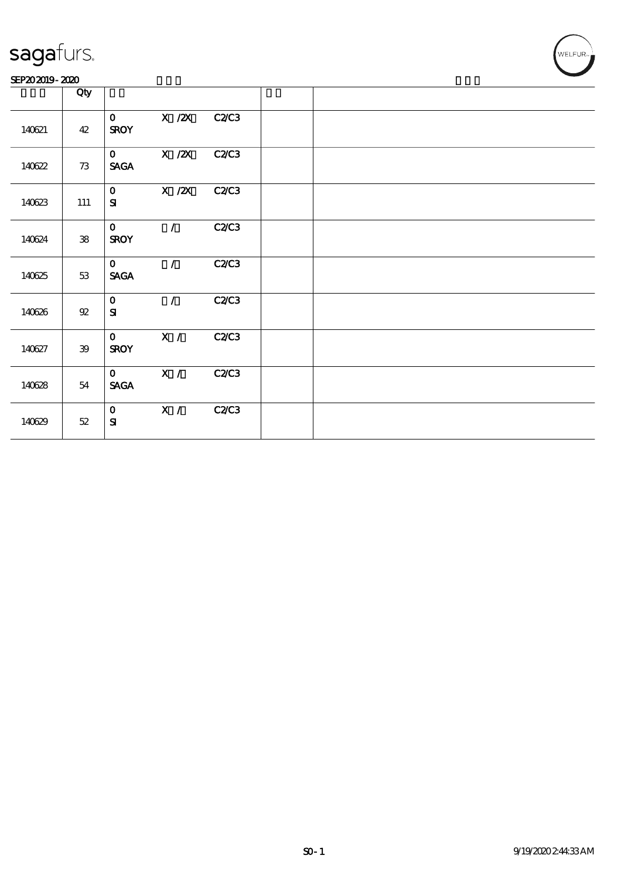#### SEP202019-2020

|        | Qty        |                              |               |              |  |  |
|--------|------------|------------------------------|---------------|--------------|--|--|
| 140621 | 42         | $\mathbf{O}$<br><b>SROY</b>  | $X$ / $ZX$    | <b>C2/C3</b> |  |  |
| 140622 | 73         | $\mathbf{O}$<br><b>SAGA</b>  | $X$ / $ZX$    | <b>C2/C3</b> |  |  |
| 140623 | 111        | $\mathbf{O}$<br>${\bf s}$    | $X$ / $ZX$    | <b>C2C3</b>  |  |  |
| 140624 | ${\bf 38}$ | $\mathbf{O}$<br><b>SROY</b>  | $\mathcal{L}$ | <b>C2/C3</b> |  |  |
| 140625 | 53         | $\mathbf{O}$<br><b>SAGA</b>  | $\mathcal{L}$ | C2C3         |  |  |
| 140626 | $92\,$     | $\mathbf{O}$<br>${\bf s}$    | $\mathcal{L}$ | C2C3         |  |  |
| 140627 | 39         | $\mathbf{O}$<br><b>SROY</b>  | X /           | C2C3         |  |  |
| 140628 | 54         | $\mathbf{O}$<br><b>SAGA</b>  | X /           | <b>C2/C3</b> |  |  |
| 140629 | 52         | $\mathbf{O}$<br>${\bf S\!I}$ | X /           | <b>C2C3</b>  |  |  |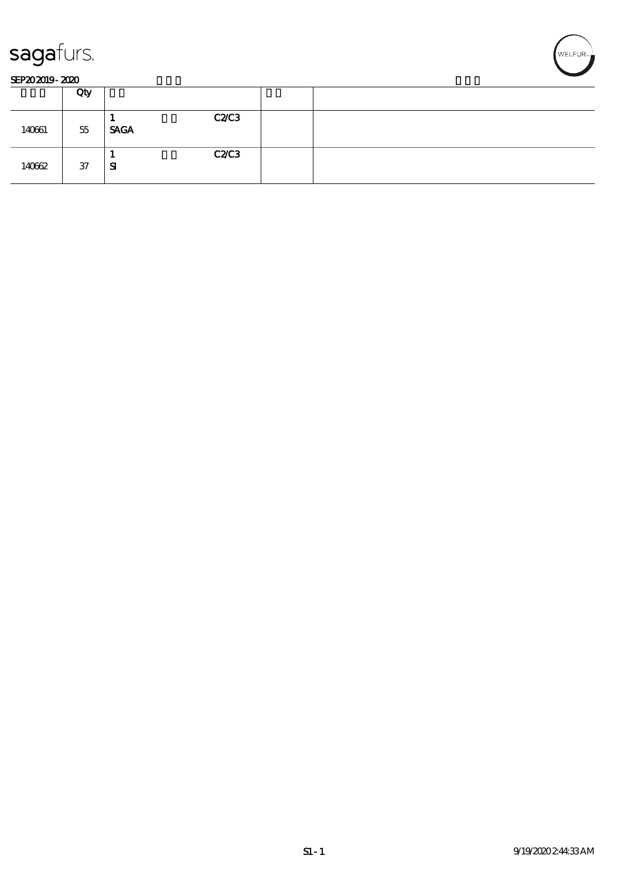



#### SEP202019-2020

|        | Qty |                     |  |
|--------|-----|---------------------|--|
| 140661 | 55  | C2C3<br><b>SAGA</b> |  |
| 140662 | 37  | C2C3<br>${\bf s}$   |  |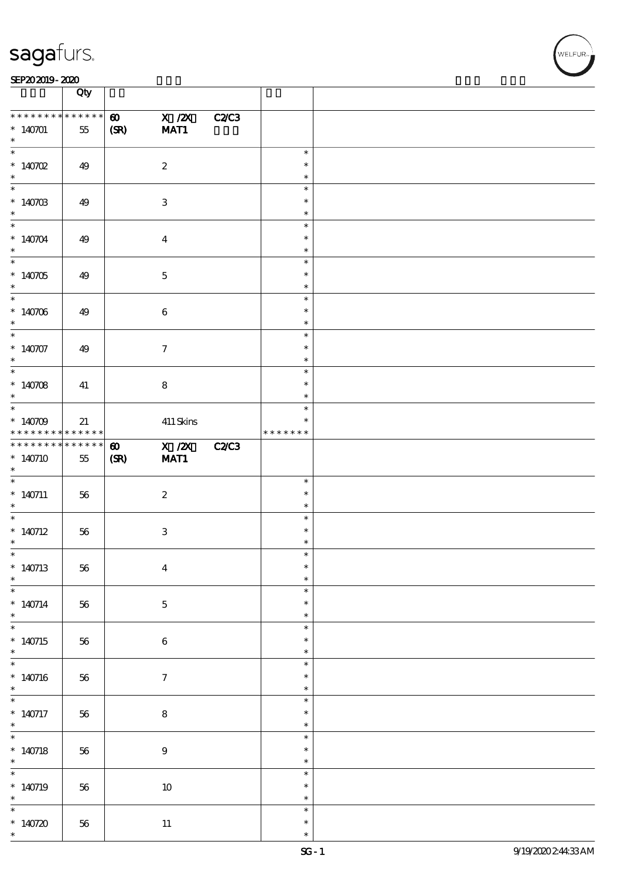#### SEP202019-2020 **DEEP202019-2020**

|                                               | Qty                              |                               |                           |              |                                   |  |
|-----------------------------------------------|----------------------------------|-------------------------------|---------------------------|--------------|-----------------------------------|--|
| * * * * * * * *<br>$*140701$<br>$\ast$        | * * * * * *<br>55                | $\boldsymbol{\omega}$<br>(SR) | $X$ / $ZX$<br>MAT1        | <b>C2/C3</b> |                                   |  |
| $*140702$<br>$\ast$                           | 49                               |                               | $\boldsymbol{2}$          |              | $\ast$<br>$\ast$<br>$\ast$        |  |
| * 140703                                      | 49                               |                               | $\ensuremath{\mathbf{3}}$ |              | $\ast$<br>$\ast$<br>$\ast$        |  |
| $*140704$<br>$\ast$                           | 49                               |                               | $\boldsymbol{4}$          |              | $\ast$<br>$\ast$<br>$\ast$        |  |
| * 140705                                      | 49                               |                               | $\mathbf 5$               |              | $\ast$<br>$\ast$<br>$\ast$        |  |
| $*140706$<br>$\ast$                           | 49                               |                               | $\bf 6$                   |              | $\ast$<br>$\ast$<br>$\ast$        |  |
| $*140707$<br>$*$                              | 49                               |                               | $\boldsymbol{\tau}$       |              | $\ast$<br>$\ast$<br>$\ast$        |  |
| * $140708$<br>$*$                             | 41                               |                               | ${\bf 8}$                 |              | $\ast$<br>$\ast$<br>$\ast$        |  |
| * $140709$<br>* * * * * * * *                 | 21<br>$\ast\ast\ast\ast\ast\ast$ |                               | $411$ Skins               |              | $\ast$<br>$\ast$<br>* * * * * * * |  |
| * * * * * * * *<br>$*140710$<br>$*$           | $***$ * * * *<br>$55\,$          | $\boldsymbol{\omega}$<br>(SR) | $X$ / $ZX$<br>MAT1        | <b>C2/C3</b> |                                   |  |
| $* 140711$<br>$*$                             | 56                               |                               | $\boldsymbol{z}$          |              | $\ast$<br>$\ast$<br>$\ast$        |  |
| $*140712$<br>$\ast$                           | 56                               |                               | $\,3$                     |              | $\ast$<br>$\ast$<br>$\ast$        |  |
| $\ast$<br>$*140713$<br>$\ast$                 | $56\,$                           |                               | $\boldsymbol{4}$          |              | $\ast$<br>$\ast$<br>$\ast$        |  |
| $* 140714$<br>$\ast$                          | 56                               |                               | $\bf 5$                   |              | $\ast$<br>$\ast$<br>$\ast$        |  |
| $*140715$<br>$\ast$                           | 56                               |                               | $\bf 6$                   |              | $\ast$<br>$\ast$<br>$\ast$        |  |
| $*140716$<br>$*$                              | $56\,$                           |                               | $\boldsymbol{\tau}$       |              | $\ast$<br>$\ast$<br>$\ast$        |  |
| $\overline{\phantom{0}}$<br>$*$ 140717<br>$*$ | 56                               |                               | $\bf 8$                   |              | $\ast$<br>$\ast$<br>$\ast$        |  |
| $* 140718$<br>$*$                             | 56                               |                               | $\boldsymbol{9}$          |              | $\ast$<br>$\ast$<br>$\ast$        |  |
| $*140719$<br>$\ast$                           | $56\,$                           |                               | $10\,$                    |              | $\ast$<br>$\ast$<br>$\ast$        |  |
| $\overline{\ast}$<br>* $140720$<br>$\ast$     | 56                               |                               | $11\,$                    |              | $\ast$<br>$\ast$<br>$\ast$        |  |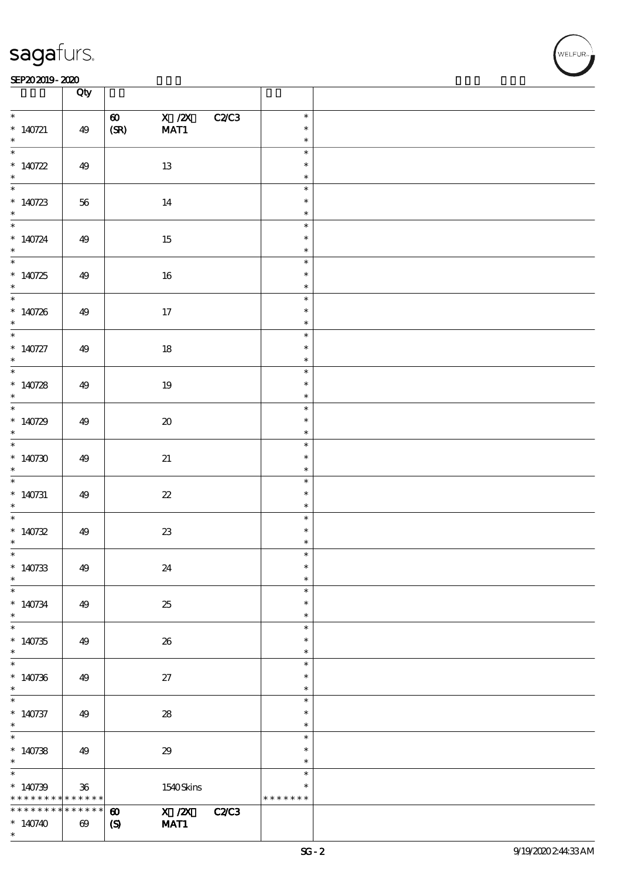#### SEP202019-2020 **DEEP202019-2020**

|                                                 | Qty                                  |                                                                                              |                                      |  |
|-------------------------------------------------|--------------------------------------|----------------------------------------------------------------------------------------------|--------------------------------------|--|
| $\ast$<br>$*$ 140721<br>$\ast$                  | 49                                   | X / ZX<br>$\boldsymbol{\omega}$<br>(SR)<br>MAT1                                              | C2/C3<br>$\ast$<br>$\ast$<br>$\ast$  |  |
| * $140722$<br>$\ast$                            | 49                                   | 13                                                                                           | $\ast$<br>$\ast$<br>$\ast$           |  |
| * $140723$<br>$*$                               | $56\,$                               | 14                                                                                           | $\ast$<br>$\ast$<br>$\ast$           |  |
| * $140724$<br>$*$                               | 49                                   | 15                                                                                           | $\ast$<br>$\ast$<br>$\ast$           |  |
| * $140725$<br>$*$                               | 49                                   | $16\,$                                                                                       | $\ast$<br>$\ast$<br>$\ast$           |  |
| * 140726                                        | 49                                   | 17                                                                                           | $\ast$<br>$\ast$<br>$\ast$           |  |
| $*$<br>$* 140727$<br>$*$                        | 49                                   | $18\,$                                                                                       | $\ast$<br>$\ast$<br>$\ast$           |  |
| * $140728$<br>$\ast$                            | 49                                   | 19                                                                                           | $\ast$<br>$\ast$<br>$\ast$           |  |
| * $140729$<br>$\ast$                            | 49                                   | $\boldsymbol{\boldsymbol{\lambda}}$                                                          | $\ast$<br>$\ast$<br>$\ast$           |  |
| * $140730$<br>$*$                               | 49                                   | 21                                                                                           | $\ast$<br>$\ast$<br>$\ast$           |  |
| $*140731$<br>$\ast$                             | 49                                   | $2\!2$                                                                                       | $\ast$<br>$\ast$<br>$\ast$           |  |
| * $140732$<br>$\ast$                            | 49                                   | $23\,$                                                                                       | $\ast$<br>$\ast$<br>$\ast$           |  |
| $*$<br>$*140733$<br>$\ast$                      | 49                                   | 24                                                                                           | $\ast$<br>$\ast$<br>$\ast$           |  |
| $\ast$<br>$*140734$<br>$\ast$                   | 49                                   | 25                                                                                           | $\ast$<br>$\ast$<br>$\ast$           |  |
| $*140735$<br>$\ast$                             | 49                                   | 26                                                                                           | $\ast$<br>$\ast$<br>$\ast$           |  |
| $*140736$<br>$\ast$<br>$\overline{\phantom{0}}$ | 49                                   | 27                                                                                           | $\ast$<br>$\ast$<br>$\ast$           |  |
| $* 140737$<br>$*$<br>$*$                        | 49                                   | $\boldsymbol{\mathsf{28}}$                                                                   | $\ast$<br>$\ast$<br>$\ast$<br>$\ast$ |  |
| $*140738$<br>$*$<br>$\ast$                      | 49                                   | 29                                                                                           | $\ast$<br>$\ast$<br>$\ast$           |  |
| $*140739$<br>* * * * * * * *                    | $36\,$<br>* * * * * *                | 1540Skins                                                                                    | $\ast$<br>* * * * * * *              |  |
| * * * * * * * *<br>$*140740$<br>$\ast$          | * * * * * *<br>$\boldsymbol{\omega}$ | $\overline{X}/\overline{Z}X$<br>$\boldsymbol{\omega}$<br>MAT1<br>$\boldsymbol{\mathrm{(S)}}$ | <b>C2/C3</b>                         |  |

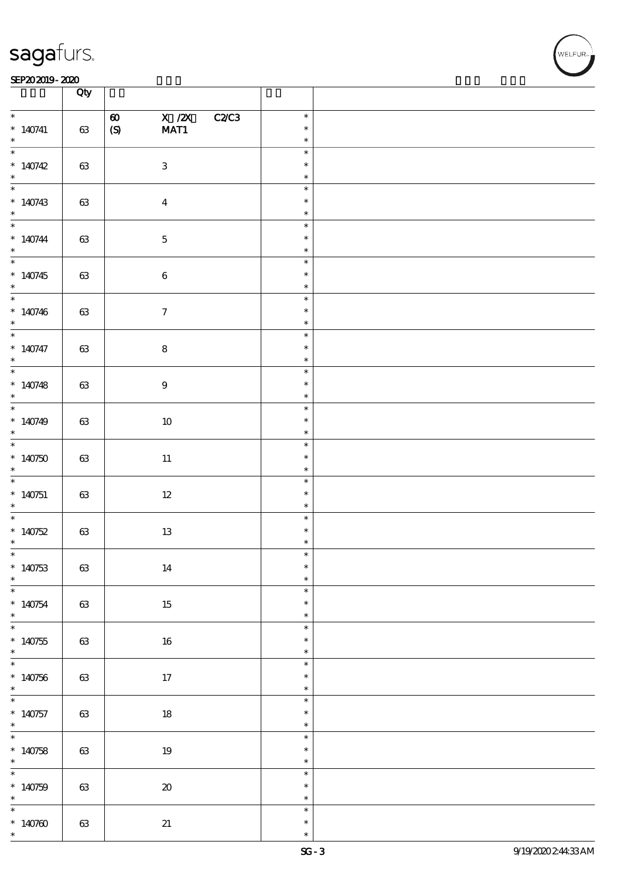#### SEP202019-2020 **DEEP202019-2020**

|                          | Qty    |                                          |                  |  |
|--------------------------|--------|------------------------------------------|------------------|--|
| $\ast$                   |        | X / ZX<br>C2/C3<br>$\boldsymbol{\omega}$ | $\ast$           |  |
| $*140741$<br>$\ast$      | $63\,$ | $\pmb{\text{(S)}}$<br>MAT1               | $\ast$<br>$\ast$ |  |
|                          |        |                                          | $\ast$           |  |
| $*140742$<br>$\ast$      | $63\,$ | $\ensuremath{\mathbf{3}}$                | $\ast$<br>$\ast$ |  |
|                          |        |                                          | $\ast$           |  |
| * $140743$<br>$*$        | $63\,$ | $\boldsymbol{4}$                         | $\ast$<br>$\ast$ |  |
|                          |        |                                          | $\ast$           |  |
| $* 140744$<br>$*$        | $63\,$ | $\mathbf 5$                              | $\ast$<br>$\ast$ |  |
|                          |        |                                          | $\ast$           |  |
| * $140745$<br>$\ast$     | 63     | $\bf 6$                                  | $\ast$<br>$\ast$ |  |
|                          |        |                                          | $\ast$           |  |
| $*140746$<br>$*$         | $63\,$ | $\boldsymbol{\tau}$                      | $\ast$<br>$\ast$ |  |
|                          |        |                                          | $\ast$           |  |
| $* 140747$<br>$*$        | $63\,$ | ${\bf 8}$                                | $\ast$<br>$\ast$ |  |
|                          |        |                                          | $\ast$           |  |
| * $140748$<br>$\ast$     | 63     | $\boldsymbol{9}$                         | $\ast$<br>$\ast$ |  |
|                          |        |                                          | $\ast$           |  |
| $*140749$<br>$\ast$      | $63\,$ | $10\,$                                   | $\ast$<br>$\ast$ |  |
|                          |        |                                          | $\ast$           |  |
| $*140750$<br>$*$         | $63\,$ | $11\,$                                   | $\ast$<br>$\ast$ |  |
|                          |        |                                          | $\ast$           |  |
| $*140751$<br>$*$         | 63     | $12\,$                                   | $\ast$<br>$\ast$ |  |
|                          |        |                                          | $\ast$           |  |
| * $140752$<br>$\ast$     | $63\,$ | $13\,$                                   | $\ast$<br>$\ast$ |  |
| $\ast$                   |        |                                          | $\ast$           |  |
| $*140753$<br>$\ast$      | $63\,$ | $14\,$                                   | $\ast$<br>$\ast$ |  |
| $\overline{\phantom{0}}$ |        |                                          | $\ast$           |  |
| $*140754$<br>$\ast$      | 63     | 15                                       | $\ast$<br>$\ast$ |  |
|                          |        |                                          | $\ast$           |  |
| $*140755$<br>$\ast$      | $63\,$ | $16\,$                                   | $\ast$<br>$\ast$ |  |
|                          |        |                                          | $\ast$           |  |
| $*140756$<br>$\ast$      | $63\,$ | 17                                       | $\ast$<br>$\ast$ |  |
|                          |        |                                          | $\ast$           |  |
| $*140757$<br>$*$         | 63     | $18\,$                                   | $\ast$<br>$\ast$ |  |
|                          |        |                                          | $\ast$           |  |
| * 140758                 | $63\,$ | $19\,$                                   | $\ast$<br>$\ast$ |  |
| $\overline{\phantom{0}}$ |        |                                          | $\ast$           |  |
| * $140759$<br>$\ast$     | $63\,$ | $\pmb{\mathcal{X}}$                      | $\ast$<br>$\ast$ |  |
| $\overline{\phantom{0}}$ |        |                                          | $\ast$           |  |
| * $140760$<br>$\ast$     | $63\,$ | 21                                       | $\ast$<br>$\ast$ |  |
|                          |        |                                          |                  |  |

**NELFUR**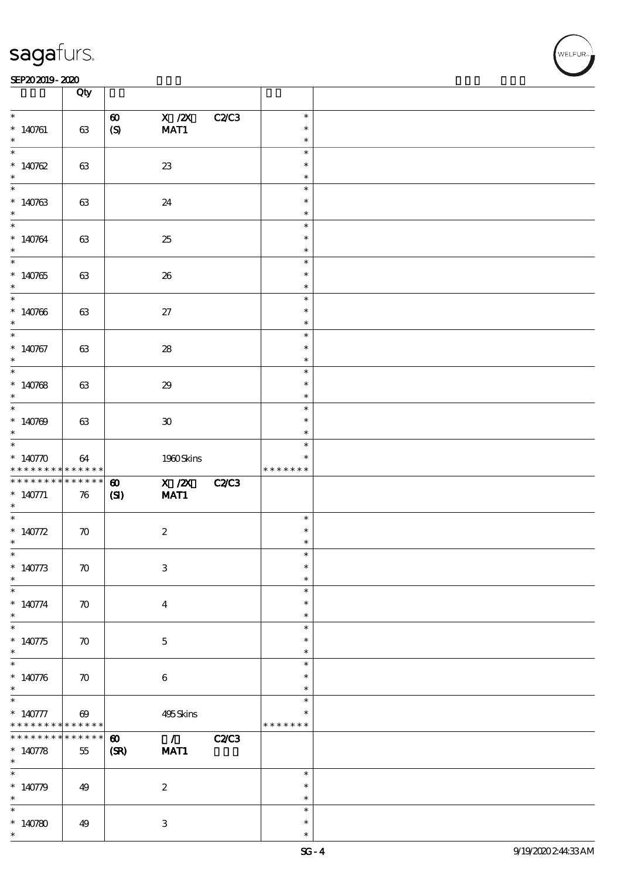#### SEP202019-2020 **DEEP202019-2020**

|                                                                                                                                                                              | Qty                             |                       |                           |              |                  |  |
|------------------------------------------------------------------------------------------------------------------------------------------------------------------------------|---------------------------------|-----------------------|---------------------------|--------------|------------------|--|
| $\ast$                                                                                                                                                                       |                                 | $\boldsymbol{\omega}$ | $X$ / $ZX$                | <b>C2/C3</b> | $\ast$           |  |
| $*140761$                                                                                                                                                                    | 63                              | $\boldsymbol{S}$      | MAT1                      |              | $\ast$           |  |
| $\ast$                                                                                                                                                                       |                                 |                       |                           |              | $\ast$           |  |
| $\ast$                                                                                                                                                                       |                                 |                       |                           |              | $\ast$           |  |
| $*140762$                                                                                                                                                                    | 63                              |                       | $23\,$                    |              | $\ast$           |  |
| $\ast$                                                                                                                                                                       |                                 |                       |                           |              | $\ast$           |  |
| $\ast$                                                                                                                                                                       |                                 |                       |                           |              | $\ast$           |  |
| $*140763$                                                                                                                                                                    | 63                              |                       | 24                        |              | $\ast$           |  |
|                                                                                                                                                                              |                                 |                       |                           |              | $\ast$           |  |
| $*$                                                                                                                                                                          |                                 |                       |                           |              | $\ast$           |  |
| $*140764$                                                                                                                                                                    | 63                              |                       | 25                        |              | $\ast$           |  |
| $\ast$                                                                                                                                                                       |                                 |                       |                           |              | $\ast$           |  |
|                                                                                                                                                                              |                                 |                       |                           |              | $\ast$           |  |
| $*140765$                                                                                                                                                                    | 63                              |                       | 26                        |              | $\ast$           |  |
| $\ast$                                                                                                                                                                       |                                 |                       |                           |              | $\ast$           |  |
| $\overline{\phantom{0}}$                                                                                                                                                     |                                 |                       |                           |              | $\ast$           |  |
| $*140766$                                                                                                                                                                    | 63                              |                       | $27\,$                    |              | $\ast$           |  |
| $\ast$                                                                                                                                                                       |                                 |                       |                           |              | $\ast$           |  |
| $\overline{\phantom{0}}$                                                                                                                                                     |                                 |                       |                           |              | $\ast$           |  |
| $*140767$                                                                                                                                                                    | 63                              |                       | ${\bf 28}$                |              | $\ast$           |  |
| $\ast$                                                                                                                                                                       |                                 |                       |                           |              | $\ast$           |  |
|                                                                                                                                                                              |                                 |                       |                           |              | $\ast$           |  |
| $*140768$                                                                                                                                                                    | 63                              |                       | $29\,$                    |              | $\ast$           |  |
| $\ast$                                                                                                                                                                       |                                 |                       |                           |              | $\ast$           |  |
| $*$                                                                                                                                                                          |                                 |                       |                           |              | $\ast$           |  |
| $*140769$                                                                                                                                                                    | 63                              |                       | $\pmb{\mathfrak{D}}$      |              | $\ast$           |  |
| $\ast$                                                                                                                                                                       |                                 |                       |                           |              | $\ast$           |  |
| $\overline{\phantom{0}}$                                                                                                                                                     |                                 |                       |                           |              | $\ast$           |  |
| * $140770$                                                                                                                                                                   | 64                              |                       | 1980Skins                 |              | $\ast$           |  |
|                                                                                                                                                                              |                                 |                       |                           |              | * * * * * * *    |  |
| * * * * * * * * <mark>* * * * * * *</mark>                                                                                                                                   |                                 |                       |                           |              |                  |  |
|                                                                                                                                                                              |                                 | $\boldsymbol{\omega}$ | X / ZX                    | C2C3         |                  |  |
|                                                                                                                                                                              | $\boldsymbol{\pi}$              | (S)                   | MAT1                      |              |                  |  |
| * * * * * * * * * * * * * * *<br>$* 140771$<br>$\ast$                                                                                                                        |                                 |                       |                           |              |                  |  |
|                                                                                                                                                                              |                                 |                       |                           |              | $\ast$           |  |
|                                                                                                                                                                              | $\boldsymbol{\pi}$              |                       | $\boldsymbol{2}$          |              | $\ast$           |  |
| $\ast$<br>* $140772$<br>$\ast$                                                                                                                                               |                                 |                       |                           |              | *                |  |
| $\ast$                                                                                                                                                                       |                                 |                       |                           |              | ж                |  |
|                                                                                                                                                                              | $\boldsymbol{\pi}$              |                       | $\ensuremath{\mathbf{3}}$ |              | $\ast$           |  |
| $*140773$<br>$\ast$                                                                                                                                                          |                                 |                       |                           |              | $\ast$           |  |
|                                                                                                                                                                              |                                 |                       |                           |              | $\ast$           |  |
|                                                                                                                                                                              | $\boldsymbol{\pi}$              |                       | $\boldsymbol{4}$          |              | $\ast$           |  |
|                                                                                                                                                                              |                                 |                       |                           |              | $\ast$           |  |
|                                                                                                                                                                              |                                 |                       |                           |              | $\ast$           |  |
|                                                                                                                                                                              | $\boldsymbol{\pi}$              |                       | $\bf 5$                   |              | $\ast$           |  |
|                                                                                                                                                                              |                                 |                       |                           |              | $\ast$<br>$\ast$ |  |
|                                                                                                                                                                              |                                 |                       |                           |              | $\ast$           |  |
|                                                                                                                                                                              | $\boldsymbol{\pi}$              |                       | $\bf 6$                   |              | $\ast$           |  |
|                                                                                                                                                                              |                                 |                       |                           |              | $\ast$           |  |
|                                                                                                                                                                              |                                 |                       |                           |              | *                |  |
|                                                                                                                                                                              | $\boldsymbol{\omega}$<br>****** |                       | 495Skins                  |              | * * * * * * *    |  |
|                                                                                                                                                                              | *****                           |                       |                           |              |                  |  |
|                                                                                                                                                                              |                                 | $\boldsymbol{\omega}$ | $\overline{1}$            | <b>C2/C3</b> |                  |  |
|                                                                                                                                                                              | $55\,$                          | (SR)                  | MAT1                      |              |                  |  |
|                                                                                                                                                                              |                                 |                       |                           |              | $\ast$           |  |
| $\ast$<br>$* 140774$<br>$*$<br>$\ast$<br>$*140775$<br>$\ast$<br>$* 140776$<br>$\ast$<br>$* 140777$<br>* * * * * * * *<br>* * * * * * *<br>$* 140778$<br>$\ast$<br>* $140779$ | 49                              |                       | $\boldsymbol{2}$          |              | $\ast$           |  |
| $\ast$                                                                                                                                                                       |                                 |                       |                           |              | $\ast$           |  |
| $\ast$                                                                                                                                                                       |                                 |                       |                           |              | $\ast$           |  |
| $*140780$                                                                                                                                                                    | 49                              |                       | $\ensuremath{\mathbf{3}}$ |              | $\ast$           |  |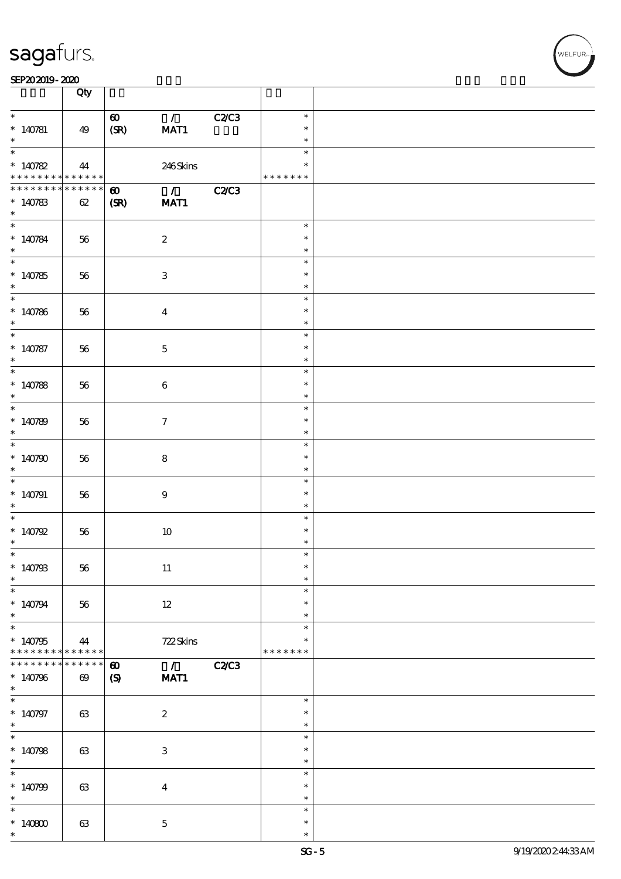|                              | Qty                   |                                                   |              |                  |  |
|------------------------------|-----------------------|---------------------------------------------------|--------------|------------------|--|
| $\ast$                       |                       | $\mathcal{L}$<br>$\boldsymbol{\omega}$            | <b>C2/C3</b> | $\ast$           |  |
| $* 140781$                   | 49                    | (SR)<br>MAT1                                      |              | $\ast$           |  |
| $\ast$<br>$\overline{\ast}$  |                       |                                                   |              | $\ast$           |  |
| $*140782$                    | 44                    | 246Skins                                          |              | $\ast$<br>$\ast$ |  |
| * * * * * * * *              | * * * * * *           |                                                   |              | * * * * * * *    |  |
| * * * * * * *                | * * * * * *           | $\overline{\phantom{a}}$<br>$\boldsymbol{\omega}$ | <b>C2/C3</b> |                  |  |
| $*140783$                    | 62                    | (SR)<br>MAT1                                      |              |                  |  |
| $\ast$<br>$\overline{\ast}$  |                       |                                                   |              | $\ast$           |  |
| $* 140784$                   | 56                    | $\boldsymbol{2}$                                  |              | $\ast$           |  |
| $\ast$                       |                       |                                                   |              | $\ast$           |  |
| $*$                          |                       |                                                   |              | $\ast$           |  |
| $*140785$                    | 56                    | $\ensuremath{\mathbf{3}}$                         |              | $\ast$           |  |
| $*$                          |                       |                                                   |              | $\ast$<br>$\ast$ |  |
| $* 140786$                   | 56                    | $\boldsymbol{4}$                                  |              | $\ast$           |  |
| $*$                          |                       |                                                   |              | $\ast$           |  |
| $\overline{\ast}$            |                       |                                                   |              | $\ast$           |  |
| $* 140787$                   | 56                    | $\mathbf 5$                                       |              | $\ast$           |  |
| $\ast$<br>$\overline{\ast}$  |                       |                                                   |              | $\ast$<br>$\ast$ |  |
| $* 140788$                   | 56                    | 6                                                 |              | $\ast$           |  |
| $\ast$                       |                       |                                                   |              | $\ast$           |  |
|                              |                       |                                                   |              | $\ast$           |  |
| $*140789$                    | 56                    | $\tau$                                            |              | $\ast$           |  |
| $\ast$<br>$\overline{\ast}$  |                       |                                                   |              | $\ast$<br>$\ast$ |  |
| * $140790$                   | 56                    | $\bf8$                                            |              | $\ast$           |  |
| $\ast$                       |                       |                                                   |              | $\ast$           |  |
| $*$                          |                       |                                                   |              | $\ast$           |  |
| $*140791$                    | 56                    | $\boldsymbol{9}$                                  |              | $\ast$           |  |
| $\ast$<br>$*$                |                       |                                                   |              | $\ast$<br>$\ast$ |  |
| * $140792$                   | 56                    | $10\,$                                            |              | $\ast$           |  |
| $\ast$                       |                       |                                                   |              | $\ast$           |  |
| $*$                          |                       |                                                   |              | $\ast$           |  |
| $*140793$                    | 56                    | $11\,$                                            |              | $\ast$           |  |
| $\ast$<br>$\ast$             |                       |                                                   |              | $\ast$<br>$\ast$ |  |
| $*140794$                    | 56                    | $12\,$                                            |              | $\ast$           |  |
| $\ast$                       |                       |                                                   |              | $\ast$           |  |
| $\overline{\ast}$            |                       |                                                   |              | $\ast$           |  |
| $*140795$<br>* * * * * * * * | 44<br>* * * * * *     | 722Skins                                          |              | * * * * * * *    |  |
| * * * * * * *                | * * * * * *           | $\overline{1}$<br>$\boldsymbol{\omega}$           | C2C3         |                  |  |
| $*140796$                    | $\boldsymbol{\omega}$ | $\boldsymbol{S}$<br>MAT1                          |              |                  |  |
| $*$                          |                       |                                                   |              |                  |  |
| $\overline{\phantom{0}}$     |                       |                                                   |              | $\ast$           |  |
| $* 140797$<br>$*$            | 63                    | $\boldsymbol{2}$                                  |              | $\ast$<br>$\ast$ |  |
| $\overline{\phantom{0}}$     |                       |                                                   |              | $\ast$           |  |
| $*140798$                    | 63                    | $\ensuremath{\mathbf{3}}$                         |              | $\ast$           |  |
| $\ast$                       |                       |                                                   |              | $\ast$           |  |
| $\ast$                       |                       |                                                   |              | $\ast$           |  |
| $*140799$<br>$\ast$          | 63                    | $\boldsymbol{4}$                                  |              | $\ast$<br>$\ast$ |  |
| $\ast$                       |                       |                                                   |              | $\ast$           |  |
| $*140800$                    | 63                    | $\bf 5$                                           |              | $\ast$           |  |
| $\ast$                       |                       |                                                   |              | $\ast$           |  |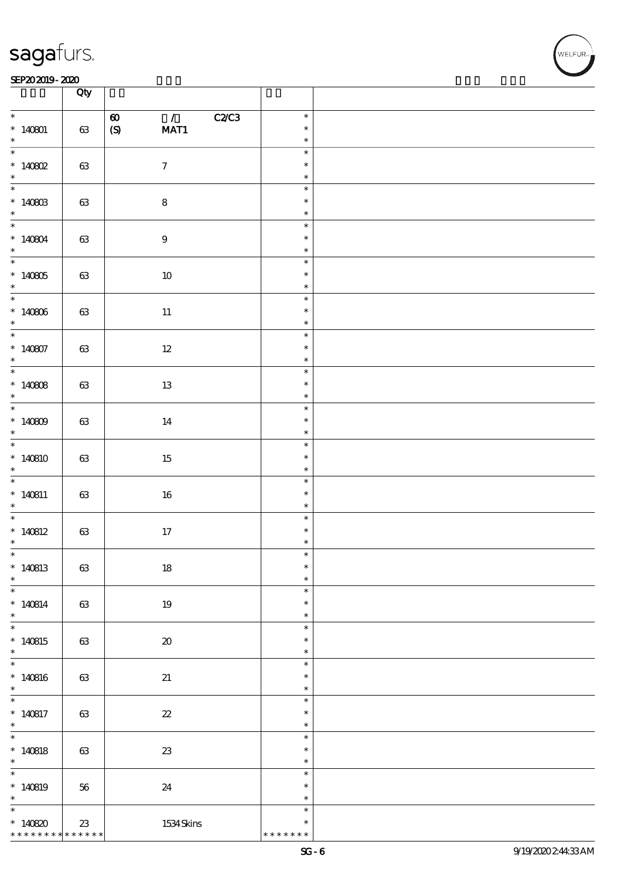#### SEP202019-2020 **DEEP202019-2020**

|                                                  | Qty                   |                                                                                        |                                   |  |
|--------------------------------------------------|-----------------------|----------------------------------------------------------------------------------------|-----------------------------------|--|
| $\ast$<br>$*140801$                              | $63\,$                | $\overline{1}$<br>C2C3<br>$\boldsymbol{\omega}$<br>$\boldsymbol{\mathrm{(S)}}$<br>MAT1 | $\ast$<br>$\ast$                  |  |
| $\ast$                                           |                       |                                                                                        | $\ast$                            |  |
| $\overline{\phantom{0}}$<br>* 140802             | 63                    | $\boldsymbol{7}$                                                                       | $\ast$<br>$\ast$<br>$\ast$        |  |
|                                                  |                       |                                                                                        | $\ast$                            |  |
| $*140803$<br>$\ast$                              | $63\,$                | ${\bf 8}$                                                                              | $\ast$<br>$\ast$                  |  |
| * 140804                                         | $63\,$                | $\boldsymbol{9}$                                                                       | $\ast$<br>$\ast$<br>$\ast$        |  |
| * $140805$<br>$\ast$                             | $63\,$                | $10\,$                                                                                 | $\ast$<br>$\ast$<br>$\ast$        |  |
| $*140806$<br>$\ast$                              | $63\,$                | $11\,$                                                                                 | $\ast$<br>$\ast$<br>$\ast$        |  |
| $\overline{\phantom{0}}$<br>$*140807$<br>$\ast$  | $63\,$                | $12\,$                                                                                 | $\ast$<br>$\ast$<br>$\ast$        |  |
| $\overline{\phantom{0}}$<br>* $140808$<br>$\ast$ | 63                    | 13                                                                                     | $\ast$<br>$\ast$<br>$\ast$        |  |
| $*$<br>* $140809$<br>$\ast$                      | 63                    | 14                                                                                     | $\ast$<br>$\ast$<br>$\ast$        |  |
| $*140810$<br>$\ast$                              | $63\,$                | 15                                                                                     | $\ast$<br>$\ast$<br>$\ast$        |  |
| * $140811$<br>$*$                                | 63                    | 16                                                                                     | $\ast$<br>$\ast$<br>$\ast$        |  |
| $*140812$<br>$\ast$                              | $63\,$                | $17\,$                                                                                 | $\ast$<br>$\ast$<br>$\ast$        |  |
| $\ast$<br>$*140813$<br>$\ast$                    | $63\,$                | $18\,$                                                                                 | $\ast$<br>$\ast$<br>$\ast$        |  |
| $\ast$<br>$* 140814$<br>$\ast$                   | 63                    | 19                                                                                     | $\ast$<br>$\ast$<br>$\ast$        |  |
| $\overline{\ast}$<br>$*140815$<br>$\ast$         | 63                    | $\pmb{\mathcal{X}}$                                                                    | $\ast$<br>$\ast$<br>$\ast$        |  |
| $\overline{\ast}$<br>$*140816$<br>$\ast$         | $63\,$                | 21                                                                                     | $\ast$<br>$\ast$<br>$\ast$        |  |
| $\overline{\phantom{0}}$<br>$* 140817$<br>$\ast$ | 63                    | $2\!2$                                                                                 | $\ast$<br>$\ast$<br>$\ast$        |  |
| $*$<br>$* 140818$<br>$\ast$                      | 63                    | $2\!3$                                                                                 | $\ast$<br>$\ast$<br>$\ast$        |  |
| $\ast$<br>$*140819$<br>$\ast$                    | 56                    | 24                                                                                     | $\ast$<br>$\ast$<br>$\ast$        |  |
| $\ast$<br>$*140820$<br>* * * * * * * *           | $23\,$<br>* * * * * * | 1534Skins                                                                              | $\ast$<br>$\ast$<br>* * * * * * * |  |

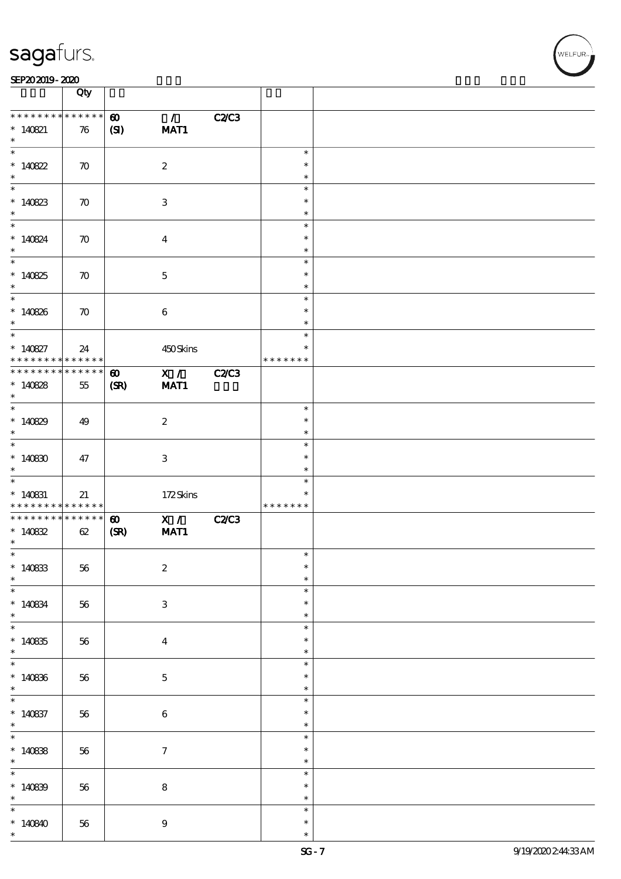| SEP202019-2020 |  |  |
|----------------|--|--|
|                |  |  |

|                                                                       | Qty                              |                               |                           |              |                                      |  |
|-----------------------------------------------------------------------|----------------------------------|-------------------------------|---------------------------|--------------|--------------------------------------|--|
| * * * * * * * *<br>$* 140821$<br>$\ast$                               | * * * * * *<br>76                | $\boldsymbol{\omega}$<br>(S)  | $\mathcal{L}$<br>MAT1     | <b>C2/C3</b> |                                      |  |
| $\overline{\ast}$<br>$*140822$<br>$\ast$                              | $\boldsymbol{\pi}$               |                               | $\boldsymbol{2}$          |              | $\ast$<br>$\ast$<br>$\ast$           |  |
| $\overline{\ast}$<br>$*140823$<br>$\ast$                              | $\boldsymbol{\pi}$               |                               | $\ensuremath{\mathsf{3}}$ |              | $\ast$<br>$\ast$<br>$\ast$           |  |
| $\overline{\ast}$<br>$* 140824$<br>$\ast$                             | $\boldsymbol{\pi}$               |                               | $\boldsymbol{4}$          |              | $\ast$<br>$\ast$<br>$\ast$           |  |
| $\overline{\phantom{0}}$<br>$*140825$<br>$\ast$                       | $\boldsymbol{\pi}$               |                               | $\mathbf 5$               |              | $\ast$<br>$\ast$<br>$\ast$           |  |
| $\overline{\phantom{0}}$<br>$* 140826$<br>$\ast$<br>$\overline{\ast}$ | $\boldsymbol{\pi}$               |                               | $\bf 6$                   |              | $\ast$<br>$\ast$<br>$\ast$           |  |
| $* 140827$<br>* * * * * * * *                                         | 24<br>* * * * * *                |                               | 450Skins                  |              | $\ast$<br>$\ast$<br>* * * * * * *    |  |
| * * * * * * * *<br>$*140828$<br>$\ast$                                | $\ast\ast\ast\ast\ast\ast$<br>55 | $\boldsymbol{\omega}$<br>(SR) | X / C<br>MAT1             | <b>C2/C3</b> |                                      |  |
| * $140829$<br>$\ast$                                                  | 49                               |                               | $\boldsymbol{z}$          |              | $\ast$<br>$\ast$<br>$\ast$           |  |
| $\overline{\ast}$<br>$*140830$<br>$\ast$<br>$\overline{\phantom{0}}$  | 47                               |                               | $\ensuremath{\mathsf{3}}$ |              | $\ast$<br>$\ast$<br>$\ast$           |  |
| $*$ 140831<br>* * * * * * * * <mark>* * * * * * *</mark>              | 21                               |                               | 172Skins                  |              | $\ast$<br>$\ast$<br>* * * * * * *    |  |
| * * * * * * * *<br>$*14082$<br>$\ast$                                 | $\ast\ast\ast\ast\ast\ast$<br>62 | $\boldsymbol{\omega}$<br>(SR) | X /<br>MAT1               | <b>C2/C3</b> |                                      |  |
| $\ast$<br>$*140833$<br>$\ast$<br>$\ast$                               | $5\!6$                           |                               | $\boldsymbol{2}$          |              | $\ast$<br>$\ast$<br>$\ast$           |  |
| $*140834$<br>$\ast$<br>$\overline{\ast}$                              | 56                               |                               | $\,3$                     |              | $\ast$<br>$\ast$<br>$\ast$<br>$\ast$ |  |
| $*140835$<br>$\ast$<br>$\overline{\ast}$                              | 56                               |                               | $\boldsymbol{4}$          |              | $\ast$<br>$\ast$<br>$\ast$           |  |
| $*140836$<br>$\ast$<br>$\overline{\phantom{0}}$                       | $56\,$                           |                               | $\bf 5$                   |              | $\ast$<br>$\ast$<br>$\ast$           |  |
| $* 140837$<br>$\ast$<br>$\overline{\ast}$                             | 56                               |                               | $\bf 6$                   |              | $\ast$<br>$\ast$<br>$\ast$           |  |
| * $140838$<br>$\ast$<br>$\ast$                                        | 56                               |                               | $\boldsymbol{7}$          |              | $\ast$<br>$\ast$<br>$\ast$           |  |
| $*140839$<br>$\ast$<br>$\ast$                                         | $5\!6$                           |                               | $\bf 8$                   |              | $\ast$<br>$\ast$<br>$\ast$           |  |
| $*140840$<br>$\ast$                                                   | 56                               |                               | $\boldsymbol{9}$          |              | $\ast$<br>$\ast$                     |  |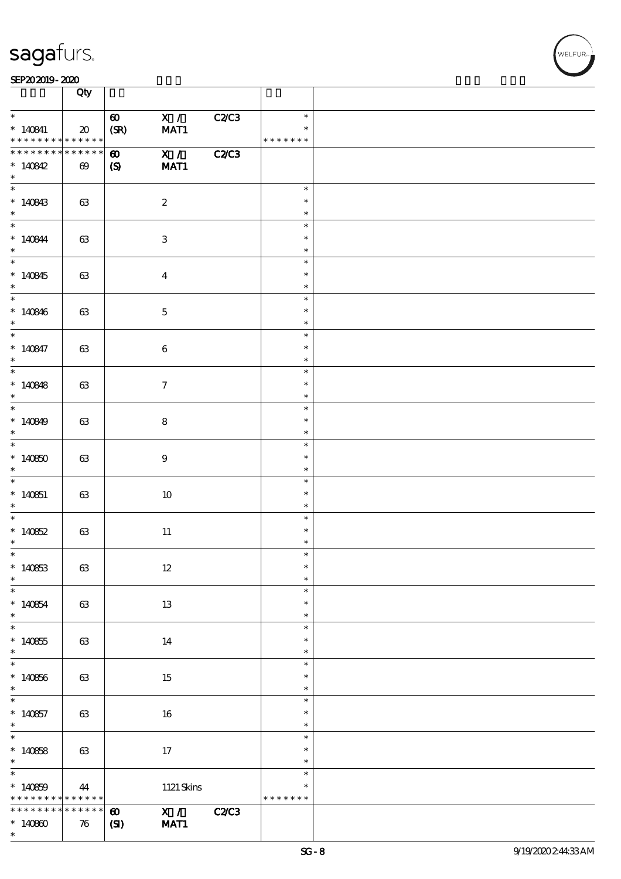#### SEP202019-2020 **DEEP202019-2020**

|                                    | Qty                                            |                       |                                      |              |                         |  |
|------------------------------------|------------------------------------------------|-----------------------|--------------------------------------|--------------|-------------------------|--|
| $\ast$                             |                                                | $\boldsymbol{\omega}$ | X /                                  | C2/C3        | $\ast$                  |  |
| $*140841$<br>* * * * * * * *       | $\boldsymbol{\mathfrak{D}}$<br>$* * * * * * *$ | (SR)                  | MAT1                                 |              | $\ast$<br>* * * * * * * |  |
| * * * * * * * *                    | * * * * * *                                    | $\boldsymbol{\omega}$ | $\overline{\mathbf{x} / \mathbf{z}}$ | <b>C2/C3</b> |                         |  |
| $*140842$<br>$\ast$                | $\boldsymbol{\omega}$                          | $\boldsymbol{S}$      | MAT1                                 |              |                         |  |
| $*140843$                          | 63                                             |                       | $\boldsymbol{2}$                     |              | $\ast$<br>$\ast$        |  |
| $\ast$                             |                                                |                       |                                      |              | $\ast$                  |  |
| $* 140844$                         | 63                                             |                       | 3                                    |              | $\ast$<br>$\ast$        |  |
| $*$                                |                                                |                       |                                      |              | $\ast$                  |  |
| $*140845$                          | 63                                             |                       | $\bf{4}$                             |              | $\ast$<br>$\ast$        |  |
| $*$                                |                                                |                       |                                      |              | $\ast$                  |  |
| * $140846$                         | 63                                             |                       | $\mathbf 5$                          |              | $\ast$<br>$\ast$        |  |
| $\ast$<br>$\overline{\ast}$        |                                                |                       |                                      |              | $\ast$<br>$\ast$        |  |
| $* 140847$                         | 63                                             |                       | $\bf 6$                              |              | $\ast$                  |  |
| $*$                                |                                                |                       |                                      |              | $\ast$<br>$\ast$        |  |
| * $140848$                         | 63                                             |                       | $\tau$                               |              | $\ast$                  |  |
| $\ast$                             |                                                |                       |                                      |              | $\ast$<br>$\ast$        |  |
| * $140849$                         | 63                                             |                       | 8                                    |              | $\ast$                  |  |
| $\ast$                             |                                                |                       |                                      |              | $\ast$<br>$\ast$        |  |
| $*140850$<br>$*$                   | 63                                             |                       | $\boldsymbol{9}$                     |              | $\ast$<br>$\ast$        |  |
|                                    |                                                |                       |                                      |              | $\ast$                  |  |
| $*140851$<br>$\ast$                | 63                                             |                       | 10                                   |              | $\ast$<br>$\ast$        |  |
|                                    |                                                |                       |                                      |              | $\ast$                  |  |
| * $140852$<br>$\ast$               | $63\,$                                         |                       | $11\,$                               |              | $\ast$<br>$\ast$        |  |
| $\ast$                             |                                                |                       |                                      |              | $\ast$<br>$\ast$        |  |
| $*140853$<br>$\ast$                | 63                                             |                       | $12 \,$                              |              | $\ast$                  |  |
| $*140854$                          |                                                |                       |                                      |              | $\ast$<br>$\ast$        |  |
| $*$                                | $63\,$                                         |                       | 13                                   |              | $\ast$                  |  |
| $*140855$                          | 63                                             |                       | 14                                   |              | $\ast$<br>$\ast$        |  |
| $*$                                |                                                |                       |                                      |              | $\ast$                  |  |
| $*140856$                          | 63                                             |                       | 15                                   |              | $\ast$<br>$\ast$        |  |
| $*$                                |                                                |                       |                                      |              | $\ast$                  |  |
| $*140857$                          | 63                                             |                       | 16                                   |              | $\ast$<br>$\ast$        |  |
| $*$                                |                                                |                       |                                      |              | $\ast$<br>$\ast$        |  |
| $*140858$                          | 63                                             |                       | 17                                   |              | $\ast$                  |  |
| $\ast$                             |                                                |                       |                                      |              | $\ast$<br>$\ast$        |  |
| $*140859$                          | 44                                             |                       | $1121$ Skins                         |              | $\ast$                  |  |
| * * * * * * * *<br>* * * * * * * * | * * * * * *<br>* * * * * *                     | $\boldsymbol{\omega}$ | $\mathbf{X}$ /                       | <b>C2/C3</b> | * * * * * * *           |  |
| $*140800$<br>$\ast$                | 76                                             | $\mathbf{S}$          | MAT1                                 |              |                         |  |
|                                    |                                                |                       |                                      |              |                         |  |

 $\mathbf{r}$ 

**NELFUR**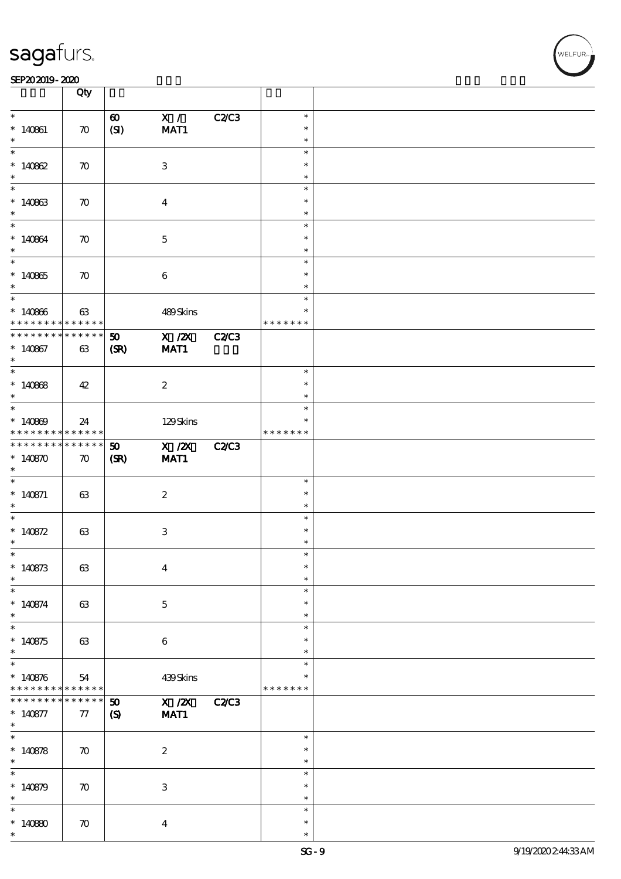#### SEP202019-2020 **DEEP202019-2020**

|                                            | Qty                |                             |                           |              |               |  |
|--------------------------------------------|--------------------|-----------------------------|---------------------------|--------------|---------------|--|
| $\ast$                                     |                    |                             |                           |              | $\ast$        |  |
|                                            |                    | $\boldsymbol{\omega}$       | X /                       | <b>C2/C3</b> |               |  |
| $* 140861$                                 | $\boldsymbol{\pi}$ | (SI)                        | MAT1                      |              | $\ast$        |  |
| $\ast$                                     |                    |                             |                           |              | $\ast$        |  |
|                                            |                    |                             |                           |              | $\ast$        |  |
| $*140862$                                  | $\boldsymbol{\pi}$ |                             | 3                         |              | $\ast$        |  |
| $\ast$                                     |                    |                             |                           |              | $\ast$        |  |
|                                            |                    |                             |                           |              |               |  |
|                                            |                    |                             |                           |              | $\ast$        |  |
| $*140863$                                  | $\boldsymbol{\pi}$ |                             | $\overline{\mathbf{4}}$   |              | $\ast$        |  |
| $\ast$                                     |                    |                             |                           |              | $\ast$        |  |
| $*$                                        |                    |                             |                           |              | $\ast$        |  |
| $*140864$                                  | $\boldsymbol{\pi}$ |                             | $\mathbf{5}$              |              | $\ast$        |  |
| $\ast$                                     |                    |                             |                           |              | $\ast$        |  |
| $\overline{\ast}$                          |                    |                             |                           |              | $\ast$        |  |
|                                            |                    |                             |                           |              |               |  |
| $*140865$                                  | $\boldsymbol{\pi}$ |                             | $\bf 6$                   |              | $\ast$        |  |
| $\ast$                                     |                    |                             |                           |              | $\ast$        |  |
| $\overline{\phantom{0}}$                   |                    |                             |                           |              | $\ast$        |  |
| $*140866$                                  | 63                 |                             | 489Skins                  |              | $\ast$        |  |
| * * * * * * * *                            | $* * * * * * *$    |                             |                           |              | * * * * * * * |  |
| * * * * * * * *                            | $******$           | 50                          | $X$ / $ZX$                | <b>C2/C3</b> |               |  |
|                                            |                    |                             |                           |              |               |  |
| $*140867$                                  | 63                 | (SR)                        | MAT1                      |              |               |  |
| $\ast$                                     |                    |                             |                           |              |               |  |
|                                            |                    |                             |                           |              | $\ast$        |  |
| $*140868$                                  | 42                 |                             | $\boldsymbol{2}$          |              | $\ast$        |  |
| $\ast$                                     |                    |                             |                           |              | $\ast$        |  |
| $\overline{\phantom{0}}$                   |                    |                             |                           |              | $\ast$        |  |
| $*140809$                                  | 24                 |                             | 129Skins                  |              | *             |  |
| * * * * * * * * <mark>* * * * * *</mark> * |                    |                             |                           |              | * * * * * * * |  |
| * * * * * * * * <mark>*</mark>             |                    |                             |                           |              |               |  |
|                                            | $* * * * * * *$    | 50                          | $X$ / $ZX$                | <b>C2/C3</b> |               |  |
| $*140870$                                  | $\boldsymbol{\pi}$ | (SR)                        | MAT1                      |              |               |  |
| $\ast$                                     |                    |                             |                           |              |               |  |
| $\overline{\phantom{0}}$                   |                    |                             |                           |              | $\ast$        |  |
| $* 140871$                                 | 63                 |                             | $\boldsymbol{2}$          |              | $\ast$        |  |
| $\ast$                                     |                    |                             |                           |              | $\ast$        |  |
| $\ast$                                     |                    |                             |                           |              | $\ast$        |  |
|                                            |                    |                             |                           |              | $\ast$        |  |
| * $140872$                                 | 63                 |                             | $\ensuremath{\mathbf{3}}$ |              |               |  |
| $\ast$                                     |                    |                             |                           |              | $\ast$        |  |
| $\ast$                                     |                    |                             |                           |              | $\ast$        |  |
| $*140873$                                  | 63                 |                             | $\boldsymbol{4}$          |              | $\ast$        |  |
| $\ast$                                     |                    |                             |                           |              | $\ast$        |  |
| $\ast$                                     |                    |                             |                           |              | $\ast$        |  |
| $* 140874$                                 | 63                 |                             | $\mathbf 5$               |              | $\ast$        |  |
| $\ast$                                     |                    |                             |                           |              | $\ast$        |  |
|                                            |                    |                             |                           |              | $\ast$        |  |
|                                            |                    |                             |                           |              |               |  |
| $*140875$                                  | 63                 |                             | $\boldsymbol{6}$          |              | $\ast$        |  |
| $\ast$                                     |                    |                             |                           |              | $\ast$        |  |
| $\overline{\ast}$                          |                    |                             |                           |              | $\ast$        |  |
| $* 140876$                                 | 54                 |                             | 439Skins                  |              | *             |  |
| * * * * * * * * <mark>*</mark>             | $* * * * * * *$    |                             |                           |              | * * * * * * * |  |
| * * * * * * * *                            | * * * * * *        | $\boldsymbol{\mathfrak{D}}$ | $\overline{X}$ /2X        | <b>C2/C3</b> |               |  |
|                                            |                    |                             |                           |              |               |  |
| $* 140877$                                 | 77                 | $\boldsymbol{\mathcal{S}}$  | MAT1                      |              |               |  |
| $*$                                        |                    |                             |                           |              |               |  |
| $\overline{\ast}$                          |                    |                             |                           |              | $\ast$        |  |
| * $140878$                                 | $\boldsymbol{\pi}$ |                             | $\boldsymbol{2}$          |              | $\ast$        |  |
| $\ast$                                     |                    |                             |                           |              | $\ast$        |  |
| $\ast$                                     |                    |                             |                           |              | $\ast$        |  |
| $*140879$                                  | $\boldsymbol{\pi}$ |                             | $\ensuremath{\mathbf{3}}$ |              | $\ast$        |  |
| $\ast$                                     |                    |                             |                           |              | $\ast$        |  |
| $\ast$                                     |                    |                             |                           |              |               |  |
|                                            |                    |                             |                           |              | $\ast$        |  |
|                                            |                    |                             |                           |              |               |  |
| $*14080$<br>$\ast$                         | $\boldsymbol{\pi}$ |                             | $\boldsymbol{4}$          |              | $\ast$        |  |

VELFUR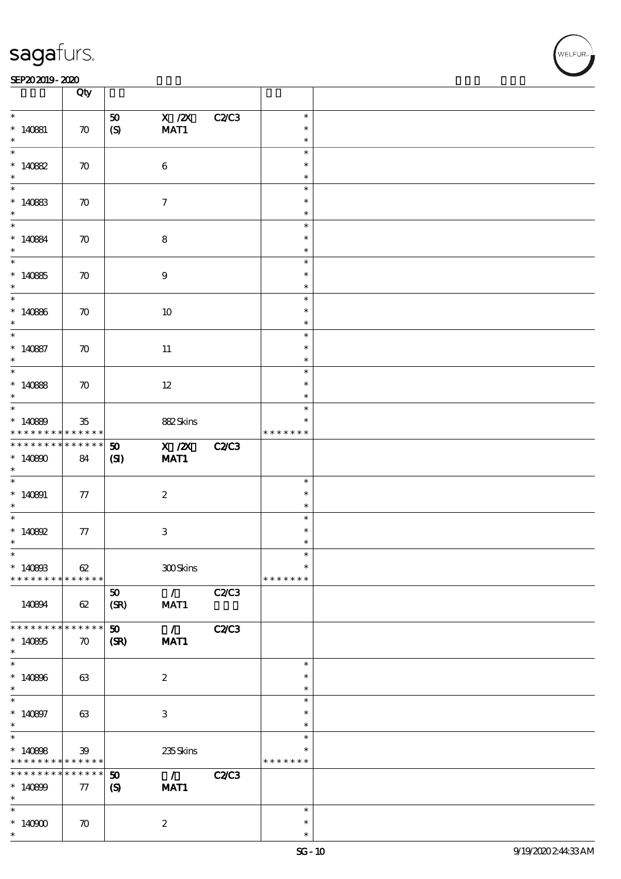#### SEP202019-2020 **DEEP202019-2020**

|                                    | Qty                        |                                                            |                           |              |                  |  |
|------------------------------------|----------------------------|------------------------------------------------------------|---------------------------|--------------|------------------|--|
| $\ast$                             |                            | 50                                                         | $X$ / $ZX$                | <b>C2/C3</b> | $\ast$           |  |
| $*140881$                          | $\boldsymbol{\pi}$         | $\boldsymbol{S}$                                           | MAT1                      |              | $\ast$           |  |
| $\ast$                             |                            |                                                            |                           |              | $\ast$           |  |
| $\ast$                             |                            |                                                            |                           |              | $\ast$<br>$\ast$ |  |
| $*140882$<br>$\ast$                | $\boldsymbol{\pi}$         |                                                            | $\bf 6$                   |              | $\ast$           |  |
| $\overline{\phantom{0}}$           |                            |                                                            |                           |              | $\ast$           |  |
| $*140833$<br>$\ast$                | $\boldsymbol{\pi}$         |                                                            | $\tau$                    |              | $\ast$           |  |
| $\overline{\ast}$                  |                            |                                                            |                           |              | $\ast$<br>$\ast$ |  |
| $* 140884$                         | $\boldsymbol{\pi}$         |                                                            | $\bf8$                    |              | $\ast$           |  |
| $\ast$                             |                            |                                                            |                           |              | $\ast$           |  |
| $\overline{\phantom{0}}$           |                            |                                                            |                           |              | $\ast$           |  |
| $*14085$<br>$\ast$                 | $\boldsymbol{\pi}$         |                                                            | $9\,$                     |              | $\ast$<br>$\ast$ |  |
| $\overline{\ast}$                  |                            |                                                            |                           |              | $\ast$           |  |
| $*140866$                          | $\boldsymbol{\pi}$         |                                                            | 10                        |              | $\ast$           |  |
| $\ast$                             |                            |                                                            |                           |              | $\ast$           |  |
| $\ast$<br>$* 140887$               | $\boldsymbol{\pi}$         |                                                            | 11                        |              | $\ast$<br>$\ast$ |  |
| $\ast$                             |                            |                                                            |                           |              | $\ast$           |  |
| $\overline{\ast}$                  |                            |                                                            |                           |              | $\ast$           |  |
| $*140888$                          | $\boldsymbol{\pi}$         |                                                            | $12 \,$                   |              | $\ast$           |  |
| $\ast$<br>$\ast$                   |                            |                                                            |                           |              | $\ast$<br>$\ast$ |  |
| $*140899$                          | $35\,$                     |                                                            | 882Skins                  |              | ∗                |  |
| * * * * * * * * * * * * * *        |                            |                                                            |                           |              | * * * * * * *    |  |
| * * * * * * * *                    | * * * * * *                | 50                                                         | $X$ / $ZX$                | <b>C2/C3</b> |                  |  |
| $*140800$                          | 84                         | (S)                                                        | MAT1                      |              |                  |  |
| $\ast$<br>$\overline{\phantom{0}}$ |                            |                                                            |                           |              | $\ast$           |  |
| $*140891$                          | 77                         |                                                            | $\boldsymbol{2}$          |              | $\ast$           |  |
| $\ast$                             |                            |                                                            |                           |              | $\ast$           |  |
| $\ast$                             |                            |                                                            |                           |              | $\ast$           |  |
| * $140802$<br>$\ast$               | 77                         |                                                            | $\ensuremath{\mathbf{3}}$ |              | $\ast$<br>$\ast$ |  |
| $*$                                |                            |                                                            |                           |              | $\ast$           |  |
| $*140803$                          | 62                         |                                                            | 300Skins                  |              | $\ast$           |  |
| * * * * * * * *                    | * * * * * *                |                                                            |                           |              | * * * * * * *    |  |
| 140894                             | 62                         | 50<br>(SR)                                                 | $\mathcal{L}$<br>MAT1     | <b>C2/C3</b> |                  |  |
|                                    |                            |                                                            |                           |              |                  |  |
| * * * * * * * *                    | * * * * * *                | 50                                                         | $\mathcal{L}$             | <b>C2/C3</b> |                  |  |
| $*140805$<br>$\ast$                | $\boldsymbol{\pi}$         | (SR)                                                       | MAT1                      |              |                  |  |
| $\ast$                             |                            |                                                            |                           |              | $\ast$           |  |
| $*140806$                          | 63                         |                                                            | $\boldsymbol{z}$          |              | $\ast$           |  |
| $\ast$                             |                            |                                                            |                           |              | $\ast$           |  |
| $\ast$                             |                            |                                                            |                           |              | $\ast$<br>$\ast$ |  |
| $* 140807$<br>$\ast$               | 63                         |                                                            | $\ensuremath{\mathsf{3}}$ |              | $\ast$           |  |
| $\overline{\ast}$                  |                            |                                                            |                           |              | $\ast$           |  |
| $*140808$                          | $\mathfrak{B}$             |                                                            | 235Skins                  |              | ∗                |  |
| * * * * * * * *<br>* * * * * * * * | * * * * * *<br>* * * * * * |                                                            |                           |              | * * * * * * *    |  |
| $*140809$                          | 77                         | $\boldsymbol{\mathfrak{D}}$<br>$\boldsymbol{\mathrm{(S)}}$ | $\mathcal{L}$<br>MAT1     | <b>C2/C3</b> |                  |  |
| $\ast$                             |                            |                                                            |                           |              |                  |  |
| $\ast$                             |                            |                                                            |                           |              | $\ast$           |  |
| $*140900$<br>$\ast$                | $\boldsymbol{\pi}$         |                                                            | $\boldsymbol{z}$          |              | $\ast$<br>$\ast$ |  |
|                                    |                            |                                                            |                           |              |                  |  |

 $\overline{\mathbf{r}}$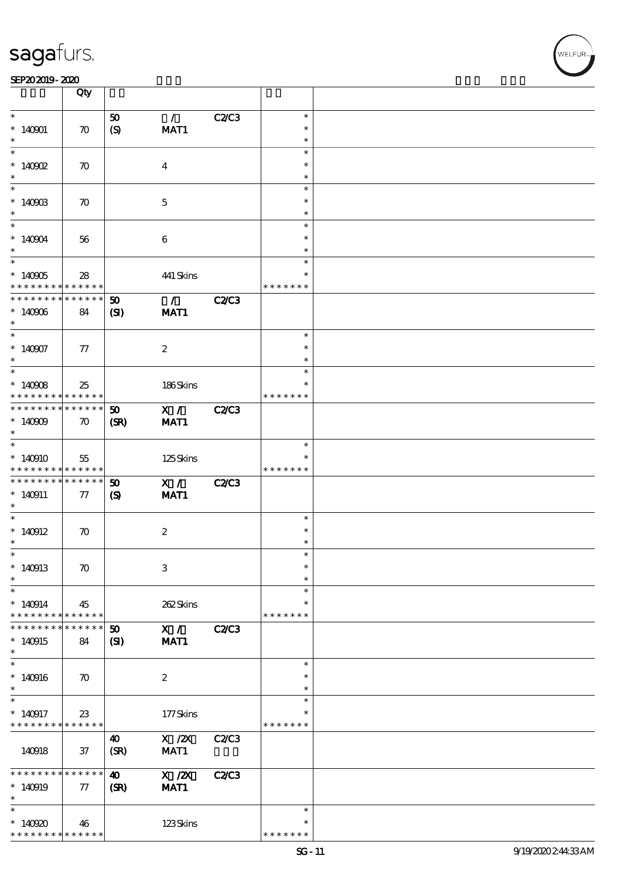#### SEP202019-2020

|                                                         | Qty                |                            |                                   |              |               |  |
|---------------------------------------------------------|--------------------|----------------------------|-----------------------------------|--------------|---------------|--|
| $\ast$                                                  |                    | 50                         | $\mathcal{L}$                     | C2C3         | $\ast$        |  |
|                                                         |                    |                            |                                   |              | $\ast$        |  |
| $*140001$<br>$\ast$                                     | $\boldsymbol{\pi}$ | (S)                        | MAT1                              |              |               |  |
|                                                         |                    |                            |                                   |              | $\ast$        |  |
|                                                         |                    |                            |                                   |              | $\ast$        |  |
| $*$ 140902                                              | $\boldsymbol{\pi}$ |                            | $\overline{4}$                    |              | $\ast$        |  |
| $\ast$                                                  |                    |                            |                                   |              | $\ast$        |  |
|                                                         |                    |                            |                                   |              | $\ast$        |  |
| $*140903$                                               | $\boldsymbol{\pi}$ |                            | $\mathbf{5}$                      |              | $\ast$        |  |
| $\ast$                                                  |                    |                            |                                   |              | $\ast$        |  |
| $\overline{\phantom{0}}$                                |                    |                            |                                   |              | $\ast$        |  |
| $*140904$                                               | 56                 |                            | $\boldsymbol{6}$                  |              | $\ast$        |  |
| $\ast$                                                  |                    |                            |                                   |              | $\ast$        |  |
| $\overline{\phantom{0}}$                                |                    |                            |                                   |              | $\ast$        |  |
|                                                         |                    |                            |                                   |              |               |  |
| $*140905$                                               | 28                 |                            | 441 Skins                         |              | $\ast$        |  |
| * * * * * * * * <mark>*</mark>                          | ******             |                            |                                   |              | * * * * * * * |  |
| * * * * * * * *                                         | $* * * * * * *$    | 50                         | $\mathcal{L} \subset \mathcal{L}$ | <b>C2/C3</b> |               |  |
| $*140006$                                               | 84                 | (S)                        | MAT1                              |              |               |  |
| $\ast$                                                  |                    |                            |                                   |              |               |  |
| $\overline{\ast}$                                       |                    |                            |                                   |              | $\ast$        |  |
| $*140907$                                               | 77                 |                            | $\boldsymbol{2}$                  |              | $\ast$        |  |
| $\ast$                                                  |                    |                            |                                   |              | $\ast$        |  |
|                                                         |                    |                            |                                   |              | $\ast$        |  |
|                                                         |                    |                            |                                   |              | $\ast$        |  |
| $*140908$                                               | 25                 |                            | 186Skins                          |              |               |  |
| * * * * * * * *                                         | ******             |                            |                                   |              | * * * * * * * |  |
| * * * * * * * *                                         | $* * * * * * *$    | 50                         | X / C2C3                          |              |               |  |
| $*140009$                                               | $\boldsymbol{\pi}$ | (SR)                       | MAT1                              |              |               |  |
| $\ast$                                                  |                    |                            |                                   |              |               |  |
| $\overline{\phantom{0}}$                                |                    |                            |                                   |              | $\ast$        |  |
| $*140910$                                               | 55                 |                            | 125Skins                          |              |               |  |
| * * * * * * * * * * * * * *                             |                    |                            |                                   |              | * * * * * * * |  |
| * * * * * * * * <mark>* * * * * *</mark>                |                    | 50                         | X /                               | <b>C2/C3</b> |               |  |
| $*140911$                                               | 77                 | $\boldsymbol{\mathcal{S}}$ | MAT1                              |              |               |  |
| $\ast$                                                  |                    |                            |                                   |              |               |  |
| $\ast$                                                  |                    |                            |                                   |              | $\ast$        |  |
|                                                         |                    |                            |                                   |              | $\ast$        |  |
| $*140912$                                               | $\boldsymbol{\pi}$ |                            | $\boldsymbol{2}$                  |              |               |  |
| $\ast$                                                  |                    |                            |                                   |              | $\ast$        |  |
| $\ast$                                                  |                    |                            |                                   |              | $\ast$        |  |
| $*140913$                                               | $\boldsymbol{\pi}$ |                            | $\ensuremath{\mathbf{3}}$         |              | $\ast$        |  |
| $\ast$                                                  |                    |                            |                                   |              | $\ast$        |  |
| $\ast$                                                  |                    |                            |                                   |              | $\ast$        |  |
| $*140914$                                               | 45                 |                            | 262Skins                          |              | $\ast$        |  |
| * * * * * * * *                                         | $* * * * * * *$    |                            |                                   |              | * * * * * * * |  |
| * * * * * * *                                           | * * * * * *        | 50                         | X /                               | <b>C2/C3</b> |               |  |
| $*140915$                                               | 84                 | (S)                        | MAT1                              |              |               |  |
| $\ast$                                                  |                    |                            |                                   |              |               |  |
| $\overline{\ast}$                                       |                    |                            |                                   |              | $\ast$        |  |
|                                                         |                    |                            |                                   |              |               |  |
| $*140916$                                               | $\boldsymbol{\pi}$ |                            | $\boldsymbol{z}$                  |              | $\ast$        |  |
| $\ast$                                                  |                    |                            |                                   |              | $\ast$        |  |
| $\ast$                                                  |                    |                            |                                   |              | $\ast$        |  |
| $*140917$                                               |                    |                            |                                   |              |               |  |
| * * * * * * * *                                         | $23\,$             |                            | 177Skins                          |              | ∗             |  |
|                                                         | * * * * * *        |                            |                                   |              | * * * * * * * |  |
|                                                         |                    | $\boldsymbol{\omega}$      |                                   |              |               |  |
|                                                         |                    |                            | $X$ / $ZX$                        | C2/C3        |               |  |
| 140918                                                  | $37\,$             | (SR)                       | MAT1                              |              |               |  |
| * * * * * * * *                                         |                    |                            |                                   |              |               |  |
|                                                         | $* * * * * * *$    | $\boldsymbol{\omega}$      | X / ZX                            | <b>C2/C3</b> |               |  |
| $*140919$                                               | $\pi$              | (SR)                       | MAT1                              |              |               |  |
| $\ast$                                                  |                    |                            |                                   |              |               |  |
| $\ast$                                                  |                    |                            |                                   |              | $\ast$        |  |
| $*140920$<br>* * * * * * * * <mark>* * * * * * *</mark> | 46                 |                            | 123Skins                          |              | ∗             |  |

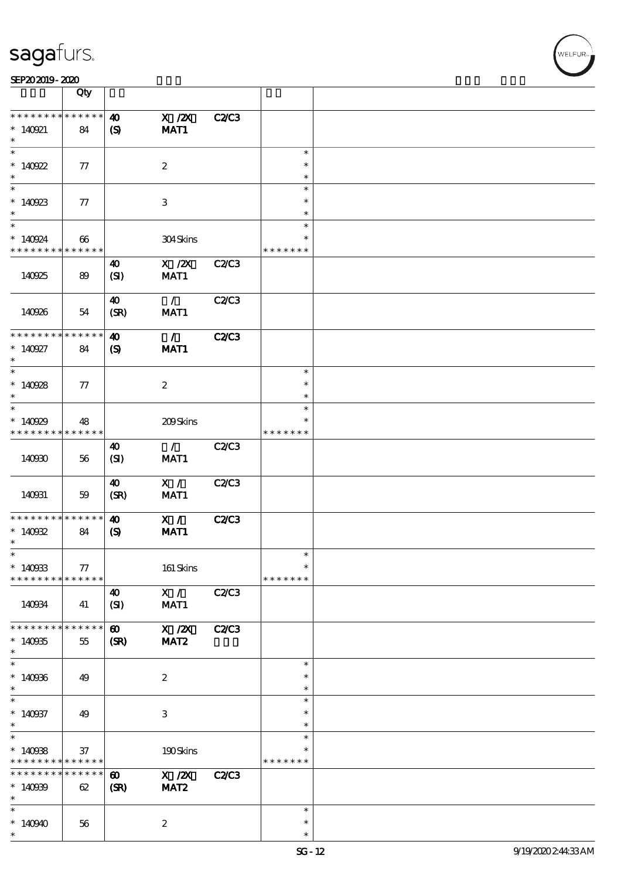|                                                    | Qty                   |                                                      |                                                |              |                                   |  |
|----------------------------------------------------|-----------------------|------------------------------------------------------|------------------------------------------------|--------------|-----------------------------------|--|
| * * * * * * * *<br>$* 140921$<br>$\ast$            | * * * * * *<br>84     | $\boldsymbol{\omega}$<br>$\boldsymbol{S}$            | $X$ / $ZX$<br>MAT1                             | <b>C2/C3</b> |                                   |  |
| $\ast$<br>$*140922$<br>$\ast$                      | 77                    |                                                      | $\boldsymbol{2}$                               |              | $\ast$<br>$\ast$<br>$\ast$        |  |
| $\overline{\phantom{0}}$<br>$*140923$<br>$\ast$    | $77\,$                |                                                      | 3                                              |              | $\ast$<br>$\ast$<br>$\ast$        |  |
| $\ast$<br>$*140924$<br>* * * * * * * *             | 66<br>* * * * * *     |                                                      | 304Skins                                       |              | $\ast$<br>$\ast$<br>* * * * * * * |  |
| 140925                                             | 89                    | $\boldsymbol{\omega}$<br>(SI)                        | $\boldsymbol{\mathrm{X}}$ / <b>Z</b> X<br>MAT1 | C2/C3        |                                   |  |
| 140926                                             | 54                    | $\boldsymbol{\omega}$<br>(SR)                        | $\mathcal{L}$<br>MAT1                          | <b>C2/C3</b> |                                   |  |
| * * * * * * * *<br>$* 140927$<br>$\ast$            | * * * * * *<br>84     | $\boldsymbol{\omega}$<br>$\boldsymbol{S}$            | $\mathcal{L}$<br>MAT1                          | <b>C2/C3</b> |                                   |  |
| $\ast$<br>$*140928$<br>$\ast$                      | 77                    |                                                      | $\boldsymbol{2}$                               |              | $\ast$<br>$\ast$<br>$\ast$        |  |
| $\ast$<br>$*140929$<br>* * * * * * * * * * * * * * | 48                    |                                                      | 209Skins                                       |              | $\ast$<br>* * * * * * *           |  |
| 140930                                             | 56                    | 40<br>(SI)                                           | $\mathcal{L}$<br>MAT1                          | <b>C2/C3</b> |                                   |  |
| 140931                                             | 59                    | 40<br>(SR)                                           | X /<br>MAT1                                    | C2C3         |                                   |  |
| * * * * * * * *<br>$*140932$<br>$\ast$             | * * * * * *<br>84     | $\boldsymbol{\omega}$<br>$\boldsymbol{\mathsf{(S)}}$ | X /<br>MAT1                                    | <b>C2/C3</b> |                                   |  |
| $\ast$<br>$*140933$<br>* * * * * * * *             | $77\,$<br>* * * * * * |                                                      | 161 Skins                                      |              | $\ast$<br>$\ast$<br>* * * * * * * |  |
| 140934                                             | 41                    | $\boldsymbol{\omega}$<br>(SI)                        | X /<br>MAT1                                    | <b>C2/C3</b> |                                   |  |
| * * * * * * *<br>$*140935$<br>$\ast$               | * * * * * *<br>55     | $\boldsymbol{\omega}$<br>(SR)                        | $X$ / $ZX$<br>MAT <sub>2</sub>                 | <b>C2/C3</b> |                                   |  |
| $\ast$<br>$*140966$<br>$\ast$                      | 49                    |                                                      | $\boldsymbol{2}$                               |              | $\ast$<br>$\ast$<br>$\ast$        |  |
| $\ast$<br>$*140937$<br>$\ast$                      | 49                    |                                                      | $\,3$                                          |              | $\ast$<br>$\ast$<br>$\ast$        |  |
| $\ast$<br>$*140938$<br>* * * * * * * *             | $37\,$<br>* * * * * * |                                                      | 190Skins                                       |              | $\ast$<br>* * * * * * *           |  |
| * * * * * * *<br>$*14099$<br>$\ast$                | * * * * * *<br>62     | $\boldsymbol{\omega}$<br>(SR)                        | X / ZX<br>MAT <sub>2</sub>                     | C2C3         |                                   |  |
| $\ast$<br>$*140940$<br>$\ast$                      | 56                    |                                                      | $\boldsymbol{2}$                               |              | $\ast$<br>$\ast$<br>$\ast$        |  |

.<br>WELFUR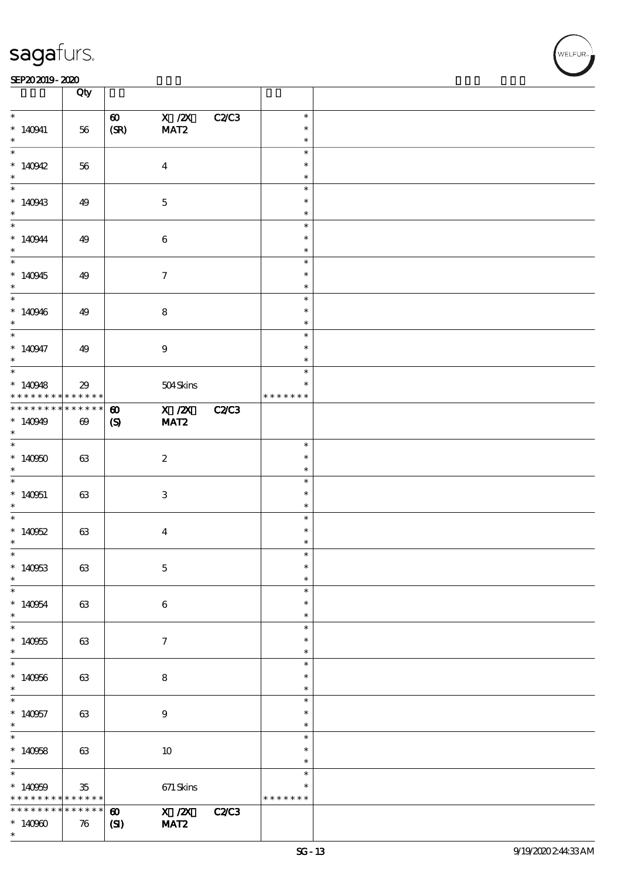#### SEP202019-2020 **DEEP202019-2020**

|                                                 | Qty                   |                               |                                |              |                            |  |
|-------------------------------------------------|-----------------------|-------------------------------|--------------------------------|--------------|----------------------------|--|
|                                                 |                       |                               |                                |              |                            |  |
| $\ast$<br>$* 140941$<br>$\ast$                  | 56                    | $\boldsymbol{\omega}$<br>(SR) | $X$ / $ZX$<br>MAT <sub>2</sub> | <b>C2/C3</b> | $\ast$<br>$\ast$<br>$\ast$ |  |
| $\overline{\ast}$                               |                       |                               |                                |              | $\ast$                     |  |
| * $140942$<br>$*$                               | 56                    |                               | $\boldsymbol{4}$               |              | $\ast$<br>$\ast$           |  |
| $\ast$                                          |                       |                               |                                |              | $\ast$                     |  |
| $*140943$<br>$*$                                | 49                    |                               | $\mathbf 5$                    |              | $\ast$<br>$\ast$           |  |
|                                                 |                       |                               |                                |              | $\ast$                     |  |
| $*140944$<br>$\ast$                             | 49                    |                               | $\bf 6$                        |              | $\ast$<br>$\ast$           |  |
|                                                 |                       |                               |                                |              | $\ast$                     |  |
| $*140945$<br>$\ast$                             | 49                    |                               | $\tau$                         |              | $\ast$<br>$\ast$           |  |
|                                                 |                       |                               |                                |              | $\ast$                     |  |
| $*140946$<br>$\ast$                             | 49                    |                               | $\bf8$                         |              | $\ast$<br>$\ast$           |  |
|                                                 |                       |                               |                                |              | $\ast$                     |  |
| $* 140947$<br>$\ast$                            | 49                    |                               | $\boldsymbol{9}$               |              | $\ast$<br>$\ast$           |  |
| $\overline{\ast}$                               |                       |                               |                                |              | $\ast$                     |  |
| $*140948$<br>* * * * * * * *                    | 29<br>$******$        |                               | 504Skins                       |              | $\ast$<br>* * * * * * *    |  |
| * * * * * * * *                                 | $******$              | $\boldsymbol{\omega}$         | X / ZX                         | <b>C2/C3</b> |                            |  |
| $*140949$<br>$\ast$                             | $\boldsymbol{\omega}$ | $\boldsymbol{S}$              | MAT <sub>2</sub>               |              |                            |  |
|                                                 |                       |                               |                                |              | $\ast$                     |  |
| $*140950$<br>$\ast$                             | 63                    |                               | $\boldsymbol{2}$               |              | $\ast$<br>$\ast$           |  |
|                                                 |                       |                               |                                |              | $\ast$                     |  |
| $*140051$<br>$\ast$                             | 63                    |                               | 3                              |              | $\ast$<br>$\ast$           |  |
|                                                 |                       |                               |                                |              | $\ast$                     |  |
| $*140952$<br>$\ast$                             | 63                    |                               | $\overline{\mathbf{4}}$        |              | $\ast$<br>*                |  |
| $\ast$                                          |                       |                               |                                |              | ж                          |  |
| $*140953$<br>$\ast$                             | 63                    |                               | $\mathbf 5$                    |              | $\ast$<br>$\ast$           |  |
| $\frac{1}{*}$                                   |                       |                               |                                |              | $\ast$                     |  |
| $*140954$<br>$*$<br>$\overline{\phantom{0}}$    | 63                    |                               | $\bf 6$                        |              | $\ast$<br>$\ast$<br>$\ast$ |  |
|                                                 |                       |                               |                                |              | $\ast$                     |  |
| $*140955$<br>$\ast$<br>$\overline{\phantom{0}}$ | 63                    |                               | $\boldsymbol{\tau}$            |              | $\ast$<br>$\ast$           |  |
|                                                 |                       |                               |                                |              |                            |  |
| $*140956$<br>$\ast$<br>$\overline{\phantom{0}}$ | 63                    |                               | $\bf8$                         |              | $\ast$<br>$\ast$           |  |
|                                                 |                       |                               |                                |              | $\ast$                     |  |
| $*140957$<br>$\ast$                             | 63                    |                               | 9                              |              | $\ast$<br>$\ast$           |  |
| $\overline{\ast}$                               |                       |                               |                                |              | $\ast$                     |  |
| $*140058$<br>$\ast$                             | 63                    |                               | 10                             |              | $\ast$<br>$\ast$           |  |
| $\overline{\ast}$                               |                       |                               |                                |              | $\ast$                     |  |
| $*140009$<br>* * * * * * * *                    | $35\,$<br>* * * * * * |                               | $671$ Skins                    |              | *<br>* * * * * * *         |  |
| * * * * * * * *                                 | * * * * * *           | $\boldsymbol{\omega}$         | X / ZX                         | <b>C2/C3</b> |                            |  |
| $*140900$                                       | $\boldsymbol{\pi}$    | $\mathbf{C}$                  | MAT <sub>2</sub>               |              |                            |  |
| $\ast$                                          |                       |                               |                                |              |                            |  |

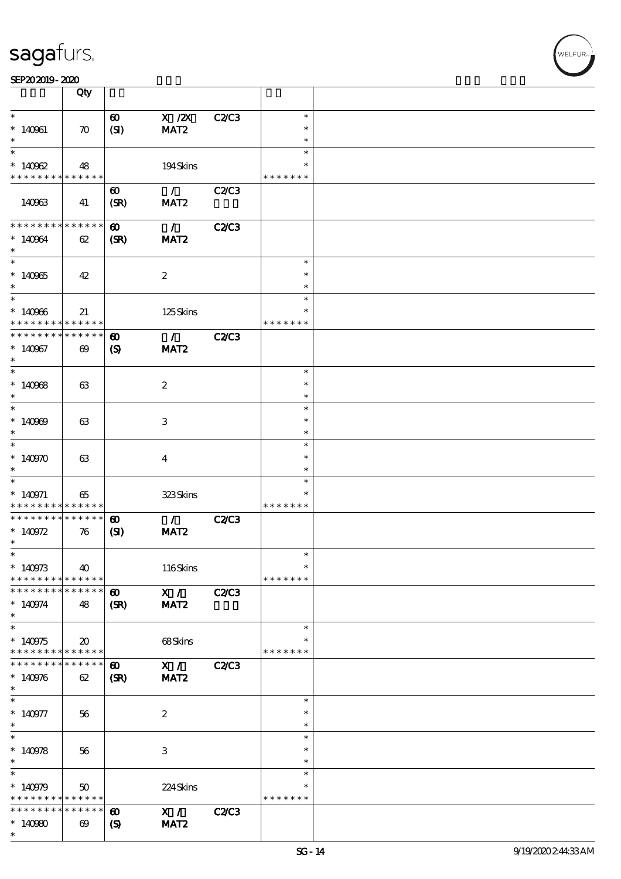| SEP202019-2020 |  |  |
|----------------|--|--|

|                               | Qty                         |                             |                  |              |               |  |
|-------------------------------|-----------------------------|-----------------------------|------------------|--------------|---------------|--|
| $\ast$                        |                             |                             |                  |              | $\ast$        |  |
|                               |                             | $\boldsymbol{\omega}$       | $X$ / $ZX$       | C2C3         |               |  |
| $*140961$                     | $\boldsymbol{\pi}$          | (SI)                        | MAT <sub>2</sub> |              | $\ast$        |  |
| $\ast$                        |                             |                             |                  |              | $\ast$        |  |
| $\ast$                        |                             |                             |                  |              | $\ast$        |  |
| $*140962$                     | 48                          |                             | 194Skins         |              | $\ast$        |  |
| * * * * * * * * * * * * * * * |                             |                             |                  |              | * * * * * * * |  |
|                               |                             |                             |                  |              |               |  |
|                               |                             | $\boldsymbol{\omega}$       | $\mathcal{L}$    | C2C3         |               |  |
| 140963                        | 41                          | (SR)                        | MAT <sub>2</sub> |              |               |  |
|                               |                             |                             |                  |              |               |  |
| * * * * * * * *               | * * * * * *                 | $\boldsymbol{\omega}$       | $\mathcal{L}$    | <b>C2/C3</b> |               |  |
| $*140964$                     | 62                          | (SR)                        | MAT <sub>2</sub> |              |               |  |
| $\ast$                        |                             |                             |                  |              |               |  |
| $\overline{\ast}$             |                             |                             |                  |              | $\ast$        |  |
|                               |                             |                             |                  |              | $\ast$        |  |
| $*140965$                     | 42                          |                             | $\boldsymbol{2}$ |              |               |  |
| $\ast$                        |                             |                             |                  |              | $\ast$        |  |
| $\ast$                        |                             |                             |                  |              | $\ast$        |  |
| $*140966$                     | 21                          |                             | $125$ Skins      |              | ∗             |  |
| * * * * * * * *               | $* * * * * * *$             |                             |                  |              | * * * * * * * |  |
| * * * * * * * *               | $* * * * * * *$             | $\boldsymbol{\omega}$       | $\mathcal{L}$    | <b>C2/C3</b> |               |  |
| $*140967$                     | $\boldsymbol{\omega}$       | $\boldsymbol{\mathrm{(S)}}$ | MAT <sub>2</sub> |              |               |  |
| $\ast$                        |                             |                             |                  |              |               |  |
| $\ast$                        |                             |                             |                  |              | $\ast$        |  |
| $*140968$                     | 63                          |                             | $\boldsymbol{2}$ |              | $\ast$        |  |
| $\ast$                        |                             |                             |                  |              | $\ast$        |  |
| $\ast$                        |                             |                             |                  |              | $\ast$        |  |
|                               |                             |                             |                  |              |               |  |
| $*140909$                     | 63                          |                             | 3                |              | $\ast$        |  |
| $\ast$                        |                             |                             |                  |              | $\ast$        |  |
| $\ast$                        |                             |                             |                  |              | $\ast$        |  |
| $*140970$                     | 63                          |                             | $\bf{4}$         |              | $\ast$        |  |
| $\ast$                        |                             |                             |                  |              | $\ast$        |  |
| $\ast$                        |                             |                             |                  |              | $\ast$        |  |
| $* 140971$                    | 65                          |                             | 323Skins         |              | ∗             |  |
| * * * * * * * *               | * * * * * *                 |                             |                  |              | * * * * * * * |  |
| * * * * * * * *               | $* * * * * * *$             | $\boldsymbol{\omega}$       | $\mathcal{L}$    | <b>C2/C3</b> |               |  |
| $* 140972$                    | 76                          | (S)                         | MAT <sub>2</sub> |              |               |  |
| $\ast$                        |                             |                             |                  |              |               |  |
| $*$                           |                             |                             |                  |              | $\ast$        |  |
|                               |                             |                             |                  |              | $\ast$        |  |
| $* 140973$                    | 40                          |                             | 116Skins         |              |               |  |
| * * * * * * * *               | * * * * * *                 |                             |                  |              | * * * * * * * |  |
| * * * * * * * *               | * * * * * *                 | $\boldsymbol{\omega}$       | X /              | <b>C2/C3</b> |               |  |
| $* 140974$                    | 48                          | (SR)                        | MAT <sub>2</sub> |              |               |  |
| $\ast$                        |                             |                             |                  |              |               |  |
| $\ast$                        |                             |                             |                  |              | $\ast$        |  |
| $*140975$                     | $\boldsymbol{\mathfrak{D}}$ |                             | 68Skins          |              |               |  |
| * * * * * * * *               | * * * * * *                 |                             |                  |              | * * * * * * * |  |
| * * * * * * * *               | * * * * * *                 | $\boldsymbol{\omega}$       | X /              | C2/C3        |               |  |
| $*140976$                     | 62                          | (SR)                        | MAT <sub>2</sub> |              |               |  |
| $\ast$                        |                             |                             |                  |              |               |  |
| $\ast$                        |                             |                             |                  |              | $\ast$        |  |
|                               |                             |                             |                  |              |               |  |
| $* 140977$                    | 56                          |                             | $\boldsymbol{2}$ |              | $\ast$        |  |
| $\ast$                        |                             |                             |                  |              | $\ast$        |  |
| $\overline{\ast}$             |                             |                             |                  |              | $\ast$        |  |
| $* 140978$                    | 56                          |                             | 3                |              | $\ast$        |  |
| $\ast$                        |                             |                             |                  |              | $\ast$        |  |
| $\ast$                        |                             |                             |                  |              | $\ast$        |  |
| $*140979$                     | 50                          |                             | 224Skins         |              | $\ast$        |  |
| * * * * * * * *               | * * * * * *                 |                             |                  |              | * * * * * * * |  |
| * * * * * * * *               | * * * * * *                 | $\boldsymbol{\omega}$       | X /              | <b>C2/C3</b> |               |  |
| $*140980$                     | $\boldsymbol{\omega}$       | $\boldsymbol{\mathcal{S}}$  | MAT <sub>2</sub> |              |               |  |
| $\ast$                        |                             |                             |                  |              |               |  |

.<br>WELFUR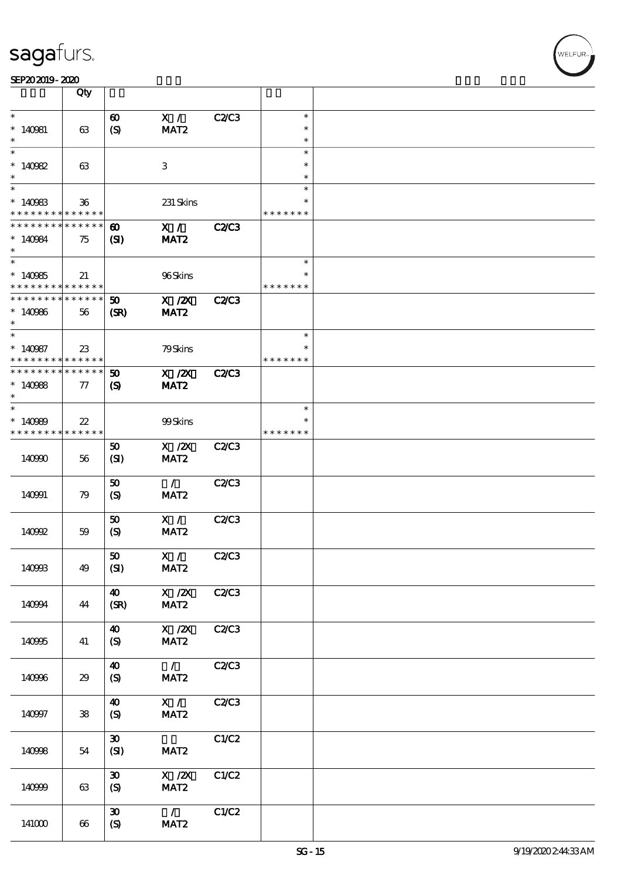|                                    | Qty              |                             |                                      |              |               |  |
|------------------------------------|------------------|-----------------------------|--------------------------------------|--------------|---------------|--|
| $\ast$                             |                  | $\boldsymbol{\omega}$       | X /                                  | C2C3         | $\ast$        |  |
| $*140981$                          | 63               | $\boldsymbol{S}$            | MAT <sub>2</sub>                     |              | $\ast$        |  |
|                                    |                  |                             |                                      |              | $\ast$        |  |
| $\ast$                             |                  |                             |                                      |              | $\ast$        |  |
| * $140982$                         | 63               |                             | 3                                    |              | $\ast$        |  |
|                                    |                  |                             |                                      |              | $\ast$        |  |
|                                    |                  |                             |                                      |              | $\ast$        |  |
| $*140983$                          | $36\,$           |                             | 231 Skins                            |              |               |  |
| * * * * * * * *                    | * * * * * *      |                             |                                      |              | * * * * * * * |  |
| * * * * * * * *                    | * * * * * *      | $\boldsymbol{\omega}$       | X /                                  | <b>C2/C3</b> |               |  |
| $*140984$                          | 75               | (S)                         | MAT <sub>2</sub>                     |              |               |  |
| $\ast$                             |                  |                             |                                      |              |               |  |
| $\overline{\phantom{0}}$           |                  |                             |                                      |              | $\ast$        |  |
| $*140965$                          | 21               |                             | 96Skins                              |              | $\ast$        |  |
| * * * * * * * *<br>* * * * * * * * | ******<br>****** |                             |                                      |              | * * * * * * * |  |
|                                    |                  | 50                          | $X$ / $ZX$                           | C2C3         |               |  |
| $*140966$<br>$\ast$                | 56               | (SR)                        | MAT <sub>2</sub>                     |              |               |  |
| $\ast$                             |                  |                             |                                      |              | $\ast$        |  |
| $*140987$                          | $23\,$           |                             | 79Skins                              |              | $\ast$        |  |
| * * * * * * * *                    | ******           |                             |                                      |              | * * * * * * * |  |
| * * * * * * * *                    | $* * * * * * *$  | $\boldsymbol{\mathfrak{D}}$ | $X$ / $ZX$                           | <b>C2/C3</b> |               |  |
| $*140988$                          | $\tau$           | $\boldsymbol{\mathcal{S}}$  | MAT <sub>2</sub>                     |              |               |  |
| $\ast$                             |                  |                             |                                      |              |               |  |
| $\overline{\phantom{0}}$           |                  |                             |                                      |              | $\ast$        |  |
| $*140989$                          | $22\,$           |                             | 99Skins                              |              |               |  |
| * * * * * * * *                    | $* * * * * * *$  |                             |                                      |              | * * * * * * * |  |
|                                    |                  | 50                          | $X$ / $ZX$                           | C2/C3        |               |  |
| 140990                             | 56               | (SI)                        | MAT <sub>2</sub>                     |              |               |  |
|                                    |                  |                             | $\mathcal{L}$                        |              |               |  |
|                                    |                  | 50                          |                                      | C2C3         |               |  |
| 140991                             | 79               | $\boldsymbol{S}$            | MAT <sub>2</sub>                     |              |               |  |
|                                    |                  | 50                          | X /                                  | <b>C2/C3</b> |               |  |
| 140992                             | 59               | (S)                         | MAT <sub>2</sub>                     |              |               |  |
|                                    |                  |                             |                                      |              |               |  |
|                                    |                  | ${\bf 50}$                  | X /                                  | C2C3         |               |  |
| 140993                             | 49               | (SI)                        | MAT <sub>2</sub>                     |              |               |  |
|                                    |                  |                             |                                      |              |               |  |
|                                    |                  | $\boldsymbol{\omega}$       | $X \, /ZX$                           | <b>C2/C3</b> |               |  |
| 140994                             | 44               | (SR)                        | MAT <sub>2</sub>                     |              |               |  |
|                                    |                  |                             |                                      |              |               |  |
|                                    |                  | $\boldsymbol{\omega}$       | $\overline{X}$ /2X                   | C2C3         |               |  |
| 140995                             | 41               | $\boldsymbol{S}$            | MAT2                                 |              |               |  |
|                                    |                  | $\boldsymbol{\omega}$       | $\mathcal{L}$                        | C2C3         |               |  |
| 140996                             | 29               | $\boldsymbol{S}$            | MAT <sub>2</sub>                     |              |               |  |
|                                    |                  |                             |                                      |              |               |  |
|                                    |                  | $\boldsymbol{\omega}$       | X /                                  | C2C3         |               |  |
| 140997                             | ${\bf 38}$       | (S)                         | MAT2                                 |              |               |  |
|                                    |                  |                             |                                      |              |               |  |
|                                    |                  | $\boldsymbol{\mathfrak{D}}$ |                                      | C1/C2        |               |  |
| 140998                             | 54               | (SI)                        | MAT <sub>2</sub>                     |              |               |  |
|                                    |                  |                             |                                      |              |               |  |
|                                    |                  | $\boldsymbol{\mathfrak{D}}$ | $\boldsymbol{\mathrm{X}}$ / <b>Z</b> | C1/C2        |               |  |
| 140999                             | 63               | (S)                         | MAT2                                 |              |               |  |
|                                    |                  |                             |                                      |              |               |  |
|                                    |                  | $\boldsymbol{\mathfrak{D}}$ | $\mathcal{L}$                        | C1/C2        |               |  |
| 141000                             | 66               | $\boldsymbol{S}$            | MAT <sub>2</sub>                     |              |               |  |

,<br>WELFUR: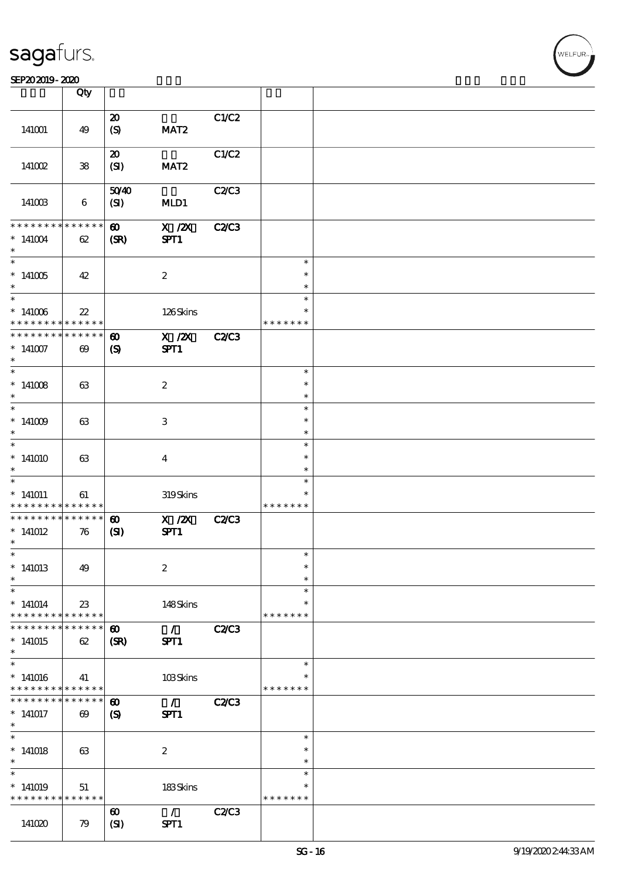|                                                         | Qty                   |                             |                                   |              |               |  |
|---------------------------------------------------------|-----------------------|-----------------------------|-----------------------------------|--------------|---------------|--|
|                                                         |                       |                             |                                   |              |               |  |
| 141001                                                  | 49                    | $\boldsymbol{\mathbf{z}}$   | MAT <sub>2</sub>                  | C1/C2        |               |  |
|                                                         |                       | $\boldsymbol{S}$            |                                   |              |               |  |
|                                                         |                       | $\boldsymbol{\mathfrak{D}}$ |                                   | C1/C2        |               |  |
| 141002                                                  | ${\bf 38}$            | (SI)                        | MAT <sub>2</sub>                  |              |               |  |
|                                                         |                       |                             |                                   |              |               |  |
|                                                         |                       | 5040                        |                                   | C2C3         |               |  |
| 141003                                                  | $\boldsymbol{6}$      | (SI)                        | MLD1                              |              |               |  |
|                                                         |                       |                             |                                   |              |               |  |
| * * * * * * * *                                         | * * * * * *           | $\boldsymbol{\omega}$       | $X$ / $ZX$                        | <b>C2/C3</b> |               |  |
| $*141004$                                               | 62                    | (SR)                        | SPT1                              |              |               |  |
| $\ast$                                                  |                       |                             |                                   |              |               |  |
| $\overline{\ast}$                                       |                       |                             |                                   |              | $\ast$        |  |
| $*141005$                                               | 42                    |                             | $\boldsymbol{2}$                  |              | $\ast$        |  |
| $\ast$                                                  |                       |                             |                                   |              | $\ast$        |  |
| $*$                                                     |                       |                             |                                   |              | $\ast$        |  |
| $*141006$                                               | $22\,$                |                             | 126Skins                          |              | ∗             |  |
| * * * * * * * *                                         | * * * * * *           |                             |                                   |              | * * * * * * * |  |
| * * * * * * * *                                         | ******                | $\boldsymbol{\omega}$       | $X$ / $ZX$                        | <b>C2/C3</b> |               |  |
| $*141007$                                               | $\boldsymbol{\omega}$ | $\boldsymbol{\mathrm{(S)}}$ | SPT1                              |              |               |  |
| $\ast$                                                  |                       |                             |                                   |              |               |  |
| $\overline{\ast}$                                       |                       |                             |                                   |              | $\ast$        |  |
| $*141008$                                               | 63                    |                             | $\boldsymbol{2}$                  |              | $\ast$        |  |
| $\ast$                                                  |                       |                             |                                   |              | $\ast$        |  |
|                                                         |                       |                             |                                   |              | $\ast$        |  |
| $*141009$                                               | 63                    |                             | $\ensuremath{\mathbf{3}}$         |              | $\ast$        |  |
| $\ast$                                                  |                       |                             |                                   |              | $\ast$        |  |
| $\ast$                                                  |                       |                             |                                   |              | $\ast$        |  |
| $*141010$                                               | 63                    |                             | $\overline{\mathbf{4}}$           |              | $\ast$        |  |
| $\ast$                                                  |                       |                             |                                   |              | $\ast$        |  |
| $\ast$                                                  |                       |                             |                                   |              | $\ast$        |  |
| $*141011$                                               | 61                    |                             | 319Skins                          |              | $\ast$        |  |
| * * * * * * * *                                         | * * * * * *           |                             |                                   |              | * * * * * * * |  |
| * * * * * * * *                                         | ******                | $\boldsymbol{\omega}$       | $X$ / $ZX$                        | <b>C2/C3</b> |               |  |
| $*141012$                                               | 76                    | (S)                         | SPT1                              |              |               |  |
| $\ast$                                                  |                       |                             |                                   |              |               |  |
| $\ast$                                                  |                       |                             |                                   |              | $\ast$        |  |
| $*141013$                                               | 49                    |                             | $\boldsymbol{2}$                  |              | $\ast$        |  |
| $\ast$                                                  |                       |                             |                                   |              | $\ast$        |  |
| $\ast$                                                  |                       |                             |                                   |              | $\ast$        |  |
| $*141014$                                               | 23                    |                             | 148Skins                          |              | $\ast$        |  |
| * * * * * * * * <mark>*</mark>                          | $* * * * * * *$       |                             |                                   |              | * * * * * * * |  |
| * * * * * * * *                                         | ******                | $\boldsymbol{\omega}$       | $\mathcal{L} \subset \mathcal{L}$ | <b>C2/C3</b> |               |  |
| $*141015$<br>$\ast$                                     | 62                    | (SR)                        | SPT1                              |              |               |  |
| $\ast$                                                  |                       |                             |                                   |              | $\ast$        |  |
|                                                         |                       |                             |                                   |              |               |  |
| $*141016$<br>* * * * * * * * <mark>* * * * * * *</mark> | 41                    |                             | 103Skins                          |              | * * * * * * * |  |
| * * * * * * * *                                         | ******                | $\boldsymbol{\omega}$       | $\mathcal{L}$                     | <b>C2/C3</b> |               |  |
| $*141017$                                               | $\boldsymbol{\omega}$ | $\boldsymbol{\mathcal{S}}$  | SPT1                              |              |               |  |
| $\ast$                                                  |                       |                             |                                   |              |               |  |
| $\overline{\phantom{0}}$                                |                       |                             |                                   |              | $\ast$        |  |
| $*141018$                                               | 63                    |                             | $\boldsymbol{2}$                  |              | $\ast$        |  |
| $\ast$                                                  |                       |                             |                                   |              | $\ast$        |  |
| $\ast$                                                  |                       |                             |                                   |              | $\ast$        |  |
| $*141019$                                               | 51                    |                             | 183Skins                          |              | $\ast$        |  |
| * * * * * * * *                                         | * * * * * *           |                             |                                   |              | * * * * * * * |  |
|                                                         |                       | $\boldsymbol{\omega}$       | $\mathcal{L}$                     | C2C3         |               |  |
| 141020                                                  | 79                    | (SI)                        | SPT1                              |              |               |  |
|                                                         |                       |                             |                                   |              |               |  |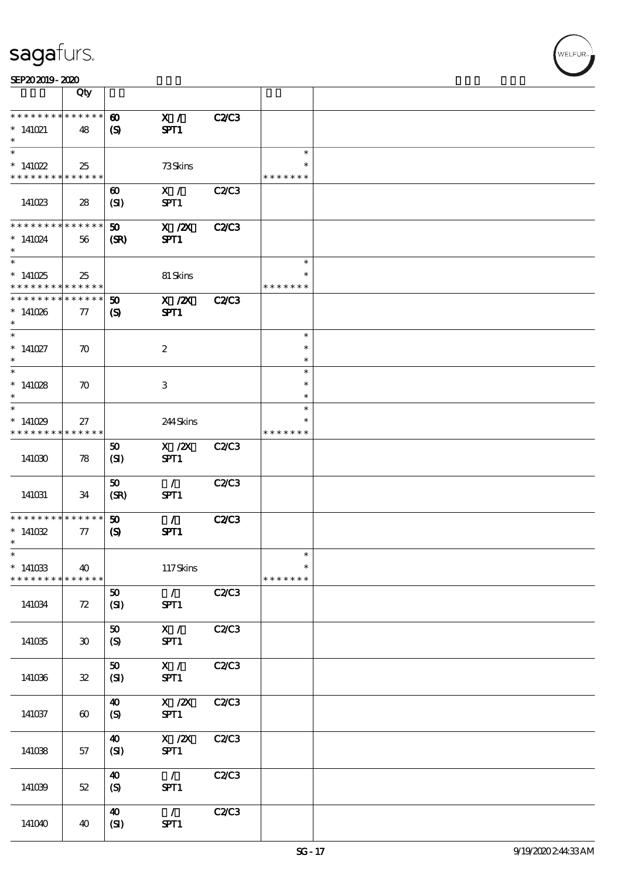| SEP202019-2020 |  |  |
|----------------|--|--|

|                                                   | Qty                             |                                                      |                                                             |              |                                   |  |
|---------------------------------------------------|---------------------------------|------------------------------------------------------|-------------------------------------------------------------|--------------|-----------------------------------|--|
| * * * * * * * *<br>$*141021$                      | * * * * * *<br>48               | $\boldsymbol{\omega}$<br>$\boldsymbol{\mathrm{(S)}}$ | X /<br>SPT1                                                 | <b>C2/C3</b> |                                   |  |
| $\overline{\ast}$<br>$*141022$<br>* * * * * * * * | 25<br>******                    |                                                      | 73Skins                                                     |              | $\ast$<br>∗<br>* * * * * * *      |  |
| 141023                                            | 28                              | $\boldsymbol{\omega}$<br>(SI)                        | X /<br>SPT1                                                 | C2C3         |                                   |  |
| * * * * * * * *<br>$*141024$<br>$\ast$            | * * * * * *<br>56               | 50<br>(SR)                                           | $X$ / $ZX$<br>SPT1                                          | <b>C2/C3</b> |                                   |  |
| $*141025$<br>* * * * * * * *                      | 25<br>* * * * * *               |                                                      | 81 Skins                                                    |              | $\ast$<br>$\ast$<br>* * * * * * * |  |
| * * * * * * * *<br>$*141026$<br>$\ast$            | $* * * * * * *$<br>77           | 50<br>$\boldsymbol{\mathcal{S}}$                     | $X$ / $ZX$<br>SPT1                                          | <b>C2/C3</b> |                                   |  |
| $\ast$<br>$*141027$<br>$\ast$                     | $\boldsymbol{\pi}$              |                                                      | $\boldsymbol{2}$                                            |              | $\ast$<br>$\ast$<br>$\ast$        |  |
| $*141028$<br>$\ast$<br>$\ast$                     | $\boldsymbol{\pi}$              |                                                      | 3                                                           |              | $\ast$<br>$\ast$<br>*             |  |
| $*141029$<br>* * * * * * * *                      | 27<br>******                    |                                                      | 244Skins                                                    |              | $\ast$<br>* * * * * * *           |  |
| 141030                                            | 78                              | 50<br>(SI)                                           | $X$ / $ZX$<br>SPT1                                          | <b>C2/C3</b> |                                   |  |
| 141031                                            | 34                              | 50<br>(SR)                                           | $\mathcal{L}$<br>SPT1                                       | <b>C2/C3</b> |                                   |  |
| * * * * * * * *<br>$*141032$<br>$\ast$            | $* * * * * * *$<br>${\bf \tau}$ | 50<br>$\boldsymbol{\mathrm{(S)}}$                    | $\mathcal{L}$<br>SPT1                                       | C2C3         |                                   |  |
| $\ast$<br>$*141033$<br>* * * * * * * *            | 40<br>******                    |                                                      | 117Skins                                                    |              | $\ast$<br>$\ast$<br>* * * * * * * |  |
| 141034                                            | 72                              | ${\bf 50}$<br>(SI)                                   | $\mathcal{L}$<br>SPT1                                       | C2C3         |                                   |  |
| 141035                                            | $30^{\circ}$                    | ${\bf 50}$<br>$\boldsymbol{S}$                       | X /<br>SPT1                                                 | C2C3         |                                   |  |
| 141036                                            | $\mathbf{32}$                   | ${\bf 50}$<br>(SI)                                   | $\mathbf{X}$ /<br>SPT1                                      | C2C3         |                                   |  |
| 141037                                            | $\boldsymbol{\omega}$           | 40<br>$\boldsymbol{S}$                               | $\boldsymbol{X}$ / $\boldsymbol{Z}\!\boldsymbol{X}$<br>SPT1 | C2C3         |                                   |  |
| 141038                                            | 57                              | 40<br>(SI)                                           | $\boldsymbol{X}$ / $\boldsymbol{Z}\!\boldsymbol{X}$<br>SPT1 | C2C3         |                                   |  |
| 141039                                            | 52                              | $\boldsymbol{40}$<br>(S)                             | $\mathcal{L}$<br>SPT1                                       | C2C3         |                                   |  |
| 141040                                            | 40                              | 40<br>(SI)                                           | $\mathcal{L}$<br>SPT1                                       | C2C3         |                                   |  |

,<br>WELFUR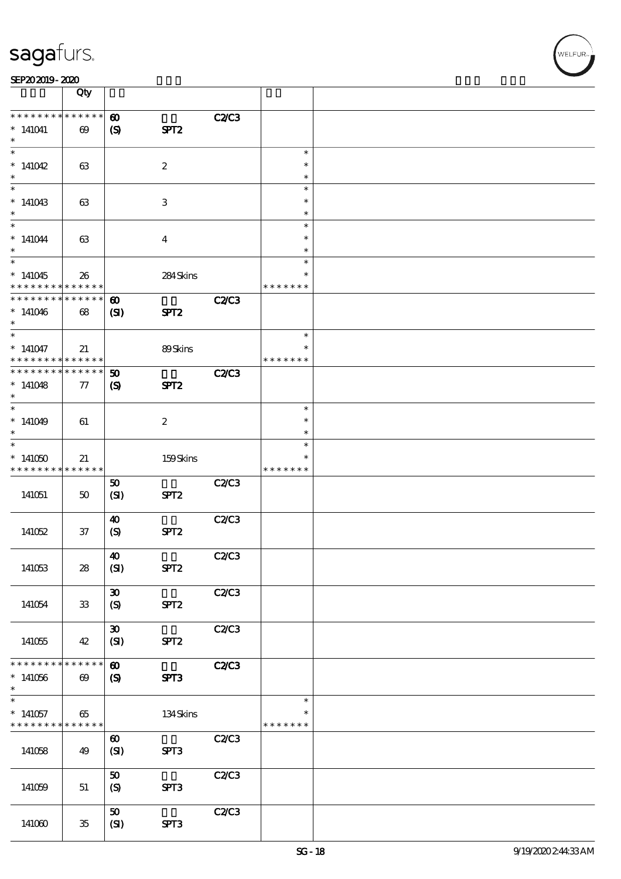| SEP202019-2020 |  |  |  |
|----------------|--|--|--|
|                |  |  |  |

|                                            | Qty                        |                              |                  |              |                  |  |
|--------------------------------------------|----------------------------|------------------------------|------------------|--------------|------------------|--|
| * * * * * * * *                            | $* * * * * * *$            | $\boldsymbol{\omega}$        |                  | <b>C2/C3</b> |                  |  |
| $*141041$                                  | $\boldsymbol{\omega}$      | $\boldsymbol{\mathrm{(S)}}$  | SPT <sub>2</sub> |              |                  |  |
| $\overline{\ast}$                          |                            |                              |                  |              | $\ast$           |  |
| $*141042$                                  | 63                         |                              | $\boldsymbol{z}$ |              | $\ast$           |  |
| $\ast$                                     |                            |                              |                  |              | $\ast$           |  |
| $*141043$                                  | 63                         |                              | 3                |              | $\ast$<br>$\ast$ |  |
| $\ast$                                     |                            |                              |                  |              | $\ast$           |  |
|                                            |                            |                              |                  |              | $\ast$           |  |
| $*141044$<br>$\ast$                        | 63                         |                              | $\overline{4}$   |              | $\ast$<br>$\ast$ |  |
|                                            |                            |                              |                  |              | $\ast$           |  |
| $*141045$                                  | 26                         |                              | 284Skins         |              | $\ast$           |  |
| * * * * * * * *<br>___<br>* * * * * * * *  | * * * * * *<br>* * * * * * | $\boldsymbol{\omega}$        |                  | <b>C2/C3</b> | * * * * * * *    |  |
| $*141046$                                  | 68                         | $\mathbf{C}$                 | SPT <sub>2</sub> |              |                  |  |
| $\ast$                                     |                            |                              |                  |              |                  |  |
| $\overline{\ast}$<br>$*141047$             | 21                         |                              | 89Skins          |              | $\ast$<br>$\ast$ |  |
| * * * * * * * *                            | * * * * * *                |                              |                  |              | * * * * * * *    |  |
| * * * * * * * *                            | * * * * * *                | 50                           |                  | <b>C2/C3</b> |                  |  |
| $*141048$<br>$\ast$                        | 77                         | $\boldsymbol{S}$             | SPT <sub>2</sub> |              |                  |  |
|                                            |                            |                              |                  |              | $\ast$           |  |
| $*141049$                                  | 61                         |                              | $\boldsymbol{2}$ |              | $\ast$           |  |
| $\ast$<br>$\overline{\ast}$                |                            |                              |                  |              | $\ast$<br>$\ast$ |  |
| $*141050$                                  | 21                         |                              | 159Skins         |              |                  |  |
| * * * * * * * *                            | * * * * * *                |                              |                  |              | * * * * * * *    |  |
| 141051                                     | 50                         | 50<br>(SI)                   | SPT <sub>2</sub> | C2/C3        |                  |  |
|                                            |                            |                              |                  |              |                  |  |
|                                            |                            | $\boldsymbol{\omega}$        |                  | C2/C3        |                  |  |
| 141052                                     | $37\,$                     | $\boldsymbol{S}$             | SPT <sub>2</sub> |              |                  |  |
|                                            |                            | $\boldsymbol{\omega}$        |                  | C2C3         |                  |  |
| 141053                                     | 28                         | (SI)                         | SPT <sub>2</sub> |              |                  |  |
|                                            |                            | $\boldsymbol{\mathfrak{D}}$  |                  | C2C3         |                  |  |
| 141054                                     | $33\,$                     | $\boldsymbol{S}$             | SPT <sub>2</sub> |              |                  |  |
|                                            |                            |                              |                  |              |                  |  |
| 141055                                     | 42                         | $\pmb{\mathfrak{D}}$<br>(SI) | SPT <sub>2</sub> | C2C3         |                  |  |
|                                            |                            |                              |                  |              |                  |  |
| * * * * * * * *                            | * * * * * *                | $\boldsymbol{\omega}$        |                  | <b>C2/C3</b> |                  |  |
| $*141056$<br>$\ast$                        | $\boldsymbol{\omega}$      | $\boldsymbol{S}$             | SPT3             |              |                  |  |
| $\overline{\phantom{0}}$                   |                            |                              |                  |              | $\ast$           |  |
| $*141057$                                  | 65                         |                              | 134Skins         |              | $\ast$           |  |
| * * * * * * * * <mark>* * * * * * *</mark> |                            | $\boldsymbol{\omega}$        |                  | C2C3         | * * * * * * *    |  |
| 141058                                     | 49                         | (SI)                         | SPT3             |              |                  |  |
|                                            |                            |                              |                  |              |                  |  |
| 141059                                     | 51                         | 50<br>(S)                    | SPT3             | C2/C3        |                  |  |
|                                            |                            |                              |                  |              |                  |  |
|                                            |                            | 50                           |                  | C2C3         |                  |  |
| 141060                                     | 35                         | (SI)                         | SPT3             |              |                  |  |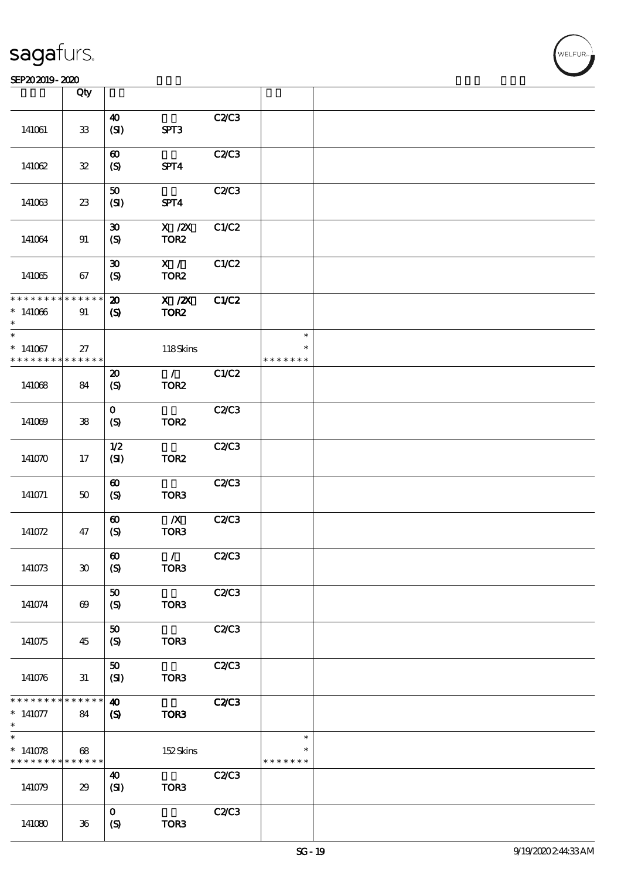|                                                         | Qty                         |                              |                             |              |                         |  |
|---------------------------------------------------------|-----------------------------|------------------------------|-----------------------------|--------------|-------------------------|--|
|                                                         |                             | $\boldsymbol{\omega}$        |                             |              |                         |  |
| 141061                                                  | ${\bf 33}$                  | (SI)                         | SPT3                        | C2C3         |                         |  |
|                                                         |                             | $\boldsymbol{\omega}$        |                             | C2/C3        |                         |  |
| 141062                                                  | ${\bf 3\!2}$                | (S)                          | SPT4                        |              |                         |  |
|                                                         |                             |                              |                             |              |                         |  |
| 141063                                                  | $23\,$                      | $\pmb{\mathfrak{D}}$<br>(SI) | SPT4                        | C2C3         |                         |  |
|                                                         |                             | $\boldsymbol{\mathfrak{D}}$  | $X$ / $ZX$                  | C1/C2        |                         |  |
| 141064                                                  | 91                          | (S)                          | TOR <sub>2</sub>            |              |                         |  |
|                                                         |                             | $\boldsymbol{\mathfrak{D}}$  | X /                         | C1/C2        |                         |  |
| 141065                                                  | 67                          | (S)                          | TOR <sub>2</sub>            |              |                         |  |
| * * * * * * * *                                         | * * * * * *                 | $\boldsymbol{\mathbf{z}}$    | $X$ / $ZX$                  | C1/C2        |                         |  |
| $*141066$<br>$\ast$                                     | 91                          | $\boldsymbol{\mathrm{(S)}}$  | TOR <sub>2</sub>            |              |                         |  |
| $\ast$                                                  |                             |                              |                             |              | $\ast$                  |  |
| $*141067$<br>* * * * * * * *                            | 27<br>* * * * * *           |                              | 118Skins                    |              | $\ast$<br>* * * * * * * |  |
|                                                         |                             | $\boldsymbol{\mathfrak{D}}$  | $\mathcal{L}$               | C1/C2        |                         |  |
| 141068                                                  | 84                          | (S)                          | TOR <sub>2</sub>            |              |                         |  |
|                                                         |                             | $\mathbf{o}$                 |                             | C2/C3        |                         |  |
| 141069                                                  | ${\bf 38}$                  | $\boldsymbol{S}$             | TOR <sub>2</sub>            |              |                         |  |
|                                                         |                             | 1/2                          |                             | C2C3         |                         |  |
| 141070                                                  | 17                          | (SI)                         | TOR <sub>2</sub>            |              |                         |  |
|                                                         |                             | $\boldsymbol{\omega}$        |                             | C2C3         |                         |  |
| 141071                                                  | $50\,$                      | (S)                          | TOR <sub>3</sub>            |              |                         |  |
|                                                         |                             | $\boldsymbol{\omega}$        | $\boldsymbol{X}$            | C2C3         |                         |  |
| 141072                                                  | 47                          | (S)                          | TOR3                        |              |                         |  |
|                                                         |                             | $\boldsymbol{\omega}$        | $\mathcal{F}^{\mathcal{A}}$ | C2C3         |                         |  |
| 141073                                                  | $\boldsymbol{\mathfrak{D}}$ | $\boldsymbol{\mathrm{(S)}}$  | TOR <sub>3</sub>            |              |                         |  |
|                                                         |                             | 50                           |                             | C2C3         |                         |  |
| 141074                                                  | $\boldsymbol{\omega}$       | $\boldsymbol{S}$             | TOR3                        |              |                         |  |
|                                                         |                             | 50                           |                             | C2/C3        |                         |  |
| 141075                                                  | 45                          | $\boldsymbol{S}$             | TOR3                        |              |                         |  |
|                                                         |                             | 50                           |                             | C2C3         |                         |  |
| 141076                                                  | 31                          | (SI)                         | TOR <sub>3</sub>            |              |                         |  |
| * * * * * * * * <mark>* * * * * * *</mark>              |                             | 40                           |                             | <b>C2/C3</b> |                         |  |
| $*141077$<br>$\ast$                                     | 84                          | $\boldsymbol{\mathrm{(S)}}$  | TOR3                        |              |                         |  |
| $\ast$                                                  |                             |                              |                             |              | $\ast$                  |  |
| $*141078$<br>* * * * * * * * <mark>* * * * * * *</mark> | 68                          |                              | 152Skins                    |              | $\ast$<br>* * * * * * * |  |
|                                                         |                             | 40                           |                             | C2C3         |                         |  |
| 141079                                                  | 29                          | (SI)                         | TOR <sub>3</sub>            |              |                         |  |
|                                                         |                             | $\mathbf{o}$                 |                             | C2C3         |                         |  |
| 141080                                                  | $36\,$                      | $\boldsymbol{S}$             | TOR3                        |              |                         |  |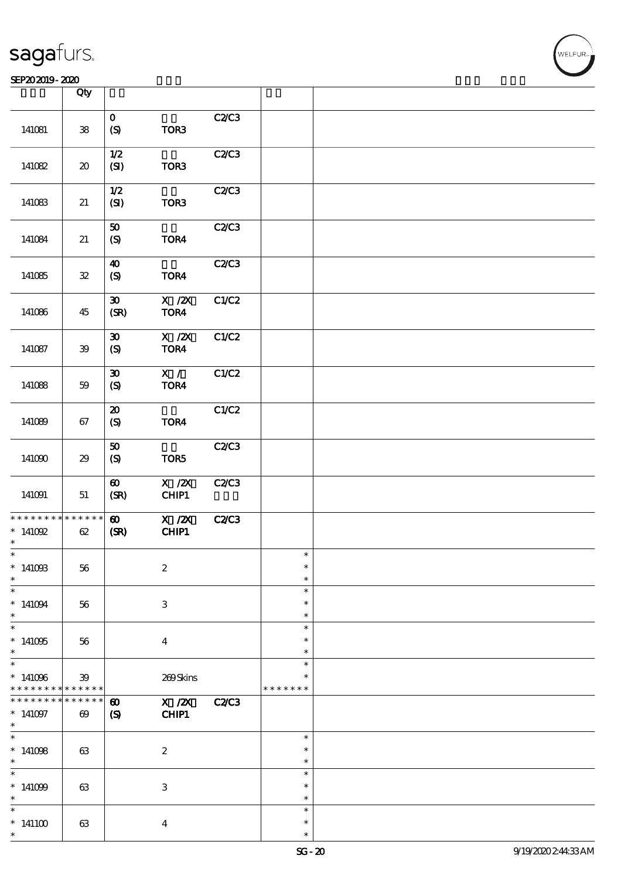|                                                             | Qty                                 |                             |                                  |              |                  |  |
|-------------------------------------------------------------|-------------------------------------|-----------------------------|----------------------------------|--------------|------------------|--|
|                                                             |                                     | $\mathbf{o}$                |                                  | C2/C3        |                  |  |
| 141081                                                      | ${\bf 38}$                          | $\boldsymbol{S}$            | TOR3                             |              |                  |  |
|                                                             |                                     | 1/2                         |                                  | C2C3         |                  |  |
| 141082                                                      | $\boldsymbol{\boldsymbol{\lambda}}$ | (SI)                        | TOR3                             |              |                  |  |
|                                                             |                                     | $1/2$                       |                                  | C2C3         |                  |  |
| 141083                                                      | 21                                  | (SI)                        | TOR <sub>3</sub>                 |              |                  |  |
|                                                             |                                     | $\pmb{\mathfrak{D}}$        |                                  | C2/C3        |                  |  |
| 141084                                                      | $21\,$                              | $\boldsymbol{\mathrm{(S)}}$ | TOR4                             |              |                  |  |
|                                                             |                                     | $\boldsymbol{\omega}$       |                                  | C2C3         |                  |  |
| 141085                                                      | ${\bf 3\!}$                         | $\boldsymbol{S}$            | TOR4                             |              |                  |  |
|                                                             |                                     | $\boldsymbol{\mathfrak{D}}$ | $X$ / $ZX$                       | C1/C2        |                  |  |
| 141086                                                      | 45                                  | (SR)                        | TOR4                             |              |                  |  |
|                                                             |                                     | $\boldsymbol{\mathfrak{D}}$ | $X$ / $ZX$                       | C1/C2        |                  |  |
| 141087                                                      | ${\bf 39}$                          | $\boldsymbol{\mathrm{(S)}}$ | TOR4                             |              |                  |  |
|                                                             |                                     | $\boldsymbol{\mathfrak{D}}$ | X /                              | C1/C2        |                  |  |
| 141088                                                      | 59                                  | $\boldsymbol{S}$            | TOR4                             |              |                  |  |
|                                                             |                                     | $\boldsymbol{\mathbf{z}}$   |                                  | C1/C2        |                  |  |
| 141089                                                      | 67                                  | $\boldsymbol{\mathrm{(S)}}$ | TOR4                             |              |                  |  |
|                                                             |                                     | ${\bf 50}$                  |                                  | C2C3         |                  |  |
| 141090                                                      | $29\,$                              | $\boldsymbol{S}$            | TOR5                             |              |                  |  |
|                                                             |                                     | $\pmb{\infty}$              | $\overline{X}$ / $\overline{Z}X$ | <b>C2/C3</b> |                  |  |
| 141091                                                      | $51\,$                              | (SR)                        | CHIP1                            |              |                  |  |
| * * * * * * * * <mark>* * * * * *</mark> *                  |                                     | $\boldsymbol{\omega}$       | $X$ / $ZX$                       | <b>C2/C3</b> |                  |  |
| $*$ 141092                                                  | 62                                  | (SR)                        | ${\bf C}\textbf{H}\mathbb{P}1$   |              |                  |  |
| $\ast$<br>$\ast$                                            |                                     |                             |                                  |              | $\ast$           |  |
| $*14100B$                                                   | 56                                  |                             | $\boldsymbol{2}$                 |              | $\ast$           |  |
| $\ast$                                                      |                                     |                             |                                  |              | $\ast$           |  |
| $\ast$<br>$*141094$                                         |                                     |                             | 3                                |              | $\ast$<br>$\ast$ |  |
| $\ast$                                                      | 56                                  |                             |                                  |              | $\ast$           |  |
| $\overline{\ast}$                                           |                                     |                             |                                  |              | $\ast$<br>$\ast$ |  |
| $*141005$<br>$\ast$                                         | 56                                  |                             | $\boldsymbol{4}$                 |              | $\ast$           |  |
| $\overline{\ast}$                                           |                                     |                             |                                  |              | $\ast$           |  |
| $*141096$                                                   | 39                                  |                             | 269Skins                         |              |                  |  |
| * * * * * * * * <mark>* * * * * *</mark><br>* * * * * * * * |                                     |                             |                                  |              | * * * * * * *    |  |
|                                                             | * * * * * *                         | $\boldsymbol{\omega}$       | $\overline{X}$ /2X               | C2/C3        |                  |  |
| $*141097$<br>$\ast$<br>$\overline{\phantom{0}}$             | $\boldsymbol{\omega}$               | $\boldsymbol{\mathrm{(S)}}$ | CHIP1                            |              |                  |  |
| $*141008$                                                   |                                     |                             |                                  |              | $\ast$<br>$\ast$ |  |
| $\ast$                                                      | 63                                  |                             | $\boldsymbol{2}$                 |              | $\ast$           |  |
| $\ast$                                                      |                                     |                             |                                  |              | $\ast$           |  |
| $*141009$<br>$\ast$                                         | 63                                  |                             | $\,3$                            |              | $\ast$<br>$\ast$ |  |
| $\ast$                                                      |                                     |                             |                                  |              | $\ast$           |  |
| $*141100$                                                   | 63                                  |                             | $\boldsymbol{4}$                 |              | $\ast$           |  |
| $\ast$                                                      |                                     |                             |                                  |              | $\ast$           |  |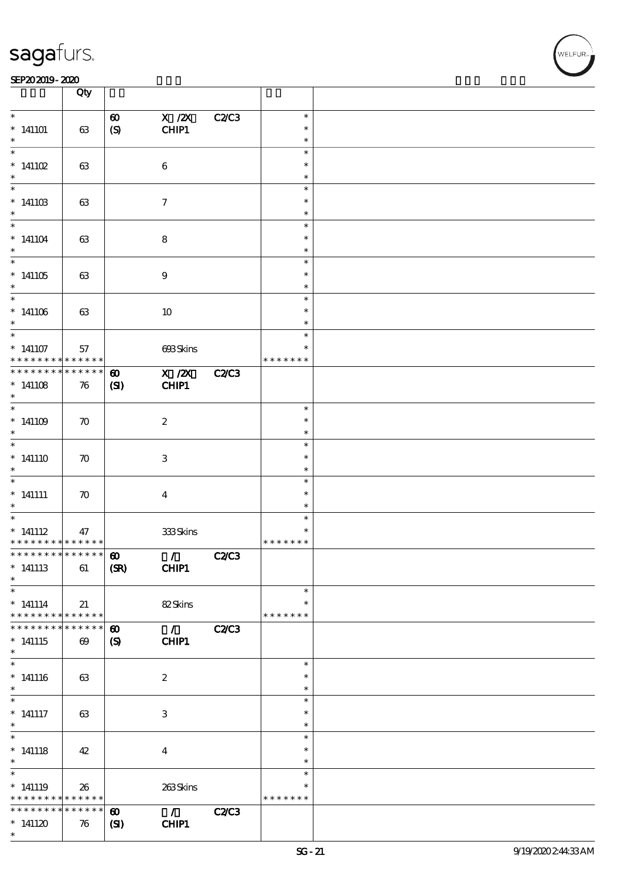#### SEP202019-2020 **DEEP202019-2020**

|                                                                                      | Qty                                  |                                       |                                     |              |                                   |  |
|--------------------------------------------------------------------------------------|--------------------------------------|---------------------------------------|-------------------------------------|--------------|-----------------------------------|--|
| $\ast$<br>$*141101$                                                                  | 63                                   | $\boldsymbol{\omega}$                 | $X$ / $ZX$<br>CHIP1                 | <b>C2/C3</b> | $\ast$<br>$\ast$                  |  |
| $\ast$                                                                               |                                      | $\boldsymbol{S}$                      |                                     |              | $\ast$<br>$\ast$                  |  |
| $*141102$<br>$\ast$                                                                  | 63                                   |                                       | $\bf 6$                             |              | $\ast$<br>$\ast$                  |  |
| $*14110B$                                                                            | 63                                   |                                       | $\tau$                              |              | $\ast$<br>$\ast$                  |  |
| $\ast$<br>$\overline{\phantom{0}}$                                                   |                                      |                                       |                                     |              | $\ast$<br>$\ast$                  |  |
| $*141104$<br>$\ast$                                                                  | 63                                   |                                       | 8                                   |              | $\ast$<br>$\ast$                  |  |
| $\overline{\ast}$<br>$*141105$<br>$*$                                                | 63                                   |                                       | $9\,$                               |              | $\ast$<br>$\ast$<br>$\ast$        |  |
| $\overline{\ast}$<br>$*141106$<br>$\ast$                                             | 63                                   |                                       | 10                                  |              | $\ast$<br>$\ast$<br>$\ast$        |  |
| $\ast$<br>$*141107$<br>* * * * * * * * <mark>*</mark>                                | 57<br>$* * * * * * *$                |                                       | 693Skins                            |              | $\ast$<br>$\ast$<br>* * * * * * * |  |
| * * * * * * * * * * * * * *<br>$*141108$                                             | 76                                   | $\boldsymbol{\omega}$<br>(S)          | X / ZX<br>CHIP1                     | <b>C2/C3</b> |                                   |  |
| $\ast$                                                                               |                                      |                                       |                                     |              | $\ast$                            |  |
| $*141109$<br>$\ast$                                                                  | $\boldsymbol{\pi}$                   |                                       | $\boldsymbol{2}$                    |              | $\ast$<br>$\ast$                  |  |
| $*141110$<br>$\ast$                                                                  | $\boldsymbol{\pi}$                   |                                       | 3                                   |              | $\ast$<br>$\ast$<br>$\ast$        |  |
| $\overline{\phantom{0}}$<br>$*$ 141111<br>$\ast$                                     | $\boldsymbol{\pi}$                   |                                       | $\boldsymbol{4}$                    |              | $\ast$<br>$\ast$<br>$\ast$        |  |
| $*$ 141112<br>* * * * * * * * <mark>* * * * * *</mark>                               | 47                                   |                                       | 333Skins                            |              | $\ast$<br>$\ast$<br>* * * * * * * |  |
| ************** 10<br>$*$ 141113<br>$\ast$                                            | 61                                   | (SR)                                  | $\sqrt{C2}$<br><b>CHIP1</b>         |              |                                   |  |
| $\overline{\phantom{0}}$<br>$* 141114$<br>* * * * * * * * <mark>* * * * * * *</mark> | 21                                   |                                       | 82Skins                             |              | $\ast$<br>$\ast$<br>* * * * * * * |  |
| * * * * * * * *<br>$*141115$<br>$\ast$                                               | * * * * * *<br>$\boldsymbol{\omega}$ | $\boldsymbol{\omega}$<br>(S)          | $\sqrt{C2C3}$<br>CHIP1              |              |                                   |  |
| $\overline{\phantom{0}}$<br>$* 141116$<br>$\ast$                                     | 63                                   |                                       | $\boldsymbol{2}$                    |              | $\ast$<br>$\ast$<br>$\ast$        |  |
| $*$<br>$*$ 141117<br>$*$                                                             | 63                                   |                                       | 3                                   |              | $\ast$<br>$\ast$<br>$\ast$        |  |
| $\overline{\ast}$<br>$* 141118$<br>$\ast$                                            | 42                                   |                                       | $\boldsymbol{4}$                    |              | $\ast$<br>$\ast$<br>$\ast$        |  |
| $*141119$<br>* * * * * * * * * * * * * * *                                           | 26                                   |                                       | 263Skins                            |              | $\ast$<br>$\ast$<br>* * * * * * * |  |
| * * * * * * * *<br>$*141120$<br>$\ast$                                               | * * * * * *<br>76                    | $\boldsymbol{\omega}$<br>$\mathbf{C}$ | $\mathcal{L}(\mathcal{L})$<br>CHIP1 | <b>C2/C3</b> |                                   |  |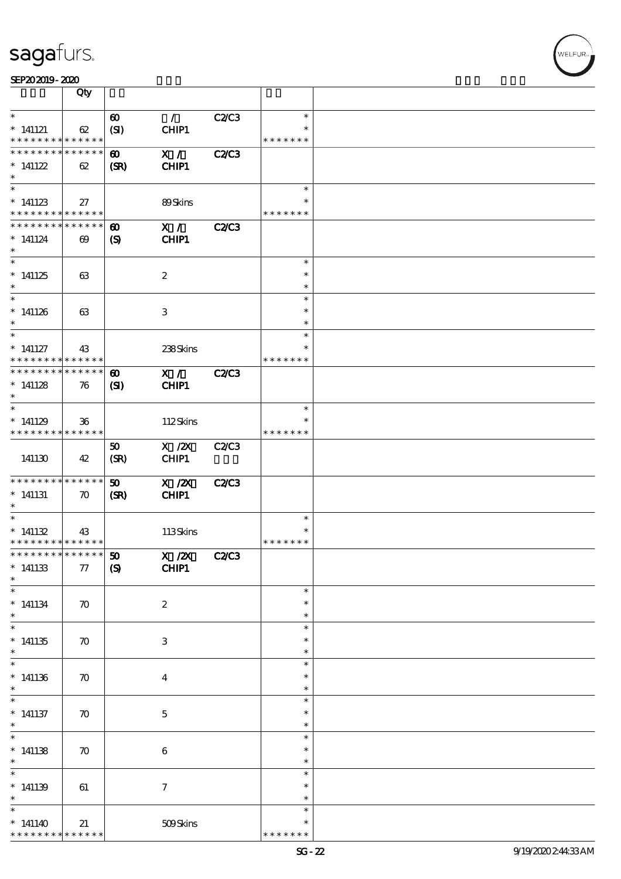| SEP202019-2020 |  |  |
|----------------|--|--|
|                |  |  |

|                                                                                | Qty                   |                                                                      |                            |                                   |  |
|--------------------------------------------------------------------------------|-----------------------|----------------------------------------------------------------------|----------------------------|-----------------------------------|--|
| $\ast$<br>$*$ 141121<br>* * * * * * * * * * * * * *                            | 62                    | $\mathcal{L}$<br>$\boldsymbol{\omega}$<br>(SI)<br>CHIP1              | C2/C3                      | $\ast$<br>$\ast$<br>* * * * * * * |  |
| * * * * * * * * * * * * * *<br>$*$ 141122<br>$\ast$                            | 62                    | X /<br>$\boldsymbol{\omega}$<br><b>CHIP1</b><br>(SR)                 | <b>C2/C3</b>               |                                   |  |
| $\overline{\ast}$<br>$*$ 141123<br>* * * * * * * * * * * * * *                 | 27                    | 89Skins                                                              |                            | $\ast$<br>∗<br>* * * * * * *      |  |
| * * * * * * * * * * * * * *<br>$*141124$<br>$\ast$<br>$\overline{\phantom{0}}$ | $\boldsymbol{\omega}$ | X /<br>$\boldsymbol{\omega}$<br>CHIP1<br>$\boldsymbol{\mathrm{(S)}}$ | <b>C2/C3</b>               |                                   |  |
| $*141125$<br>$\ast$<br>$\ast$                                                  | 63                    | $\boldsymbol{2}$                                                     |                            | $\ast$<br>$\ast$<br>$\ast$        |  |
| $*141126$<br>$\ast$                                                            | 63                    | 3                                                                    |                            | $\ast$<br>$\ast$<br>$\ast$        |  |
| $\ast$<br>$*$ 141127<br>* * * * * * * * * * * * * *                            | 43                    |                                                                      | 238Skins                   | $\ast$<br>$\ast$<br>* * * * * * * |  |
| * * * * * * * * * * * * * *<br>$*141128$<br>$\ast$                             | 76                    | X /<br>$\boldsymbol{\omega}$<br>CHIP1<br>$\mathbf{C}$                | <b>C2/C3</b>               |                                   |  |
| $\overline{\ast}$<br>$*141129$<br>* * * * * * * * * * * * * *                  | $36\,$                |                                                                      | 112Skins                   | $\ast$<br>* * * * * * *           |  |
| 141130                                                                         | 42                    | $X$ / $ZX$<br>50<br>CHIP1<br>(SR)                                    | <b>C2/C3</b>               |                                   |  |
| * * * * * * * * * * * * * *<br>$*$ 141131<br>$\ast$                            | $\boldsymbol{\pi}$    | $X$ / $ZX$<br>$\boldsymbol{\mathfrak{D}}$<br>CHIP1<br>(SR)           | <b>C2/C3</b>               |                                   |  |
| $\ast$<br>$*141132$<br>* * * * * * * * * * * * * * *                           | 43                    |                                                                      | 113Skins                   | $\ast$<br>$\ast$<br>* * * * * * * |  |
| **************** 50<br>$^\ast$ 141133<br>$\ast$                                | 77                    | $\boldsymbol{\mathrm{(S)}}$<br><b>CHIP1</b>                          | <b>C2/C3</b><br>$X$ / $ZX$ |                                   |  |
| $\ast$<br>$^*$ 141134 $\,$<br>$\ast$                                           | $\boldsymbol{\pi}$    | $\boldsymbol{2}$                                                     |                            | $\ast$<br>$\ast$<br>$\ast$        |  |
| $\overline{\phantom{0}}$<br>$*141135$<br>$\ast$                                | $\boldsymbol{\pi}$    | $\,3\,$                                                              |                            | $\ast$<br>$\ast$<br>$\ast$        |  |
| $\overline{\ast}$<br>$*$ 141136<br>$\ast$<br>$\overline{\ast}$                 | $\boldsymbol{\pi}$    | $\boldsymbol{4}$                                                     |                            | $\ast$<br>$\ast$<br>$\ast$        |  |
| $*$ 141137<br>$\ast$                                                           | $\boldsymbol{\pi}$    | $\mathbf 5$                                                          |                            | $\ast$<br>$\ast$<br>$\ast$        |  |
| $*141138$<br>$\ast$                                                            | $\boldsymbol{\pi}$    | $\,6\,$                                                              |                            | $\ast$<br>$\ast$<br>$\ast$        |  |
| $\ast$<br>$*141139$<br>$\ast$                                                  | 61                    | $\boldsymbol{\tau}$                                                  |                            | $\ast$<br>$\ast$<br>$\ast$        |  |
| $\ast$<br>$*141140$<br>* * * * * * * * <mark>* * * * * * *</mark>              | 21                    |                                                                      | 509Skins                   | $\ast$<br>$\ast$<br>* * * * * * * |  |

r<br>WELFUR<br>.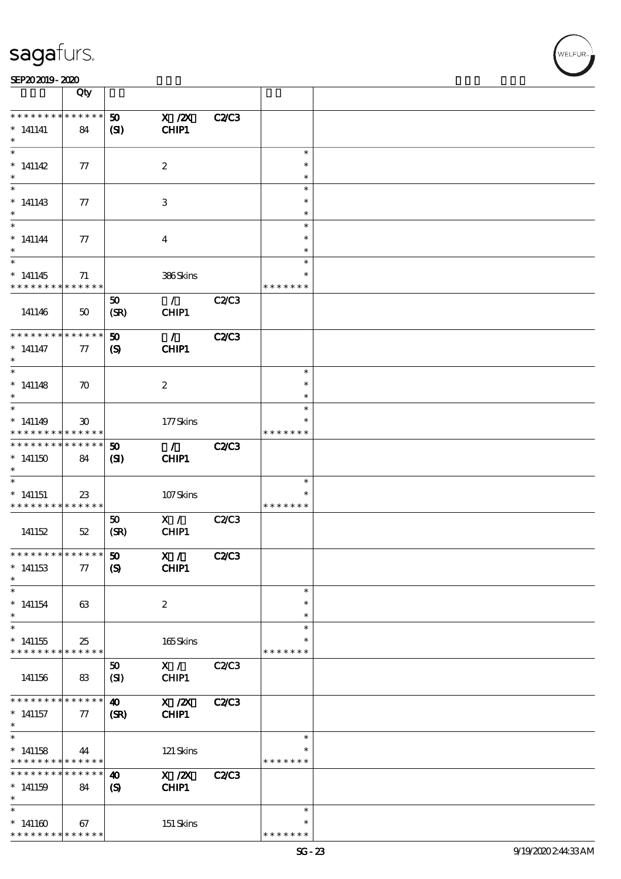|                                                                               | Qty                                        |                                           |                               |              |                                   |  |
|-------------------------------------------------------------------------------|--------------------------------------------|-------------------------------------------|-------------------------------|--------------|-----------------------------------|--|
| * * * * * * * *<br>$*$ 141141<br>$\ast$                                       | $******$<br>84                             | 50<br>(S)                                 | $X$ / $ZX$<br>CHIP1           | <b>C2/C3</b> |                                   |  |
| $\ast$<br>$*141142$<br>$\ast$                                                 | 77                                         |                                           | $\boldsymbol{2}$              |              | $\ast$<br>$\ast$<br>$\ast$        |  |
| $\ast$<br>$*141143$<br>$\ast$                                                 | 77                                         |                                           | 3                             |              | $\ast$<br>$\ast$<br>$\ast$        |  |
| $\ast$<br>$* 141144$<br>$\ast$                                                | 77                                         |                                           | $\boldsymbol{4}$              |              | $\ast$<br>$\ast$<br>$\ast$        |  |
| $\overline{\ast}$<br>$*141145$<br>* * * * * * * *                             | 71<br>* * * * * *                          |                                           | 386Skins                      |              | $\ast$<br>$\ast$<br>* * * * * * * |  |
| 141146                                                                        | $50\,$                                     | 50<br>(SR)                                | $\mathcal{L}$<br>CHIP1        | C2C3         |                                   |  |
| * * * * * * * *<br>$*$ 141147<br>$\ast$                                       | * * * * * *<br>77                          | 50<br>$\boldsymbol{\mathrm{(S)}}$         | $\mathcal{L}$<br>CHIP1        | <b>C2/C3</b> |                                   |  |
| $\ast$<br>$*$ 141148<br>$\ast$                                                | $\boldsymbol{\pi}$                         |                                           | $\boldsymbol{2}$              |              | $\ast$<br>$\ast$<br>$\ast$        |  |
| $\ast$<br>$*141149$<br>* * * * * * * *                                        | $\boldsymbol{\mathfrak{D}}$<br>* * * * * * |                                           | 177Skins                      |              | $\ast$<br>* * * * * * *           |  |
| * * * * * * * *<br>$*141150$<br>$\ast$                                        | * * * * * *<br>84                          | 50<br>(S)                                 | $\mathcal{L}$<br><b>CHIP1</b> | <b>C2/C3</b> |                                   |  |
| $\ast$<br>$*$ 141151<br>* * * * * * * * * * * * * *                           | $23\,$                                     |                                           | 107Skins                      |              | $\ast$<br>$\ast$<br>* * * * * * * |  |
| 141152                                                                        | $52\,$                                     | 50<br>(SR)                                | X /<br>CHIP1                  | C2C3         |                                   |  |
| **************** 50<br>$*$ 141153<br>$\ast$                                   | 77                                         | $\boldsymbol{S}$                          | X /<br>CHIP1                  | <b>C2/C3</b> |                                   |  |
| $\ast$<br>$*$ 141154<br>$\ast$                                                | 63                                         |                                           | $\boldsymbol{2}$              |              | $\ast$<br>$\ast$<br>$\ast$        |  |
| $\ast$<br>$*$ 141155<br>* * * * * * * * * * * * * *                           | 25                                         |                                           | 165Skins                      |              | $\ast$<br>*<br>* * * * * * *      |  |
| 141156                                                                        | 83                                         | 50<br>(SI)                                | X /<br>CHIP1                  | C2/C3        |                                   |  |
| * * * * * * * *<br>$*$ 141157<br>$*$                                          | * * * * * *<br>77                          | $\boldsymbol{\omega}$<br>(SR)             | $X$ / $ZX$<br>CHIP1           | <b>C2/C3</b> |                                   |  |
| $\overline{\ast}$<br>$*$ 141158<br>* * * * * * * * <mark>* * * * * * *</mark> | 44                                         |                                           | 121 Skins                     |              | $\ast$<br>* * * * * * *           |  |
| * * * * * * * *<br>$*141159$<br>$\ast$                                        | $* * * * * * *$<br>84                      | $\boldsymbol{\omega}$<br>$\boldsymbol{S}$ | X / ZX<br>CHIP1               | C2C3         |                                   |  |
| $\ast$<br>$^*$ 141160 $\,$<br>* * * * * * * * <mark>* * * * * *</mark> *      | 67                                         |                                           | 151 Skins                     |              | $\ast$<br>$\ast$<br>* * * * * * * |  |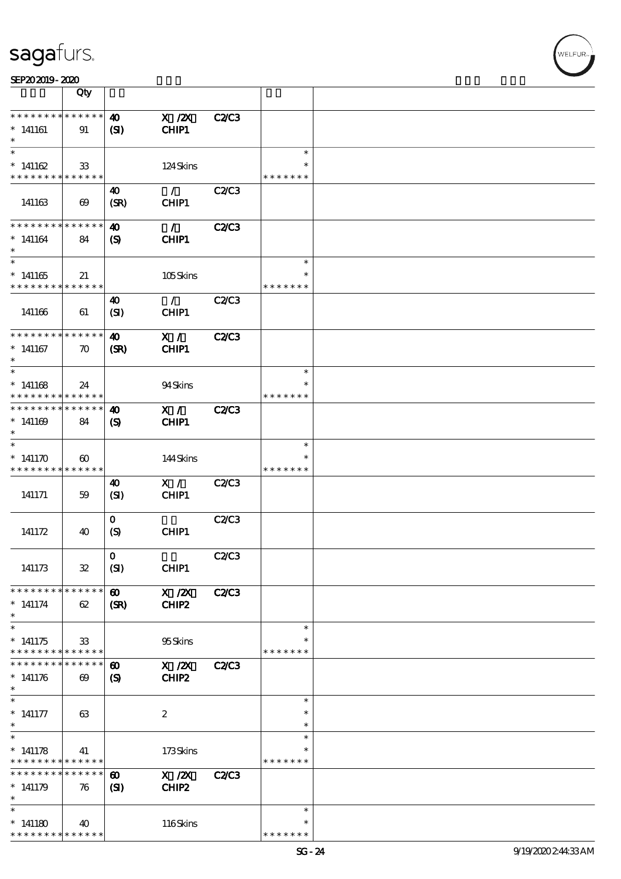| SEP202019-2020                                         |                       |                             |                  |              |               |  |
|--------------------------------------------------------|-----------------------|-----------------------------|------------------|--------------|---------------|--|
|                                                        | Qty                   |                             |                  |              |               |  |
|                                                        |                       |                             |                  |              |               |  |
| * * * * * * * * * * * * * *                            |                       | $\boldsymbol{\omega}$       | $X$ / $ZX$       | <b>C2/C3</b> |               |  |
| $*141161$                                              | 91                    | $\mathbf{S}$                | CHIP1            |              |               |  |
| $\ast$                                                 |                       |                             |                  |              |               |  |
| $\ast$                                                 |                       |                             |                  |              | $\ast$        |  |
| $* 141162$                                             | 33                    |                             | 124Skins         |              | $\ast$        |  |
| * * * * * * * * * * * * * *                            |                       |                             |                  |              | * * * * * * * |  |
|                                                        |                       | 40                          | $\mathcal{L}$    | <b>C2/C3</b> |               |  |
| 141163                                                 | $\boldsymbol{\omega}$ | (SR)                        | CHIP1            |              |               |  |
|                                                        |                       |                             |                  |              |               |  |
| * * * * * * * *                                        | * * * * * *           | $\boldsymbol{\omega}$       | $\mathcal{T}$    | <b>C2/C3</b> |               |  |
| $*141164$                                              | 84                    | $\boldsymbol{\mathrm{(S)}}$ | CHIP1            |              |               |  |
| $\ast$                                                 |                       |                             |                  |              |               |  |
| $\overline{\phantom{0}}$                               |                       |                             |                  |              | $\ast$        |  |
| $*141165$                                              | 21                    |                             | 105Skins         |              | $\ast$        |  |
| * * * * * * * *                                        | * * * * * *           |                             |                  |              | * * * * * * * |  |
|                                                        |                       | 40                          | $\mathcal{L}$    | C2C3         |               |  |
| 141166                                                 | 61                    | (SI)                        | CHIP1            |              |               |  |
|                                                        |                       |                             |                  |              |               |  |
| * * * * * * * *                                        | * * * * * *           | $\boldsymbol{\omega}$       | X /              | <b>C2/C3</b> |               |  |
| $*$ 141167                                             |                       |                             | CHIP1            |              |               |  |
| $\ast$                                                 | $\boldsymbol{\pi}$    | (SR)                        |                  |              |               |  |
| $\ast$                                                 |                       |                             |                  |              | $\ast$        |  |
|                                                        |                       |                             |                  |              | $\ast$        |  |
| $*141168$                                              | 24                    |                             | 94Skins          |              |               |  |
| * * * * * * * *                                        | * * * * * *           |                             |                  |              | * * * * * * * |  |
| * * * * * * * *                                        | * * * * * *           | $\boldsymbol{\omega}$       | X /              | <b>C2/C3</b> |               |  |
| $*141109$                                              | 84                    | $\boldsymbol{\mathcal{S}}$  | CHIP1            |              |               |  |
| $\ast$                                                 |                       |                             |                  |              |               |  |
| $\ast$                                                 |                       |                             |                  |              | $\ast$        |  |
| $* 141170$                                             | $\boldsymbol{\omega}$ |                             | 144Skins         |              | $\ast$        |  |
| * * * * * * * * <mark>* * * * * *</mark>               |                       |                             |                  |              | * * * * * * * |  |
|                                                        |                       | 40                          | X /              | C2C3         |               |  |
| 141171                                                 | 59                    | (SI)                        | CHIP1            |              |               |  |
|                                                        |                       |                             |                  |              |               |  |
|                                                        |                       | $\mathbf{o}$                |                  | C2C3         |               |  |
| 141172                                                 | 40                    | $\boldsymbol{S}$            | CHIP1            |              |               |  |
|                                                        |                       |                             |                  |              |               |  |
|                                                        |                       | $\mathbf 0$                 |                  | <b>C2/C3</b> |               |  |
| 141173                                                 | $\mathfrak{B}$        | (SI)                        | CHIP1            |              |               |  |
|                                                        |                       |                             |                  |              |               |  |
| * * * * * * * * * * * * * *                            |                       | $\boldsymbol{\omega}$       | X / ZX           | <b>C2/C3</b> |               |  |
| $*$ 141174                                             | 62                    | (SR)                        | CHIP2            |              |               |  |
| $\ast$                                                 |                       |                             |                  |              |               |  |
| $\overline{\ast}$                                      |                       |                             |                  |              | $\ast$        |  |
| $*141175$                                              | $33\,$                |                             | 95Skins          |              |               |  |
| * * * * * * * * <mark>* * * * * * *</mark>             |                       |                             |                  |              | * * * * * * * |  |
| * * * * * * *                                          | * * * * * *           | $\boldsymbol{\omega}$       | $X$ / $ZX$       | <b>C2/C3</b> |               |  |
| $* 141176$                                             | $\boldsymbol{\omega}$ | $\boldsymbol{S}$            | CHIP2            |              |               |  |
| $\ast$                                                 |                       |                             |                  |              |               |  |
| $\ast$                                                 |                       |                             |                  |              | $\ast$        |  |
| $^*$ 141177                                            | 63                    |                             | $\boldsymbol{2}$ |              | $\ast$        |  |
| $\ast$                                                 |                       |                             |                  |              | $\ast$        |  |
| $\ast$                                                 |                       |                             |                  |              | $\ast$        |  |
|                                                        |                       |                             |                  |              | $\ast$        |  |
| $* 141178$<br>* * * * * * * * <mark>* * * * * *</mark> | 41                    |                             | 173Skins         |              | * * * * * * * |  |
|                                                        |                       |                             |                  |              |               |  |

\* \*

\* \* \* \* \* \* \*

60 X /2X C2/C3<br>(SI) CHIP2  $CHIP2$ 

40 116 Skins

**\* \* \* \* \* \* \* \* \* \* \* \* \* \*** \* 141179 76

\* \* \* \* \* \* \* \* \* \* \* \* \* \*

\* \*

\* 141180

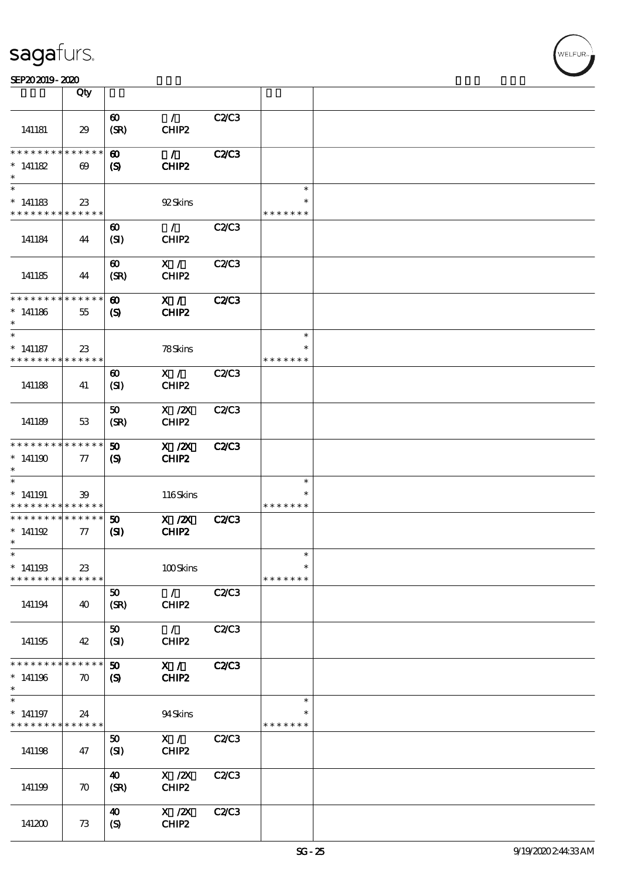| SEP202019-2020 |  |  |
|----------------|--|--|
|                |  |  |

|                                                    | Qty                                  |                                                     |                                                              |              |                                   |  |
|----------------------------------------------------|--------------------------------------|-----------------------------------------------------|--------------------------------------------------------------|--------------|-----------------------------------|--|
| 141181                                             | 29                                   | $\boldsymbol{\omega}$<br>(SR)                       | $\mathcal{L}$<br>CHIP2                                       | <b>C2/C3</b> |                                   |  |
| ********<br>$* 141182$<br>$\ast$                   | * * * * * *<br>$\boldsymbol{\omega}$ | $\boldsymbol{\omega}$<br>$\boldsymbol{S}$           | $\mathcal{T}$<br>CHIP2                                       | <b>C2/C3</b> |                                   |  |
| $\ast$<br>$*141183$<br>* * * * * * * * * * * * * * | 23                                   |                                                     | 92Skins                                                      |              | $\ast$<br>* * * * * * *           |  |
| 141184                                             | 44                                   | $\boldsymbol{\omega}$<br>(SI)                       | $\mathcal{F}$<br>CHIP2                                       | C2C3         |                                   |  |
| 141185                                             | 44                                   | $\boldsymbol{\omega}$<br>(SR)                       | X /<br>CHIP2                                                 | C2C3         |                                   |  |
| * * * * * * * * * * * * * *<br>$*141186$<br>$\ast$ | 55                                   | $\boldsymbol{\omega}$<br>$\boldsymbol{\mathcal{S}}$ | X /<br>CHIP2                                                 | <b>C2/C3</b> |                                   |  |
| $\ast$<br>$*$ 141187<br>* * * * * * * *            | $23\,$<br>* * * * * *                |                                                     | 78Skins                                                      |              | $\ast$<br>$\ast$<br>* * * * * * * |  |
| 141188                                             | 41                                   | $\boldsymbol{\omega}$<br>(SI)                       | X /<br>CHIP2                                                 | C2C3         |                                   |  |
| 141189                                             | 53                                   | 50<br>(SR)                                          | $X$ / $ZX$<br>CHIP2                                          | C2C3         |                                   |  |
| * * * * * * * *<br>$*141190$<br>$\ast$             | * * * * * *<br>$\tau$                | 50<br>$\boldsymbol{\mathcal{S}}$                    | $X$ / $ZX$<br>CHIP2                                          | <b>C2/C3</b> |                                   |  |
| $*$ 141191<br>* * * * * * * *                      | 39<br>* * * * * *                    |                                                     | 116Skins                                                     |              | $\ast$<br>$\ast$<br>* * * * * * * |  |
| * * * * * * * *<br>$* 141192$<br>$\ast$            | $\ast\ast\ast\ast\ast\ast$<br>$\pi$  | 50<br>$\mathbf{C}$                                  | $X$ / $ZX$<br>CHIP2                                          | <b>C2/C3</b> |                                   |  |
| $*$<br>$*141193$<br>* * * * * * * *                | 23<br>* * * * * *                    |                                                     | 100Skins                                                     |              | $\ast$<br>$\ast$<br>* * * * * * * |  |
| 141194                                             | 40                                   | 50<br>(SR)                                          | $\mathcal{T}^{\mathbb{Z}}$<br>CHIP2                          | <b>C2/C3</b> |                                   |  |
| 141195                                             | 42                                   | 50<br>(SI)                                          | $\mathcal{F}$<br>CHIP2                                       | <b>C2/C3</b> |                                   |  |
| * * * * * * * *<br>$*141196$<br>$\ast$             | * * * * * *<br>$\boldsymbol{\pi}$    | $\boldsymbol{\mathfrak{D}}$<br>$\boldsymbol{S}$     | X /<br>CHIP2                                                 | <b>C2/C3</b> |                                   |  |
| $*$ 141197<br>* * * * * * * *                      | 24<br>* * * * * *                    |                                                     | 94Skins                                                      |              | $\ast$<br>$\ast$<br>* * * * * * * |  |
| 141198                                             | 47                                   | 50<br>(SI)                                          | X /<br>CHIP2                                                 | C2/C3        |                                   |  |
| 141199                                             | $\boldsymbol{\pi}$                   | $\boldsymbol{\omega}$<br>(SR)                       | $\boldsymbol{X}$ / $\boldsymbol{Z}\!\boldsymbol{X}$<br>CHIP2 | C2/C3        |                                   |  |
| 141200                                             | 73                                   | $\boldsymbol{\omega}$<br>$\boldsymbol{S}$           | $\boldsymbol{\mathrm{X}}$ / <b>2X</b><br>CHIP2               | <b>C2/C3</b> |                                   |  |

,<br>WELFUR: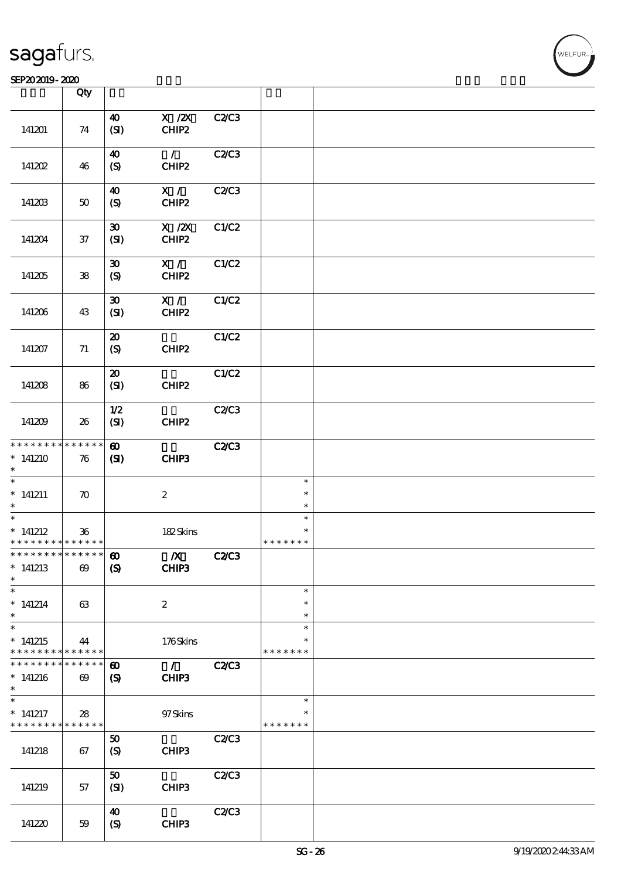|                                                        | Qty                   |                             |                  |              |                         |  |
|--------------------------------------------------------|-----------------------|-----------------------------|------------------|--------------|-------------------------|--|
|                                                        |                       | 40                          | $X$ / $ZX$       | <b>C2/C3</b> |                         |  |
| 141201                                                 | 74                    | (SI)                        | CHIP2            |              |                         |  |
|                                                        |                       | 40                          | $\mathcal{L}$    | C2/C3        |                         |  |
| 141202                                                 | 46                    | (S)                         | CHIP2            |              |                         |  |
|                                                        |                       | $\boldsymbol{\omega}$       | X /              | C2C3         |                         |  |
| 141203                                                 | $50\,$                | (S)                         | CHIP2            |              |                         |  |
|                                                        |                       | $\boldsymbol{\mathfrak{D}}$ | $X$ / $ZX$       | C1/C2        |                         |  |
| 141204                                                 | $37\,$                | (SI)                        | CHIP2            |              |                         |  |
|                                                        |                       | $\boldsymbol{\mathfrak{D}}$ | X /              | C1/C2        |                         |  |
| 141205                                                 | 38                    | (S)                         | CHIP2            |              |                         |  |
|                                                        |                       | $\boldsymbol{\mathfrak{D}}$ | X /              | C1/C2        |                         |  |
| 141206                                                 | 43                    | (SI)                        | CHIP2            |              |                         |  |
|                                                        |                       | $\boldsymbol{\mathfrak{D}}$ |                  | C1/C2        |                         |  |
| 141207                                                 | 71                    | (S)                         | CHIP2            |              |                         |  |
|                                                        |                       | $\boldsymbol{\mathfrak{D}}$ |                  | C1/C2        |                         |  |
| 141208                                                 | 86                    | (SI)                        | CHIP2            |              |                         |  |
|                                                        |                       | 1/2                         |                  | C2C3         |                         |  |
| 141209                                                 | 26                    | (SI)                        | CHIP2            |              |                         |  |
| * * * * * * * * <mark>* * * * * *</mark>               |                       | $\boldsymbol{\omega}$       |                  | <b>C2C3</b>  |                         |  |
| $*141210$<br>$\ast$                                    | 76                    | (S)                         | CHIP3            |              |                         |  |
| $\ast$                                                 |                       |                             |                  |              | $\ast$                  |  |
| $*$ 141211                                             | $\boldsymbol{\pi}$    |                             | $\boldsymbol{2}$ |              | $\ast$                  |  |
| $\ast$                                                 |                       |                             |                  |              | $\ast$                  |  |
| $\ast$                                                 |                       |                             |                  |              | $\ast$                  |  |
| $*$ 141212<br>* * * * * * * * <mark>* * * * * *</mark> | $36\,$                |                             | 182Skins         |              | $\ast$<br>* * * * * * * |  |
| * * * * * * * * <mark>* * * * * * *</mark>             |                       | $\boldsymbol{\omega}$       | $\boldsymbol{X}$ | C2C3         |                         |  |
| $*141213$<br>$\ast$                                    | $\boldsymbol{\omega}$ | $\boldsymbol{S}$            | CHIP3            |              |                         |  |
| $\ast$                                                 |                       |                             |                  |              | $\ast$                  |  |
| $*141214$                                              | 63                    |                             | $\boldsymbol{2}$ |              | $\ast$                  |  |
| $\ast$                                                 |                       |                             |                  |              | $\ast$                  |  |
| $\ast$                                                 |                       |                             |                  |              | $\ast$                  |  |
| $*141215$<br>* * * * * * * *                           | 44<br>******          |                             | 176Skins         |              | $\ast$<br>* * * * * * * |  |
| * * * * * * * *                                        | * * * * * *           | $\boldsymbol{\omega}$       | $\mathcal{L}$    | <b>C2/C3</b> |                         |  |
| $*141216$<br>$\ast$                                    | $\boldsymbol{\omega}$ | (S)                         | CHIP3            |              |                         |  |
| $\ast$                                                 |                       |                             |                  |              | $\ast$                  |  |
| $*$ 141217<br>* * * * * * * * <mark>*</mark>           | 28<br>* * * * * *     |                             | 97 Skins         |              | *<br>* * * * * * *      |  |
|                                                        |                       | 50                          |                  | <b>C2/C3</b> |                         |  |
| 141218                                                 | 67                    | (S)                         | CHIP3            |              |                         |  |
|                                                        |                       | 50                          |                  | C2C3         |                         |  |
| 141219                                                 | 57                    | (SI)                        | CHIP3            |              |                         |  |
|                                                        |                       | 40                          |                  | C2C3         |                         |  |
| 141220                                                 | 59                    | (S)                         | CHIP3            |              |                         |  |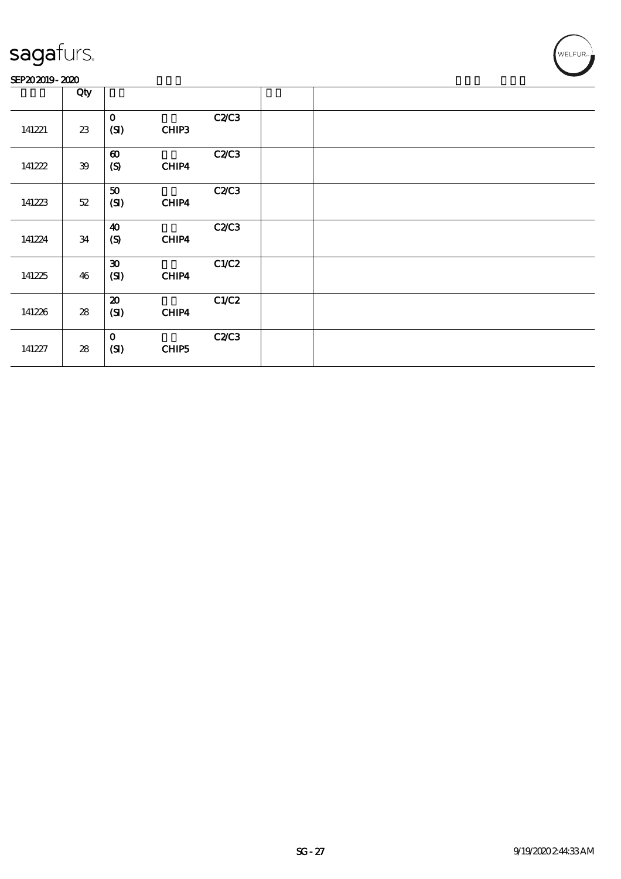#### SEP202019-2020

|        | Qty    |                                           |       |              |  |
|--------|--------|-------------------------------------------|-------|--------------|--|
| 141221 | 23     | $\mathbf{o}$<br>(SI)                      | CHIP3 | <b>C2/C3</b> |  |
| 141222 | 39     | $\boldsymbol{\omega}$<br>$\mathcal{S}$    | CHIP4 | <b>C2/C3</b> |  |
| 141223 | $52\,$ | 50<br>(SI)                                | CHIP4 | <b>C2/C3</b> |  |
| 141224 | 34     | $\boldsymbol{\omega}$<br>$\boldsymbol{S}$ | CHIP4 | <b>C2/C3</b> |  |
| 141225 | 46     | $\boldsymbol{\mathfrak{D}}$<br>(SI)       | CHIP4 | C1/C2        |  |
| 141226 | 28     | $\boldsymbol{\mathfrak{D}}$<br>(SI)       | CHIP4 | C1/C2        |  |
| 141227 | 28     | $\mathbf 0$<br>(SI)                       | CHIP5 | <b>C2/C3</b> |  |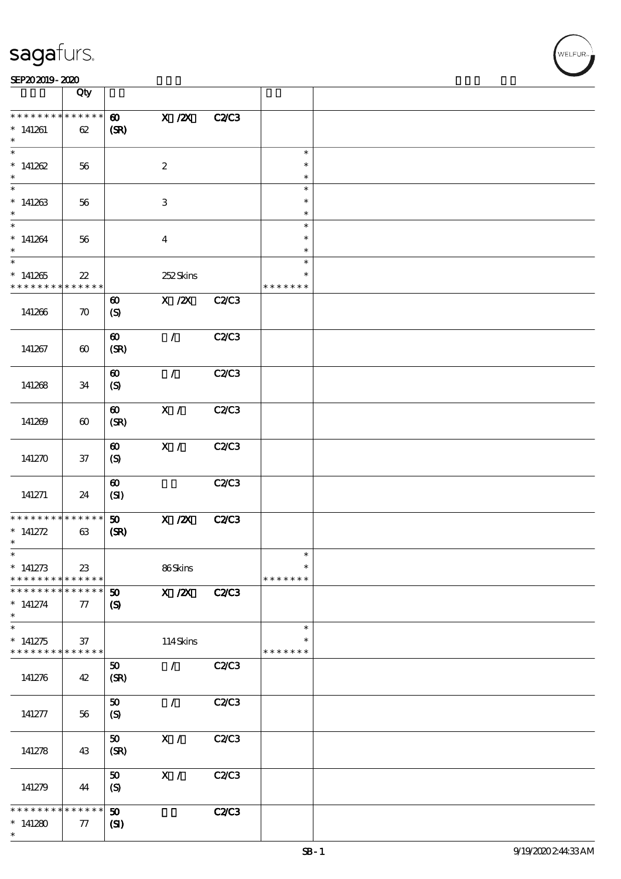|                                                       | Qty                                  |                               |                                  |              |                         |  |
|-------------------------------------------------------|--------------------------------------|-------------------------------|----------------------------------|--------------|-------------------------|--|
| * * * * * * * *                                       | $******$                             |                               |                                  |              |                         |  |
| $*141261$<br>$\ast$                                   | 62                                   | $\boldsymbol{\omega}$<br>(SR) | $X$ / $ZX$                       | <b>C2/C3</b> |                         |  |
| $\ast$                                                |                                      |                               |                                  |              | $\ast$                  |  |
| $*141262$<br>$\ast$                                   | 56                                   |                               | $\boldsymbol{2}$                 |              | $\ast$<br>$\ast$        |  |
| $\ast$                                                |                                      |                               |                                  |              | $\ast$                  |  |
| $*141263$                                             | 56                                   |                               | $\ensuremath{\mathbf{3}}$        |              | $\ast$<br>$\ast$        |  |
| $\ast$                                                |                                      |                               |                                  |              | $\ast$                  |  |
| $*141264$                                             | 56                                   |                               | $\boldsymbol{4}$                 |              | $\ast$<br>$\ast$        |  |
| $\overline{\ast}$                                     |                                      |                               |                                  |              | $\ast$                  |  |
| $*141265$<br>* * * * * * * *                          | $\boldsymbol{\mathcal{Z}}$<br>****** |                               | 252Skins                         |              | $\ast$<br>* * * * * * * |  |
|                                                       |                                      | $\boldsymbol{\omega}$         | $X$ / $ZX$                       | <b>C2/C3</b> |                         |  |
| 141266                                                | $\boldsymbol{\pi}$                   | $\boldsymbol{S}$              |                                  |              |                         |  |
|                                                       |                                      | $\boldsymbol{\omega}$         | $\mathcal{L}$                    | <b>C2/C3</b> |                         |  |
| 141267                                                | $\boldsymbol{\omega}$                | (SR)                          |                                  |              |                         |  |
|                                                       |                                      | $\boldsymbol{\omega}$         | $\mathcal{L}$                    | C2/C3        |                         |  |
| 141268                                                | 34                                   | (S)                           |                                  |              |                         |  |
|                                                       |                                      | $\boldsymbol{\omega}$         | X /                              | <b>C2/C3</b> |                         |  |
| 141269                                                | $\boldsymbol{\omega}$                | (SR)                          |                                  |              |                         |  |
|                                                       |                                      | $\boldsymbol{\omega}$         | $\overline{\mathbf{x}}$ /        | <b>C2/C3</b> |                         |  |
| 141270                                                | $37\,$                               | (S)                           |                                  |              |                         |  |
|                                                       |                                      | $\boldsymbol{\omega}$         |                                  | C2C3         |                         |  |
| 141271                                                | 24                                   | (SI)                          |                                  |              |                         |  |
| * * * * * * * *                                       | $* * * * * * *$                      | 50                            | $X$ / $ZX$                       | <b>C2/C3</b> |                         |  |
| * $141272$<br>$\ast$                                  | 63                                   | (SR)                          |                                  |              |                         |  |
| $\ast$                                                |                                      |                               |                                  |              |                         |  |
| $*141273$<br>* * * * * * * *                          | $23\,$<br>* * * * * *                |                               | 86Skins                          |              | $\ast$<br>* * * * * * * |  |
| * * * * * * * *                                       | $* * * * * * *$                      | $\boldsymbol{\mathfrak{D}}$   | $\overline{X}$ / $\overline{Z}X$ | <b>C2/C3</b> |                         |  |
| $*$ 141274<br>$\ast$                                  | $77\,$                               | $\boldsymbol{\mathcal{S}}$    |                                  |              |                         |  |
| $\ast$                                                |                                      |                               |                                  |              | $\ast$                  |  |
| $*141275$<br>* * * * * * * * <mark>* * * * * *</mark> | 37                                   |                               | 114Skins                         |              | $\ast$<br>* * * * * * * |  |
|                                                       |                                      | 50                            | $\mathcal{L}$                    | C2/C3        |                         |  |
| 141276                                                | 42                                   | (SR)                          |                                  |              |                         |  |
|                                                       |                                      | 50                            | $\mathcal{L}$                    | C2C3         |                         |  |
| 141277                                                | 56                                   | $\boldsymbol{S}$              |                                  |              |                         |  |
| 141278                                                | 43                                   | 50<br>(SR)                    | $\mathbf{X}$ /                   | <b>C2/C3</b> |                         |  |
|                                                       |                                      |                               |                                  |              |                         |  |
|                                                       |                                      | 50                            | $\mathbf{X}$ /                   | C2/C3        |                         |  |
| 141279                                                | 44                                   | (S)                           |                                  |              |                         |  |
| * * * * * * * *                                       | * * * * * *                          | 50                            |                                  | <b>C2/C3</b> |                         |  |
| $*141280$                                             | 77                                   | (S)                           |                                  |              |                         |  |
| $\ast$                                                |                                      |                               |                                  |              |                         |  |

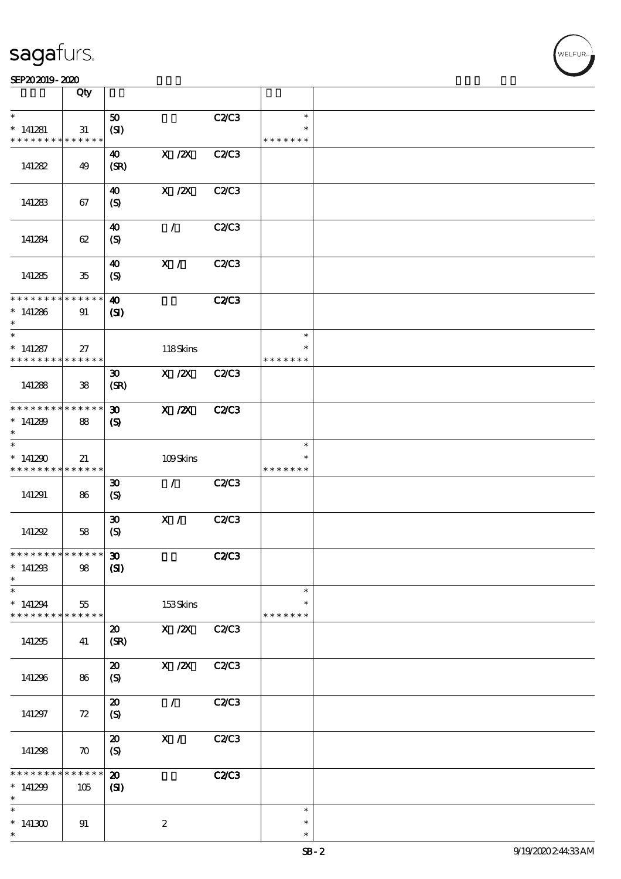|                                            | Qty                |                                           |                                      |              |               |  |
|--------------------------------------------|--------------------|-------------------------------------------|--------------------------------------|--------------|---------------|--|
| $\ast$                                     |                    |                                           |                                      | C2/C3        | $\ast$        |  |
| $*141281$                                  | 31                 | 50<br>(SI)                                |                                      |              | $\ast$        |  |
| * * * * * * * *                            | * * * * * *        |                                           |                                      |              | * * * * * * * |  |
| 141282                                     | 49                 | 40<br>(SR)                                | $X$ / $ZX$                           | C2/C3        |               |  |
|                                            |                    |                                           |                                      |              |               |  |
|                                            |                    | $\boldsymbol{\omega}$                     | $X$ / $ZX$                           | C2C3         |               |  |
| 141283                                     | 67                 | $\boldsymbol{\mathrm{(S)}}$               |                                      |              |               |  |
|                                            |                    |                                           | $\mathcal{L}$                        | C2/C3        |               |  |
| 141284                                     | 62                 | $\boldsymbol{\omega}$<br>$\boldsymbol{S}$ |                                      |              |               |  |
|                                            |                    |                                           |                                      |              |               |  |
|                                            |                    | 40                                        | X /                                  | <b>C2/C3</b> |               |  |
| 141285                                     | $35\,$             | $\boldsymbol{S}$                          |                                      |              |               |  |
| * * * * * * * * <mark>* * * * * * *</mark> |                    | $\boldsymbol{\omega}$                     |                                      | <b>C2/C3</b> |               |  |
| $*141286$                                  | 91                 | $\mathbf{C}$                              |                                      |              |               |  |
| $\ast$<br>$\ast$                           |                    |                                           |                                      |              | $\ast$        |  |
| $*141287$                                  | 27                 |                                           | 118Skins                             |              | $\ast$        |  |
| * * * * * * * *                            | * * * * * *        |                                           |                                      |              | * * * * * * * |  |
|                                            |                    | $\boldsymbol{\mathfrak{D}}$               | $\boldsymbol{\mathrm{X}}$ / <b>Z</b> | C2C3         |               |  |
| 141288                                     | 38                 | (SR)                                      |                                      |              |               |  |
|                                            |                    |                                           |                                      |              |               |  |
| * * * * * * * *                            | * * * * * *        | $\boldsymbol{\mathfrak{D}}$               | $X$ / $ZX$                           | <b>C2/C3</b> |               |  |
| $*141289$<br>$\ast$                        | 88                 | $\boldsymbol{\mathcal{S}}$                |                                      |              |               |  |
| $\ast$                                     |                    |                                           |                                      |              | $\ast$        |  |
| $*141290$                                  | 21                 |                                           | 109Skins                             |              |               |  |
| * * * * * * * *                            | * * * * * *        |                                           |                                      |              | * * * * * * * |  |
|                                            |                    | $\boldsymbol{\mathfrak{D}}$               | $\mathcal{L}$                        | C2C3         |               |  |
| 141291                                     | 86                 | $\boldsymbol{S}$                          |                                      |              |               |  |
|                                            |                    | $\boldsymbol{\mathfrak{D}}$               | X /                                  | C2C3         |               |  |
| 141292                                     | 58                 | $\boldsymbol{S}$                          |                                      |              |               |  |
|                                            |                    |                                           |                                      |              |               |  |
| ************** 30                          |                    |                                           |                                      | <b>C2/C3</b> |               |  |
| $*141293$<br>$\ast$                        | $98$               | (S)                                       |                                      |              |               |  |
| $\ast$                                     |                    |                                           |                                      |              | $\ast$        |  |
| $*141294$                                  | 55                 |                                           | 153Skins                             |              | $\ast$        |  |
| * * * * * * * *                            | * * * * * *        |                                           |                                      |              | * * * * * * * |  |
| 141295                                     | 41                 | $\boldsymbol{\mathfrak{D}}$<br>(SR)       | X / ZX                               | C2/C3        |               |  |
|                                            |                    |                                           |                                      |              |               |  |
|                                            |                    | $\boldsymbol{\mathfrak{D}}$               | X / ZX                               | C2/C3        |               |  |
| 141296                                     | 86                 | $\boldsymbol{S}$                          |                                      |              |               |  |
|                                            |                    | $\boldsymbol{\boldsymbol{\mathrm{20}}}$   | $\mathcal{L}$                        | C2C3         |               |  |
| 141297                                     | 72                 | $\boldsymbol{\mathrm{(S)}}$               |                                      |              |               |  |
|                                            |                    |                                           |                                      |              |               |  |
|                                            |                    | $\boldsymbol{\mathsf{20}}$                | $\overline{\mathbf{x}}$ /            | C2C3         |               |  |
| 141298                                     | $\boldsymbol{\pi}$ | (S)                                       |                                      |              |               |  |
| * * * * * *                                | $******$           | $\boldsymbol{\mathbf{z}}$                 |                                      | <b>C2/C3</b> |               |  |
| $*141299$                                  | 105                | (S)                                       |                                      |              |               |  |
| $\ast$                                     |                    |                                           |                                      |              |               |  |
| $\ast$                                     |                    |                                           |                                      |              | $\ast$        |  |
| $*141300$                                  | 91                 |                                           | $\boldsymbol{2}$                     |              | $\ast$        |  |
| $\ast$                                     |                    |                                           |                                      |              | $\ast$        |  |

 $\overline{\mathsf{T}}$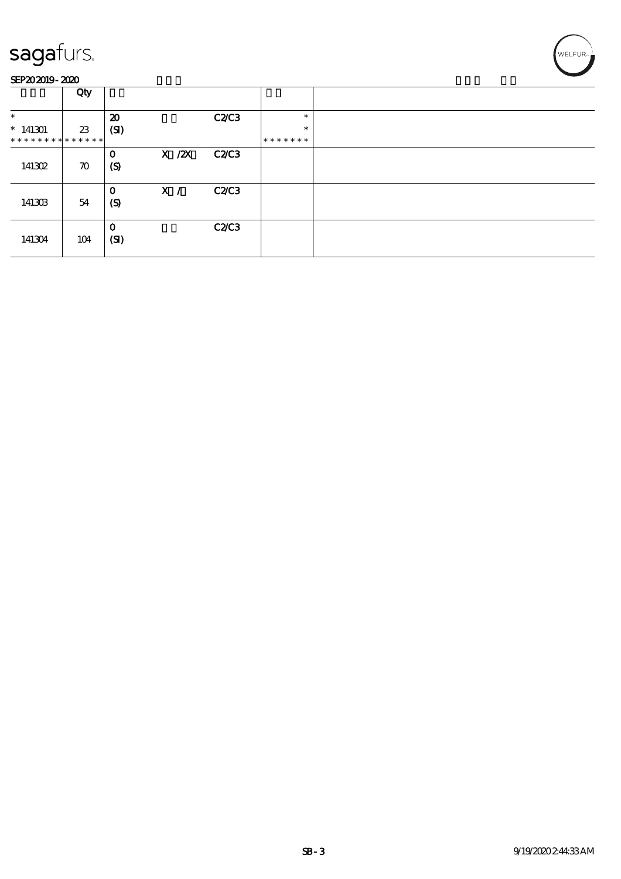

|                               | Qty                |                                 |            |       |         |  |
|-------------------------------|--------------------|---------------------------------|------------|-------|---------|--|
| $\ast$                        |                    | $\boldsymbol{\mathbf{z}}$       |            | C2C3  | $\ast$  |  |
| $*141301$                     | 23                 | (SI)                            |            |       | $\ast$  |  |
| * * * * * * * * * * * * * * * |                    |                                 |            |       | ******* |  |
| 141302                        | $\boldsymbol{\pi}$ | $\mathbf 0$<br>$\boldsymbol{S}$ | $X \, /ZX$ | C2C3  |         |  |
| 141303                        | 54                 | $\mathbf 0$<br>$\boldsymbol{S}$ | X /        | C2C3  |         |  |
| 141304                        | 104                | $\mathbf 0$<br>(SI)             |            | C2/C3 |         |  |

'<br>WELFUR∍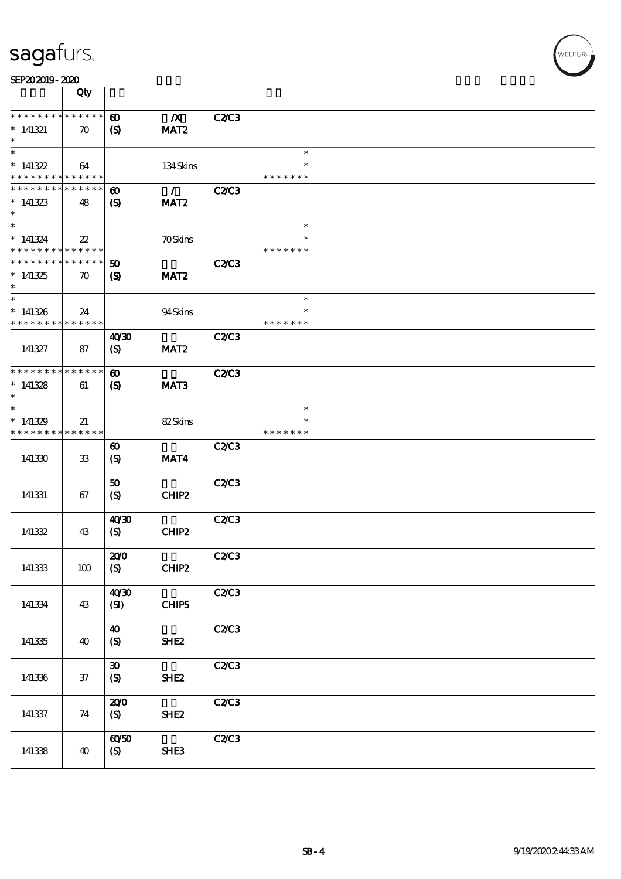| SEP202019-2020                                          |                            |                                                     |                                   |              |                         |  |
|---------------------------------------------------------|----------------------------|-----------------------------------------------------|-----------------------------------|--------------|-------------------------|--|
|                                                         | Qty                        |                                                     |                                   |              |                         |  |
| * * * * * * * *                                         | * * * * * *                | $\boldsymbol{\omega}$                               | $\boldsymbol{X}$                  | <b>C2/C3</b> |                         |  |
| $*141321$<br>$\ast$                                     | $\boldsymbol{\pi}$         | $\boldsymbol{\mathsf{(S)}}$                         | MAT <sub>2</sub>                  |              |                         |  |
| $\ast$<br>$*141322$                                     | 64                         |                                                     | 134Skins                          |              | $\ast$                  |  |
| * * * * * * * * <mark>* * * * * *</mark> *              |                            |                                                     |                                   |              | * * * * * * *           |  |
| * * * * * * * * * * * * * *<br>$*141323$<br>$\ast$      | 48                         | $\boldsymbol{\omega}$<br>$\boldsymbol{\mathcal{S}}$ | $\mathcal{L}$<br>MAT <sub>2</sub> | <b>C2/C3</b> |                         |  |
| $\ast$                                                  |                            |                                                     |                                   |              | $\ast$                  |  |
| $*141324$<br>* * * * * * * * * * * * * *                | $\boldsymbol{\mathcal{Z}}$ |                                                     | <b>70Skins</b>                    |              | $\ast$<br>* * * * * * * |  |
| * * * * * * * * * * * * * *                             |                            | $50^{\circ}$                                        |                                   | <b>C2/C3</b> |                         |  |
| $*141325$<br>$\ast$                                     | $\boldsymbol{\pi}$         | (S)                                                 | MAT <sub>2</sub>                  |              |                         |  |
| $\ast$                                                  |                            |                                                     |                                   |              | $\ast$<br>$\ast$        |  |
| $*141326$<br>* * * * * * * * <mark>* * * * * * *</mark> | 24                         |                                                     | 94Skins                           |              | * * * * * * *           |  |
|                                                         |                            | 40'30                                               |                                   | <b>C2/C3</b> |                         |  |
| 141327                                                  | 87                         | (S)                                                 | MAT <sub>2</sub>                  |              |                         |  |
| * * * * * * * * * * * * * *                             |                            | $\boldsymbol{\omega}$                               |                                   | <b>C2/C3</b> |                         |  |
| $*141328$<br>$\ast$                                     | 61                         | $\boldsymbol{S}$                                    | MAT <sub>3</sub>                  |              |                         |  |
| $\ast$                                                  |                            |                                                     |                                   |              | $\ast$                  |  |
| $*141329$<br>* * * * * * * *                            | 21<br>* * * * * *          |                                                     | 82Skins                           |              | $\ast$<br>* * * * * * * |  |
| 141330                                                  | $33\,$                     | $\boldsymbol{\omega}$<br>$\boldsymbol{S}$           | MAT4                              | <b>C2/C3</b> |                         |  |
| 141331                                                  | 67                         | 50<br>(S)                                           | CHIP2                             | <b>C2/C3</b> |                         |  |
| 141332                                                  | 43                         | 40'30<br>$\boldsymbol{S}$                           | CHIP2                             | <b>C2/C3</b> |                         |  |
|                                                         |                            | 200                                                 |                                   | <b>C2/C3</b> |                         |  |
| 141333                                                  | 100                        | (S)                                                 | CHIP2                             |              |                         |  |
| 141334                                                  | 43                         | 40'30<br>(SI)                                       | CHIP <sub>5</sub>                 | C2C3         |                         |  |
| 141335                                                  |                            | $\boldsymbol{\omega}$                               | <b>SHE2</b>                       | C2/C3        |                         |  |
|                                                         | 40                         | (S)                                                 |                                   |              |                         |  |
| 141336                                                  | $37\,$                     | $\boldsymbol{\mathfrak{D}}$<br>(S)                  | SHE <sub>2</sub>                  | C2C3         |                         |  |
| 141337                                                  | 74                         | 200<br>(S)                                          | SHE <sub>2</sub>                  | C2C3         |                         |  |
| 141338                                                  | 40                         | 6050<br>(S)                                         | <b>SHE3</b>                       | C2/C3        |                         |  |

WELFUR<sub>"</sub>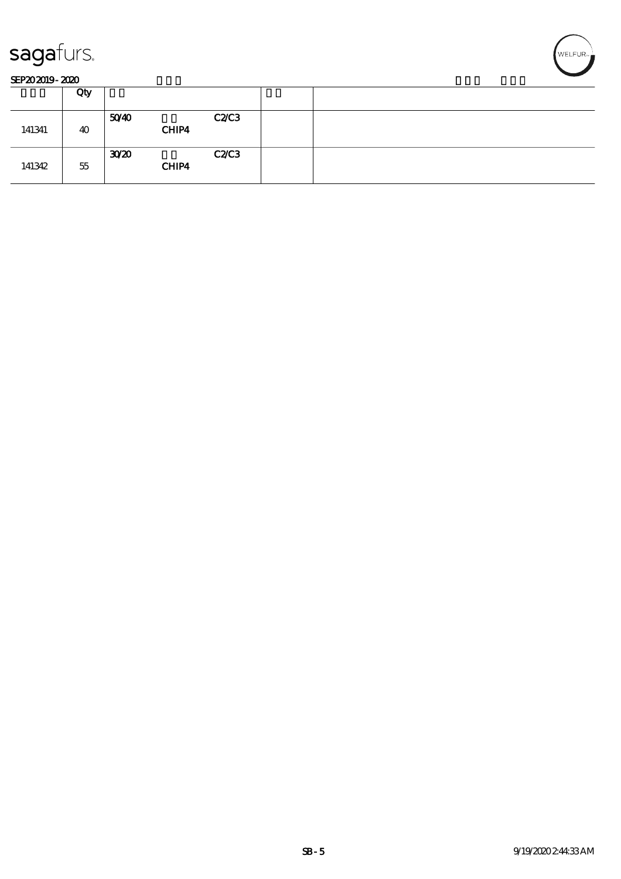

#### SEP202019-2020

|        | Qty |                          |      |  |
|--------|-----|--------------------------|------|--|
| 141341 | 40  | 5040<br>CHIP4            | C2C3 |  |
| 141342 | 55  | 30 <sup>2</sup><br>CHIP4 | C2C3 |  |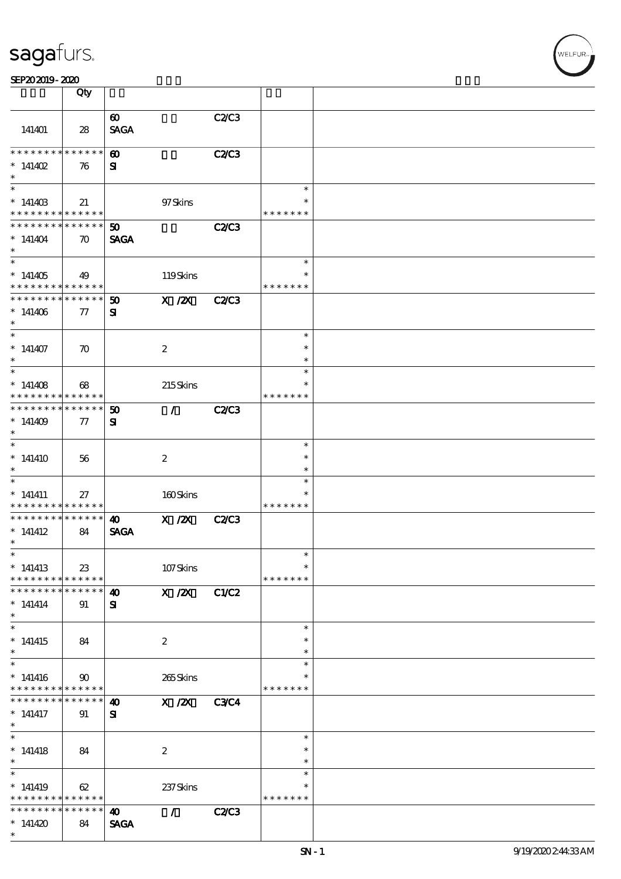| sagafurs. |
|-----------|
|           |

|                                                             | Qty                     |                                      |                  |              |               |  |
|-------------------------------------------------------------|-------------------------|--------------------------------------|------------------|--------------|---------------|--|
|                                                             |                         |                                      |                  |              |               |  |
| 141401                                                      | 28                      | $\boldsymbol{\omega}$<br><b>SAGA</b> |                  | C2/C3        |               |  |
| * * * * * * * *                                             | * * * * * *             | $\boldsymbol{\omega}$                |                  | C2C3         |               |  |
| * $141402$                                                  | 76                      | ${\bf s}$                            |                  |              |               |  |
| $\ast$                                                      |                         |                                      |                  |              |               |  |
| $\ast$                                                      |                         |                                      |                  |              | $\ast$        |  |
| $*14140B$                                                   | 21                      |                                      | 97Skins          |              |               |  |
| * * * * * * * * <mark>* * * * * *</mark>                    |                         |                                      |                  |              | * * * * * * * |  |
| * * * * * * * * * * * * * *                                 |                         | 50                                   |                  | <b>C2/C3</b> |               |  |
| $*141404$                                                   | $\boldsymbol{\pi}$      | <b>SAGA</b>                          |                  |              |               |  |
| $\ast$                                                      |                         |                                      |                  |              |               |  |
|                                                             |                         |                                      |                  |              | $\ast$        |  |
| $*141405$                                                   | 49                      |                                      | 119Skins         |              |               |  |
| * * * * * * * *<br>* * * * * * * *                          | * * * * * *             |                                      |                  |              | * * * * * * * |  |
|                                                             | * * * * * *             | $\boldsymbol{\mathfrak{D}}$          | $X$ / $ZX$       | C2C3         |               |  |
| $*141406$<br>$\ast$                                         | 77                      | ${\bf s}$                            |                  |              |               |  |
| $\overline{\ast}$                                           |                         |                                      |                  |              | $\ast$        |  |
| $*141407$                                                   | $\boldsymbol{\pi}$      |                                      | $\boldsymbol{2}$ |              | $\ast$        |  |
| $\ast$                                                      |                         |                                      |                  |              | $\ast$        |  |
|                                                             |                         |                                      |                  |              | $\ast$        |  |
| $*141408$                                                   | 68                      |                                      | 215Skins         |              | $\ast$        |  |
| * * * * * * * *                                             | * * * * * *             |                                      |                  |              | * * * * * * * |  |
| * * * * * * * *                                             | ******                  | $\boldsymbol{\mathfrak{D}}$          | $\mathcal{T}$    | <b>C2/C3</b> |               |  |
| $*141409$                                                   | $\tau$                  | ${\bf s}$                            |                  |              |               |  |
| $\ast$                                                      |                         |                                      |                  |              |               |  |
| $\ast$                                                      |                         |                                      |                  |              | $\ast$        |  |
| $*141410$                                                   | 56                      |                                      | $\boldsymbol{2}$ |              | $\ast$        |  |
| $\ast$                                                      |                         |                                      |                  |              | $\ast$        |  |
| $\overline{\phantom{0}}$                                    |                         |                                      |                  |              | $\ast$        |  |
| $*$ 141411                                                  | 27                      |                                      | 160Skins         |              | ∗             |  |
| * * * * * * * *<br>* * * * * * * *                          | * * * * * *  <br>****** |                                      |                  |              | * * * * * * * |  |
|                                                             |                         | 40                                   | $X$ / $ZX$       | <b>C2/C3</b> |               |  |
| $*$ 141412<br>$\ast$                                        | 84                      | <b>SAGA</b>                          |                  |              |               |  |
| $\ast$                                                      |                         |                                      |                  |              |               |  |
| $*141413$                                                   | 23                      |                                      | 107Skins         |              | $\ast$        |  |
| * * * * * * * * <mark>* * * * * *</mark>                    |                         |                                      |                  |              | * * * * * * * |  |
| * * * * * * * *                                             | $* * * * * * *$         | $\boldsymbol{\omega}$                | $X$ / $ZX$       | C1/C2        |               |  |
| $*$ 141414                                                  | 91                      | ${\bf s}$                            |                  |              |               |  |
| $\ast$                                                      |                         |                                      |                  |              |               |  |
| $\ast$                                                      |                         |                                      |                  |              | $\ast$        |  |
| $*141415$                                                   | 84                      |                                      | $\boldsymbol{2}$ |              | $\ast$        |  |
| $\ast$                                                      |                         |                                      |                  |              | $\ast$        |  |
| $\ast$                                                      |                         |                                      |                  |              | $\ast$        |  |
| $*141416$                                                   | $90^{\circ}$            |                                      | 265Skins         |              | $\ast$        |  |
| * * * * * * * * <mark>* * * * * *</mark><br>* * * * * * * * | $* * * * * * *$         |                                      |                  |              | * * * * * * * |  |
|                                                             |                         | 40                                   | X / ZX           | <b>C3C4</b>  |               |  |
| $*$ 141417<br>$\ast$                                        | 91                      | ${\bf s}$                            |                  |              |               |  |
| $\ast$                                                      |                         |                                      |                  |              | $\ast$        |  |
| $*141418$                                                   | 84                      |                                      | $\boldsymbol{2}$ |              | *             |  |
| $\ast$                                                      |                         |                                      |                  |              | $\ast$        |  |
| $\ast$                                                      |                         |                                      |                  |              | $\ast$        |  |
| $*141419$                                                   | 62                      |                                      | 237Skins         |              |               |  |
| * * * * * * * * <mark>* * * * * * *</mark>                  |                         |                                      |                  |              | * * * * * * * |  |
| * * * * * * * *                                             | $* * * * * * *$         | $\boldsymbol{\omega}$                | $\mathcal{L}$    | <b>C2/C3</b> |               |  |
| $*141420$                                                   | 84                      | <b>SAGA</b>                          |                  |              |               |  |
| $\ast$                                                      |                         |                                      |                  |              |               |  |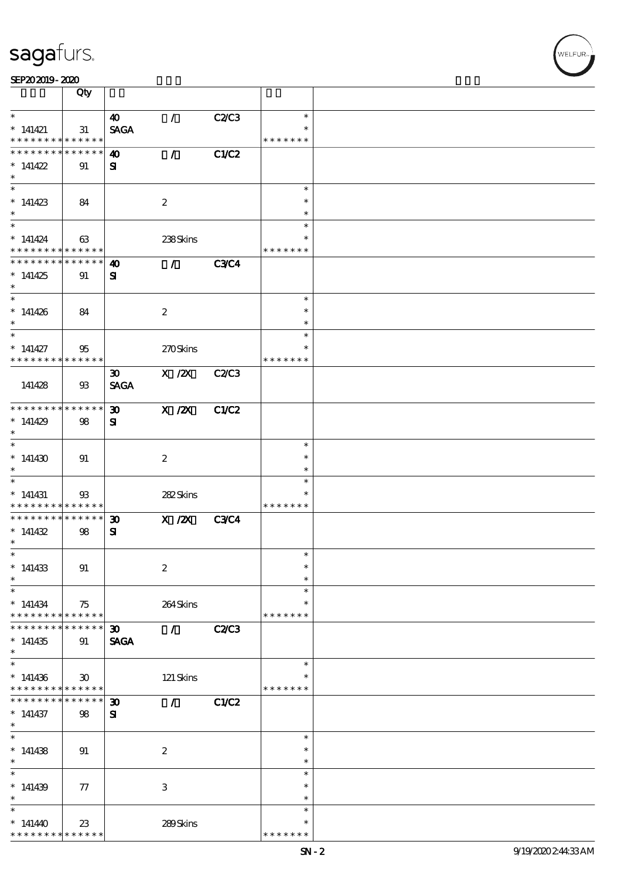| SEP202019-2020                                          |                             |                             |                             |              |                  |  |
|---------------------------------------------------------|-----------------------------|-----------------------------|-----------------------------|--------------|------------------|--|
|                                                         | Qty                         |                             |                             |              |                  |  |
|                                                         |                             |                             |                             |              |                  |  |
| $\ast$                                                  |                             | $\boldsymbol{\omega}$       | $\mathcal{L}$               | C2C3         | $\ast$           |  |
| $*141421$<br>* * * * * * * * <mark>* * * * * *</mark>   | 31                          | <b>SAGA</b>                 |                             |              | * * * * * * *    |  |
| * * * * * * * *                                         | * * * * * *                 |                             | $\mathcal{L}$               | C1/C2        |                  |  |
| * $141422$                                              | 91                          | 40<br>$\mathbf{S}$          |                             |              |                  |  |
| $\ast$                                                  |                             |                             |                             |              |                  |  |
| $\ast$                                                  |                             |                             |                             |              | $\ast$           |  |
| $*141423$                                               | 84                          |                             | $\boldsymbol{2}$            |              | $\ast$           |  |
| $\ast$                                                  |                             |                             |                             |              | $\ast$           |  |
|                                                         |                             |                             |                             |              | $\ast$           |  |
| $*$ 141424                                              | 63                          |                             | 238Skins                    |              |                  |  |
| * * * * * * * * <mark>* * * * * *</mark>                |                             |                             |                             |              | * * * * * * *    |  |
| * * * * * * * *                                         | * * * * * *                 | 40                          | $\mathcal{L}$               | <b>C3C4</b>  |                  |  |
| $*141425$                                               | 91                          | ${\bf s}$                   |                             |              |                  |  |
| $\ast$<br>$*$                                           |                             |                             |                             |              |                  |  |
|                                                         |                             |                             |                             |              | $\ast$<br>$\ast$ |  |
| $*141426$<br>$\ast$                                     | 84                          |                             | $\boldsymbol{z}$            |              | $\ast$           |  |
| $\overline{\phantom{0}}$                                |                             |                             |                             |              | $\ast$           |  |
| $*141427$                                               | 95                          |                             | 270Skins                    |              |                  |  |
| * * * * * * * *                                         | * * * * * *                 |                             |                             |              | * * * * * * *    |  |
|                                                         |                             | $\boldsymbol{\mathfrak{D}}$ | $X$ / $ZX$                  | C2/C3        |                  |  |
| 141428                                                  | $\mathfrak{B}$              | <b>SAGA</b>                 |                             |              |                  |  |
|                                                         |                             |                             |                             |              |                  |  |
| * * * * * * * * <mark>*</mark>                          | * * * * * *                 | $\boldsymbol{\mathfrak{D}}$ | $X$ / $ZX$                  | C1/C2        |                  |  |
| $*141429$                                               | 98                          | ${\bf s}$                   |                             |              |                  |  |
| $\ast$                                                  |                             |                             |                             |              |                  |  |
|                                                         |                             |                             |                             |              | $\ast$           |  |
| $*141430$<br>$\ast$                                     | 91                          |                             | $\boldsymbol{2}$            |              | $\ast$<br>$\ast$ |  |
| $*$                                                     |                             |                             |                             |              | $\ast$           |  |
| $*$ 141431                                              | 93                          |                             | 282Skins                    |              | $\ast$           |  |
| * * * * * * * * <mark>* * * * * *</mark>                |                             |                             |                             |              | * * * * * * *    |  |
| * * * * * * * *                                         | ******                      | $\boldsymbol{\mathfrak{D}}$ | $X$ / $ZX$                  | <b>C3C4</b>  |                  |  |
| $*141432$                                               | 98                          | ${\bf s}$                   |                             |              |                  |  |
| $\star$ .                                               |                             |                             |                             |              |                  |  |
| $\ast$                                                  |                             |                             |                             |              | $\ast$           |  |
| $*141433$                                               | 91                          |                             | $\boldsymbol{2}$            |              | $\ast$           |  |
| $\ast$                                                  |                             |                             |                             |              | $\ast$           |  |
| $\ast$                                                  |                             |                             |                             |              | $\ast$<br>$\ast$ |  |
| $*141434$<br>* * * * * * * * <mark>* * * * * * *</mark> | 75                          |                             | 264Skins                    |              | * * * * * * *    |  |
| * * * * * * * *                                         | * * * * * *                 | $\boldsymbol{\mathfrak{D}}$ | $\mathcal{L} = \mathcal{L}$ | <b>C2/C3</b> |                  |  |
| $*141435$                                               | 91                          | <b>SAGA</b>                 |                             |              |                  |  |
| $\ast$                                                  |                             |                             |                             |              |                  |  |
|                                                         |                             |                             |                             |              | $\ast$           |  |
| $*141436$                                               | $\boldsymbol{\mathfrak{D}}$ |                             | 121 Skins                   |              |                  |  |
| * * * * * * * * <mark>* * * * * *</mark>                |                             |                             |                             |              | * * * * * * *    |  |
| * * * * * * * *                                         | $******$                    | $\boldsymbol{\mathfrak{D}}$ | $\mathcal{L}$               | C1/C2        |                  |  |
| $*141437$<br>$\ast$                                     | 98                          | ${\bf s}$                   |                             |              |                  |  |
| $\ast$                                                  |                             |                             |                             |              | $\ast$           |  |
| $*141438$                                               | 91                          |                             | $\boldsymbol{z}$            |              | $\ast$           |  |
| $\ast$                                                  |                             |                             |                             |              | $\ast$           |  |
|                                                         |                             |                             |                             |              | $\ast$           |  |
| $*141439$                                               | $\tau$                      |                             | 3                           |              | $\ast$           |  |
|                                                         |                             |                             |                             |              | $\ast$           |  |
| $\ast$                                                  |                             |                             |                             |              | $\ast$           |  |
| $*14140$                                                | 23                          |                             | 289Skins                    |              | $\ast$           |  |
| * * * * * * * * <mark>* * * * * * *</mark>              |                             |                             |                             |              | * * * * * * *    |  |